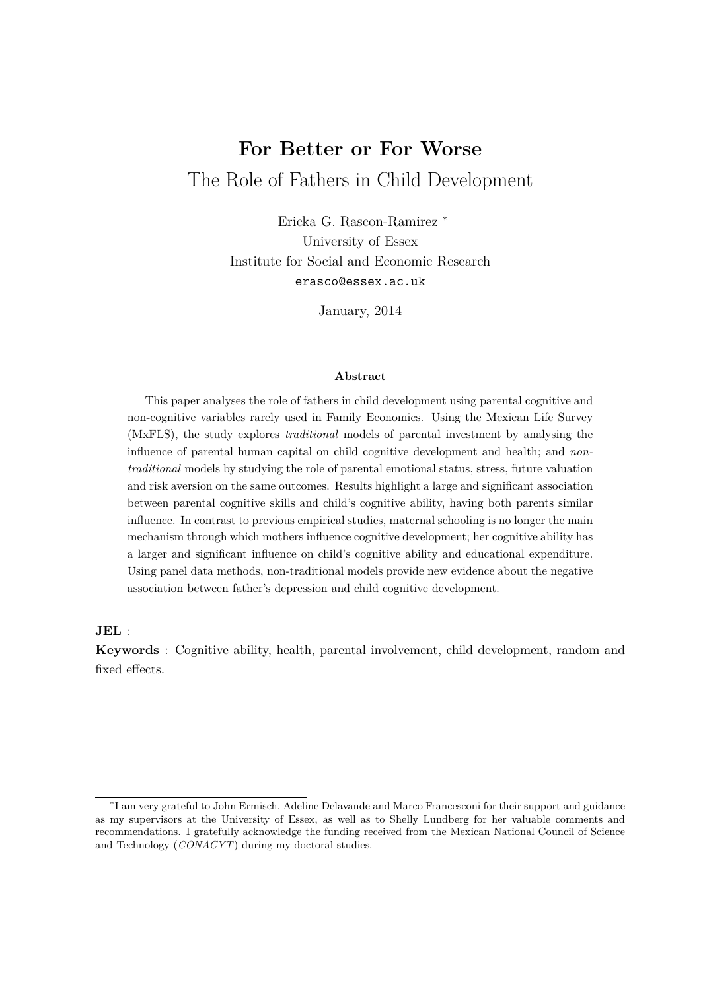# **For Better or For Worse** The Role of Fathers in Child Development

Ericka G. Rascon-Ramirez <sup>∗</sup> University of Essex Institute for Social and Economic Research erasco@essex.ac.uk

January, 2014

#### **Abstract**

This paper analyses the role of fathers in child development using parental cognitive and non-cognitive variables rarely used in Family Economics. Using the Mexican Life Survey (MxFLS), the study explores *traditional* models of parental investment by analysing the influence of parental human capital on child cognitive development and health; and *nontraditional* models by studying the role of parental emotional status, stress, future valuation and risk aversion on the same outcomes. Results highlight a large and significant association between parental cognitive skills and child's cognitive ability, having both parents similar influence. In contrast to previous empirical studies, maternal schooling is no longer the main mechanism through which mothers influence cognitive development; her cognitive ability has a larger and significant influence on child's cognitive ability and educational expenditure. Using panel data methods, non-traditional models provide new evidence about the negative association between father's depression and child cognitive development.

#### **JEL** :

**Keywords** : Cognitive ability, health, parental involvement, child development, random and fixed effects.

<sup>∗</sup> I am very grateful to John Ermisch, Adeline Delavande and Marco Francesconi for their support and guidance as my supervisors at the University of Essex, as well as to Shelly Lundberg for her valuable comments and recommendations. I gratefully acknowledge the funding received from the Mexican National Council of Science and Technology (*CONACYT*) during my doctoral studies.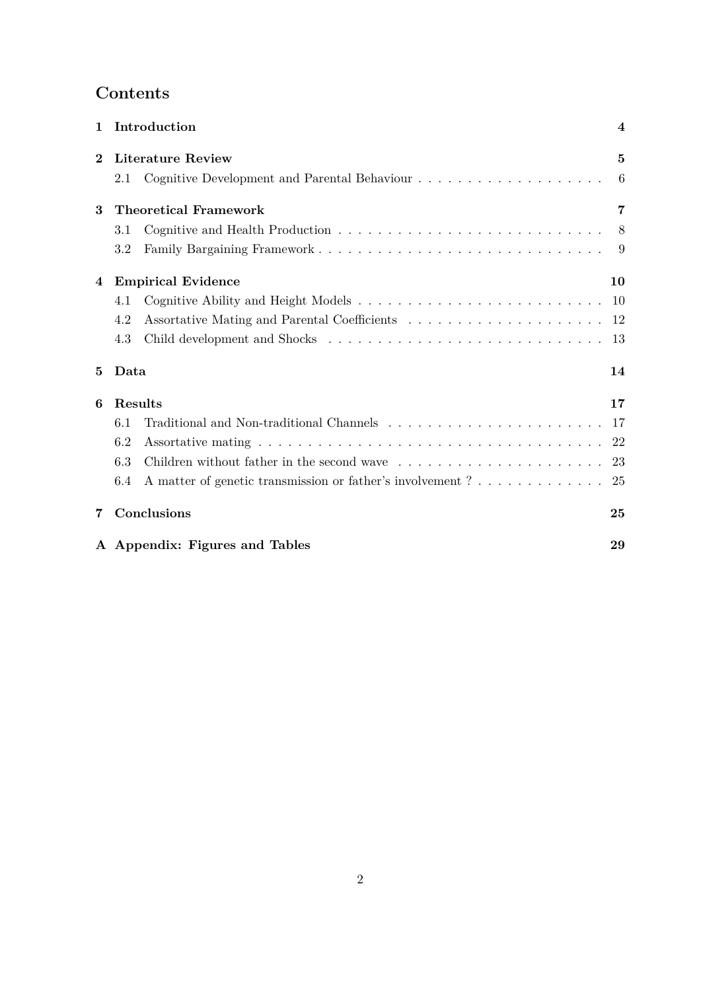## **Contents**

| 1        | Introduction                                                        | $\overline{4}$ |
|----------|---------------------------------------------------------------------|----------------|
| $\bf{2}$ | <b>Literature Review</b>                                            | 5              |
|          | 2.1                                                                 | 6              |
| 3        | <b>Theoretical Framework</b>                                        | 7              |
|          | 3.1                                                                 | 8              |
|          | 3.2                                                                 | 9              |
| 4        | <b>Empirical Evidence</b>                                           | 10             |
|          | 4.1                                                                 | 10             |
|          | 4.2                                                                 | 12             |
|          | 4.3                                                                 | 13             |
| 5        | Data                                                                | 14             |
| 6        | Results                                                             | 17             |
|          | 6.1                                                                 | -17            |
|          | 6.2                                                                 | 22             |
|          | 6.3                                                                 | 23             |
|          | A matter of genetic transmission or father's involvement $?$<br>6.4 | 25             |
| 7        | Conclusions                                                         | 25             |
|          | A Appendix: Figures and Tables                                      | 29             |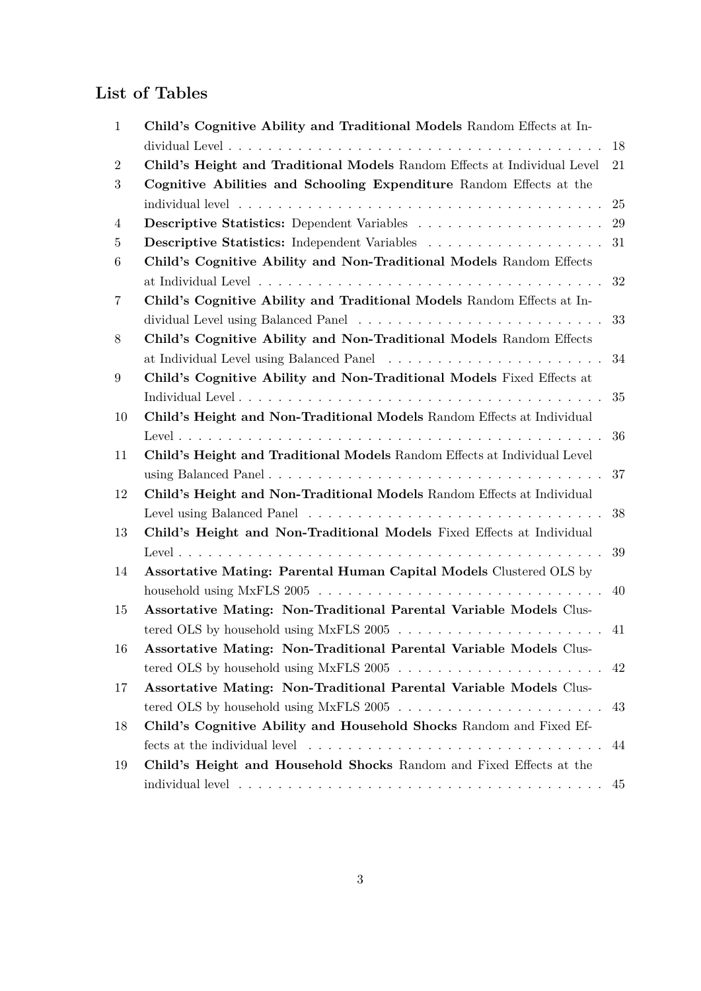## **List of Tables**

| 1              | Child's Cognitive Ability and Traditional Models Random Effects at In-   |        |
|----------------|--------------------------------------------------------------------------|--------|
|                |                                                                          | 18     |
| $\overline{2}$ | Child's Height and Traditional Models Random Effects at Individual Level | 21     |
| 3              | Cognitive Abilities and Schooling Expenditure Random Effects at the      |        |
|                |                                                                          | 25     |
| 4              |                                                                          | 29     |
| $\overline{5}$ |                                                                          | 31     |
| 6              | Child's Cognitive Ability and Non-Traditional Models Random Effects      |        |
|                |                                                                          | 32     |
| 7              | Child's Cognitive Ability and Traditional Models Random Effects at In-   |        |
|                |                                                                          | 33     |
| 8              | Child's Cognitive Ability and Non-Traditional Models Random Effects      |        |
|                |                                                                          | 34     |
| 9              | Child's Cognitive Ability and Non-Traditional Models Fixed Effects at    |        |
|                |                                                                          | 35     |
| 10             | Child's Height and Non-Traditional Models Random Effects at Individual   |        |
|                |                                                                          | 36     |
| 11             | Child's Height and Traditional Models Random Effects at Individual Level |        |
|                |                                                                          | $37\,$ |
| 12             | Child's Height and Non-Traditional Models Random Effects at Individual   |        |
|                |                                                                          | 38     |
| 13             | Child's Height and Non-Traditional Models Fixed Effects at Individual    |        |
|                |                                                                          | 39     |
| 14             | Assortative Mating: Parental Human Capital Models Clustered OLS by       |        |
|                |                                                                          | 40     |
| 15             | Assortative Mating: Non-Traditional Parental Variable Models Clus-       |        |
|                |                                                                          | 41     |
| 16             | Assortative Mating: Non-Traditional Parental Variable Models Clus-       |        |
|                |                                                                          | 42     |
| 17             | Assortative Mating: Non-Traditional Parental Variable Models Clus-       |        |
|                |                                                                          | 43     |
| 18             | Child's Cognitive Ability and Household Shocks Random and Fixed Ef-      |        |
|                |                                                                          | 44     |
| 19             | Child's Height and Household Shocks Random and Fixed Effects at the      |        |
|                |                                                                          | 45     |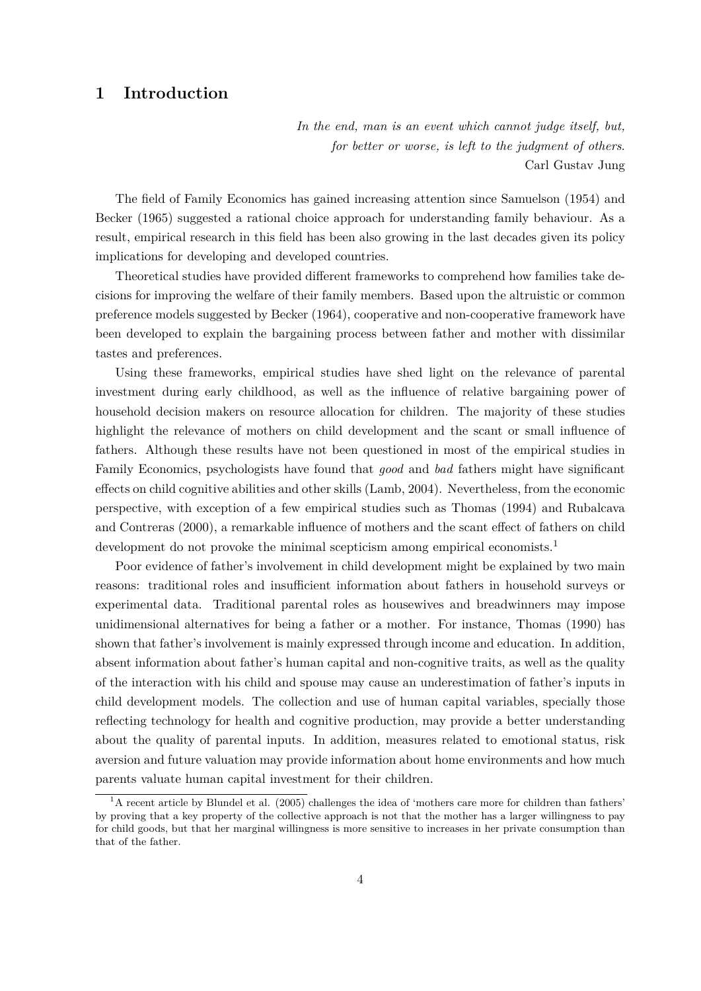## **1 Introduction**

*In the end, man is an event which cannot judge itself, but, for better or worse, is left to the judgment of others*. Carl Gustav Jung

The field of Family Economics has gained increasing attention since Samuelson (1954) and Becker (1965) suggested a rational choice approach for understanding family behaviour. As a result, empirical research in this field has been also growing in the last decades given its policy implications for developing and developed countries.

Theoretical studies have provided different frameworks to comprehend how families take decisions for improving the welfare of their family members. Based upon the altruistic or common preference models suggested by Becker (1964), cooperative and non-cooperative framework have been developed to explain the bargaining process between father and mother with dissimilar tastes and preferences.

Using these frameworks, empirical studies have shed light on the relevance of parental investment during early childhood, as well as the influence of relative bargaining power of household decision makers on resource allocation for children. The majority of these studies highlight the relevance of mothers on child development and the scant or small influence of fathers. Although these results have not been questioned in most of the empirical studies in Family Economics, psychologists have found that *good* and *bad* fathers might have significant effects on child cognitive abilities and other skills (Lamb, 2004). Nevertheless, from the economic perspective, with exception of a few empirical studies such as Thomas (1994) and Rubalcava and Contreras (2000), a remarkable influence of mothers and the scant effect of fathers on child development do not provoke the minimal scepticism among empirical economists.<sup>1</sup>

Poor evidence of father's involvement in child development might be explained by two main reasons: traditional roles and insufficient information about fathers in household surveys or experimental data. Traditional parental roles as housewives and breadwinners may impose unidimensional alternatives for being a father or a mother. For instance, Thomas (1990) has shown that father's involvement is mainly expressed through income and education. In addition, absent information about father's human capital and non-cognitive traits, as well as the quality of the interaction with his child and spouse may cause an underestimation of father's inputs in child development models. The collection and use of human capital variables, specially those reflecting technology for health and cognitive production, may provide a better understanding about the quality of parental inputs. In addition, measures related to emotional status, risk aversion and future valuation may provide information about home environments and how much parents valuate human capital investment for their children.

 $1<sup>1</sup>$  A recent article by Blundel et al. (2005) challenges the idea of 'mothers care more for children than fathers' by proving that a key property of the collective approach is not that the mother has a larger willingness to pay for child goods, but that her marginal willingness is more sensitive to increases in her private consumption than that of the father.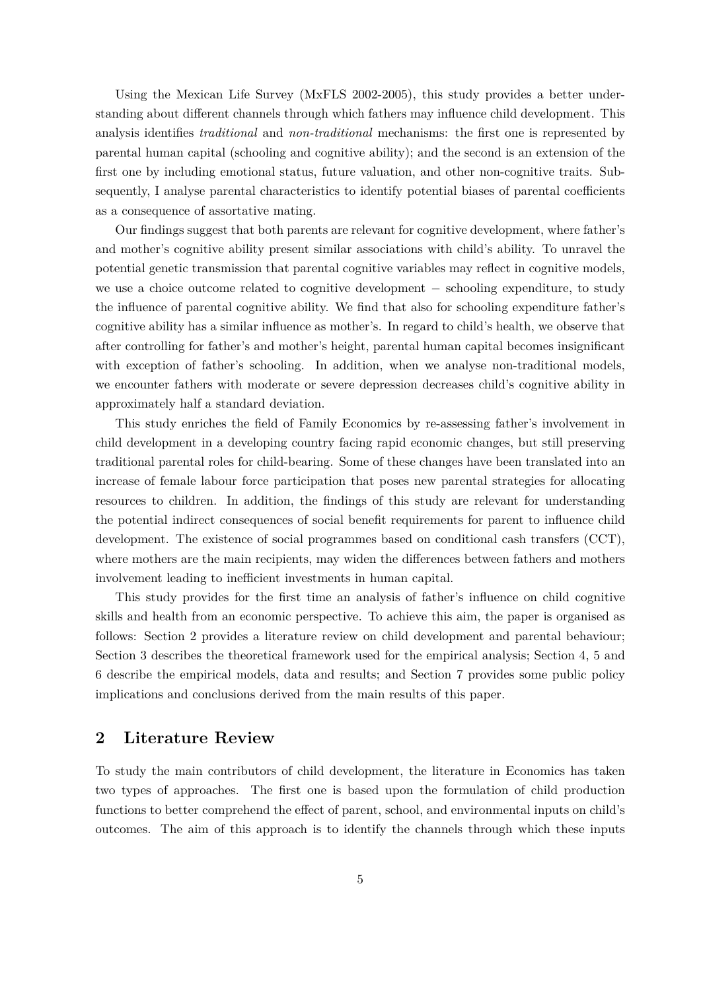Using the Mexican Life Survey (MxFLS 2002-2005), this study provides a better understanding about different channels through which fathers may influence child development. This analysis identifies *traditional* and *non-traditional* mechanisms: the first one is represented by parental human capital (schooling and cognitive ability); and the second is an extension of the first one by including emotional status, future valuation, and other non-cognitive traits. Subsequently, I analyse parental characteristics to identify potential biases of parental coefficients as a consequence of assortative mating.

Our findings suggest that both parents are relevant for cognitive development, where father's and mother's cognitive ability present similar associations with child's ability. To unravel the potential genetic transmission that parental cognitive variables may reflect in cognitive models, we use a choice outcome related to cognitive development − schooling expenditure, to study the influence of parental cognitive ability. We find that also for schooling expenditure father's cognitive ability has a similar influence as mother's. In regard to child's health, we observe that after controlling for father's and mother's height, parental human capital becomes insignificant with exception of father's schooling. In addition, when we analyse non-traditional models, we encounter fathers with moderate or severe depression decreases child's cognitive ability in approximately half a standard deviation.

This study enriches the field of Family Economics by re-assessing father's involvement in child development in a developing country facing rapid economic changes, but still preserving traditional parental roles for child-bearing. Some of these changes have been translated into an increase of female labour force participation that poses new parental strategies for allocating resources to children. In addition, the findings of this study are relevant for understanding the potential indirect consequences of social benefit requirements for parent to influence child development. The existence of social programmes based on conditional cash transfers (CCT), where mothers are the main recipients, may widen the differences between fathers and mothers involvement leading to inefficient investments in human capital.

This study provides for the first time an analysis of father's influence on child cognitive skills and health from an economic perspective. To achieve this aim, the paper is organised as follows: Section 2 provides a literature review on child development and parental behaviour; Section 3 describes the theoretical framework used for the empirical analysis; Section 4, 5 and 6 describe the empirical models, data and results; and Section 7 provides some public policy implications and conclusions derived from the main results of this paper.

#### **2 Literature Review**

To study the main contributors of child development, the literature in Economics has taken two types of approaches. The first one is based upon the formulation of child production functions to better comprehend the effect of parent, school, and environmental inputs on child's outcomes. The aim of this approach is to identify the channels through which these inputs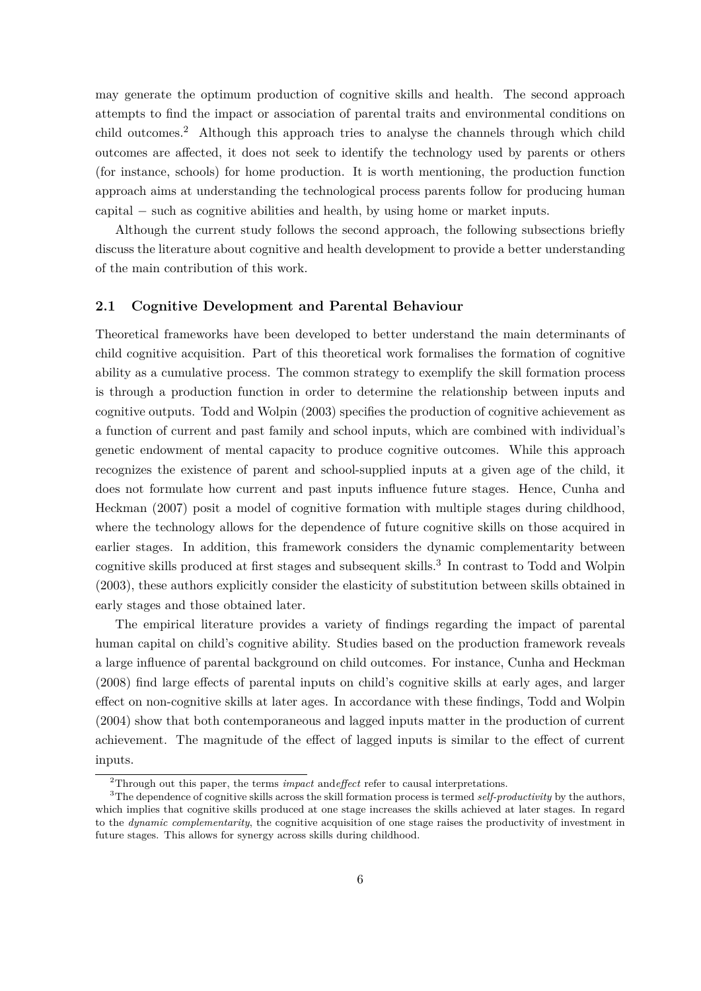may generate the optimum production of cognitive skills and health. The second approach attempts to find the impact or association of parental traits and environmental conditions on child outcomes.<sup>2</sup> Although this approach tries to analyse the channels through which child outcomes are affected, it does not seek to identify the technology used by parents or others (for instance, schools) for home production. It is worth mentioning, the production function approach aims at understanding the technological process parents follow for producing human capital − such as cognitive abilities and health, by using home or market inputs.

Although the current study follows the second approach, the following subsections briefly discuss the literature about cognitive and health development to provide a better understanding of the main contribution of this work.

#### **2.1 Cognitive Development and Parental Behaviour**

Theoretical frameworks have been developed to better understand the main determinants of child cognitive acquisition. Part of this theoretical work formalises the formation of cognitive ability as a cumulative process. The common strategy to exemplify the skill formation process is through a production function in order to determine the relationship between inputs and cognitive outputs. Todd and Wolpin (2003) specifies the production of cognitive achievement as a function of current and past family and school inputs, which are combined with individual's genetic endowment of mental capacity to produce cognitive outcomes. While this approach recognizes the existence of parent and school-supplied inputs at a given age of the child, it does not formulate how current and past inputs influence future stages. Hence, Cunha and Heckman (2007) posit a model of cognitive formation with multiple stages during childhood, where the technology allows for the dependence of future cognitive skills on those acquired in earlier stages. In addition, this framework considers the dynamic complementarity between cognitive skills produced at first stages and subsequent skills.<sup>3</sup> In contrast to Todd and Wolpin (2003), these authors explicitly consider the elasticity of substitution between skills obtained in early stages and those obtained later.

The empirical literature provides a variety of findings regarding the impact of parental human capital on child's cognitive ability. Studies based on the production framework reveals a large influence of parental background on child outcomes. For instance, Cunha and Heckman (2008) find large effects of parental inputs on child's cognitive skills at early ages, and larger effect on non-cognitive skills at later ages. In accordance with these findings, Todd and Wolpin (2004) show that both contemporaneous and lagged inputs matter in the production of current achievement. The magnitude of the effect of lagged inputs is similar to the effect of current inputs.

<sup>2</sup>Through out this paper, the terms *impact* and*effect* refer to causal interpretations.

<sup>3</sup>The dependence of cognitive skills across the skill formation process is termed *self-productivity* by the authors, which implies that cognitive skills produced at one stage increases the skills achieved at later stages. In regard to the *dynamic complementarity*, the cognitive acquisition of one stage raises the productivity of investment in future stages. This allows for synergy across skills during childhood.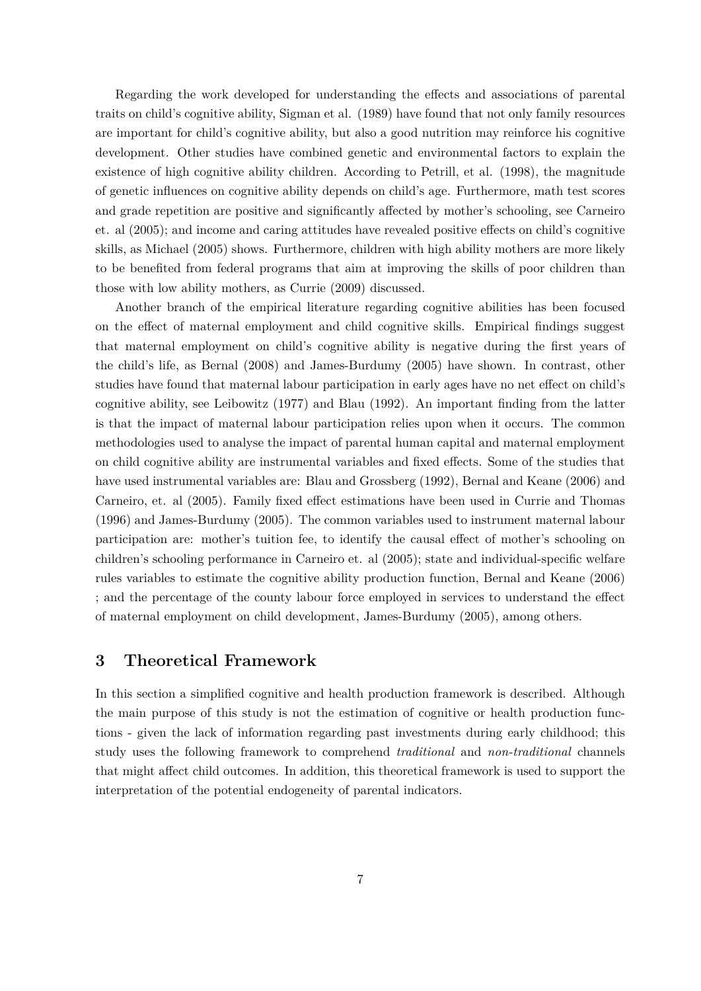Regarding the work developed for understanding the effects and associations of parental traits on child's cognitive ability, Sigman et al. (1989) have found that not only family resources are important for child's cognitive ability, but also a good nutrition may reinforce his cognitive development. Other studies have combined genetic and environmental factors to explain the existence of high cognitive ability children. According to Petrill, et al. (1998), the magnitude of genetic influences on cognitive ability depends on child's age. Furthermore, math test scores and grade repetition are positive and significantly affected by mother's schooling, see Carneiro et. al (2005); and income and caring attitudes have revealed positive effects on child's cognitive skills, as Michael (2005) shows. Furthermore, children with high ability mothers are more likely to be benefited from federal programs that aim at improving the skills of poor children than those with low ability mothers, as Currie (2009) discussed.

Another branch of the empirical literature regarding cognitive abilities has been focused on the effect of maternal employment and child cognitive skills. Empirical findings suggest that maternal employment on child's cognitive ability is negative during the first years of the child's life, as Bernal (2008) and James-Burdumy (2005) have shown. In contrast, other studies have found that maternal labour participation in early ages have no net effect on child's cognitive ability, see Leibowitz (1977) and Blau (1992). An important finding from the latter is that the impact of maternal labour participation relies upon when it occurs. The common methodologies used to analyse the impact of parental human capital and maternal employment on child cognitive ability are instrumental variables and fixed effects. Some of the studies that have used instrumental variables are: Blau and Grossberg (1992), Bernal and Keane (2006) and Carneiro, et. al (2005). Family fixed effect estimations have been used in Currie and Thomas (1996) and James-Burdumy (2005). The common variables used to instrument maternal labour participation are: mother's tuition fee, to identify the causal effect of mother's schooling on children's schooling performance in Carneiro et. al (2005); state and individual-specific welfare rules variables to estimate the cognitive ability production function, Bernal and Keane (2006) ; and the percentage of the county labour force employed in services to understand the effect of maternal employment on child development, James-Burdumy (2005), among others.

### **3 Theoretical Framework**

In this section a simplified cognitive and health production framework is described. Although the main purpose of this study is not the estimation of cognitive or health production functions - given the lack of information regarding past investments during early childhood; this study uses the following framework to comprehend *traditional* and *non-traditional* channels that might affect child outcomes. In addition, this theoretical framework is used to support the interpretation of the potential endogeneity of parental indicators.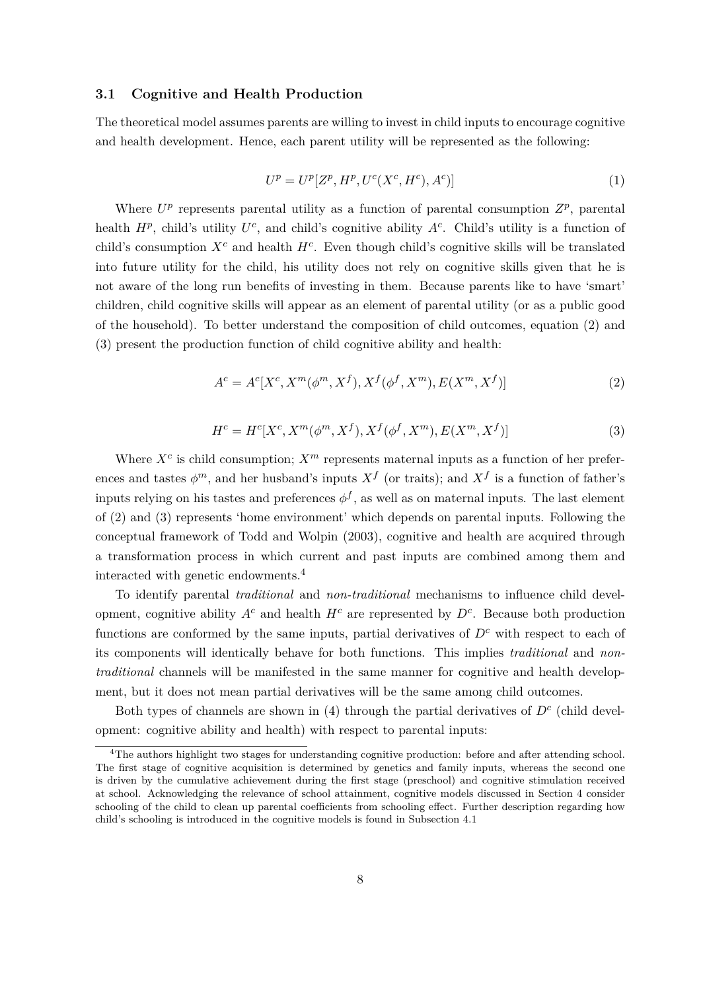#### **3.1 Cognitive and Health Production**

The theoretical model assumes parents are willing to invest in child inputs to encourage cognitive and health development. Hence, each parent utility will be represented as the following:

$$
U^{p} = U^{p}[Z^{p}, H^{p}, U^{c}(X^{c}, H^{c}), A^{c})]
$$
\n(1)

Where  $U^p$  represents parental utility as a function of parental consumption  $Z^p$ , parental health  $H^p$ , child's utility  $U^c$ , and child's cognitive ability  $A^c$ . Child's utility is a function of child's consumption  $X^c$  and health  $H^c$ . Even though child's cognitive skills will be translated into future utility for the child, his utility does not rely on cognitive skills given that he is not aware of the long run benefits of investing in them. Because parents like to have 'smart' children, child cognitive skills will appear as an element of parental utility (or as a public good of the household). To better understand the composition of child outcomes, equation (2) and (3) present the production function of child cognitive ability and health:

$$
A^{c} = A^{c}[X^{c}, X^{m}(\phi^{m}, X^{f}), X^{f}(\phi^{f}, X^{m}), E(X^{m}, X^{f})]
$$
\n(2)

$$
H^{c} = H^{c}[X^{c}, X^{m}(\phi^{m}, X^{f}), X^{f}(\phi^{f}, X^{m}), E(X^{m}, X^{f})]
$$
\n(3)

Where  $X^c$  is child consumption;  $X^m$  represents maternal inputs as a function of her preferences and tastes  $\phi^m$ , and her husband's inputs  $X^f$  (or traits); and  $X^f$  is a function of father's inputs relying on his tastes and preferences  $\phi^f$ , as well as on maternal inputs. The last element of (2) and (3) represents 'home environment' which depends on parental inputs. Following the conceptual framework of Todd and Wolpin (2003), cognitive and health are acquired through a transformation process in which current and past inputs are combined among them and interacted with genetic endowments.<sup>4</sup>

To identify parental *traditional* and *non-traditional* mechanisms to influence child development, cognitive ability  $A^c$  and health  $H^c$  are represented by  $D^c$ . Because both production functions are conformed by the same inputs, partial derivatives of  $D<sup>c</sup>$  with respect to each of its components will identically behave for both functions. This implies *traditional* and *nontraditional* channels will be manifested in the same manner for cognitive and health development, but it does not mean partial derivatives will be the same among child outcomes.

Both types of channels are shown in  $(4)$  through the partial derivatives of  $D<sup>c</sup>$  (child development: cognitive ability and health) with respect to parental inputs:

<sup>&</sup>lt;sup>4</sup>The authors highlight two stages for understanding cognitive production: before and after attending school. The first stage of cognitive acquisition is determined by genetics and family inputs, whereas the second one is driven by the cumulative achievement during the first stage (preschool) and cognitive stimulation received at school. Acknowledging the relevance of school attainment, cognitive models discussed in Section 4 consider schooling of the child to clean up parental coefficients from schooling effect. Further description regarding how child's schooling is introduced in the cognitive models is found in Subsection 4.1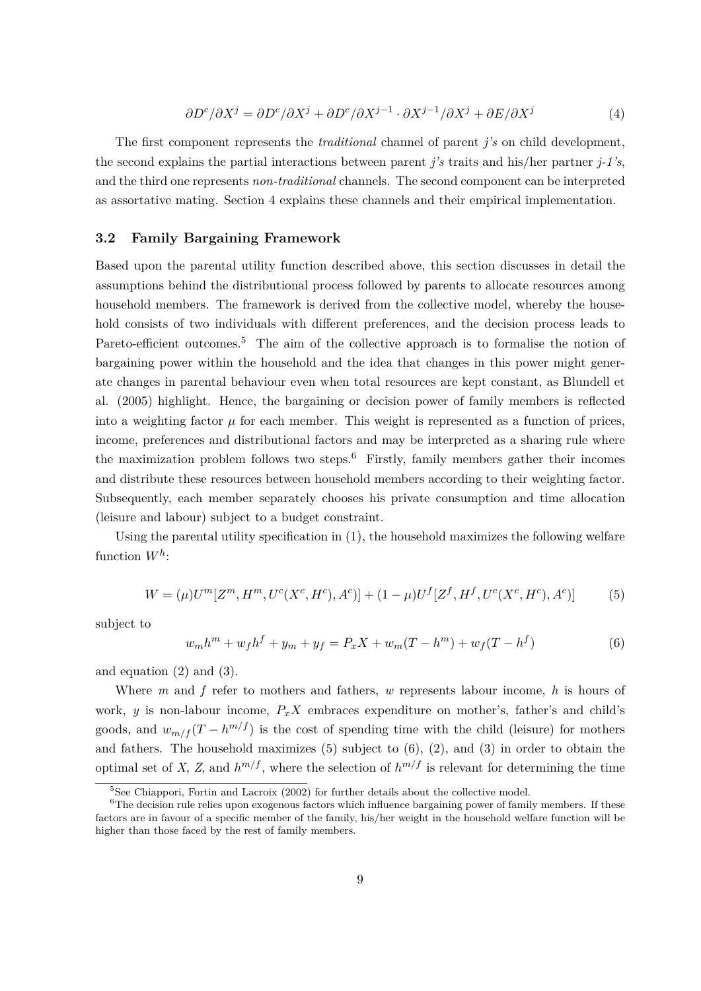$$
\frac{\partial D^c}{\partial X^j} = \frac{\partial D^c}{\partial X^j} + \frac{\partial D^c}{\partial X^{j-1}} \cdot \frac{\partial X^{j-1}}{\partial X^j} + \frac{\partial E}{\partial X^j}
$$
(4)

The first component represents the *traditional* channel of parent *j's* on child development, the second explains the partial interactions between parent *j's* traits and his/her partner *j-1's*, and the third one represents *non-traditional* channels. The second component can be interpreted as assortative mating. Section 4 explains these channels and their empirical implementation.

#### **3.2 Family Bargaining Framework**

Based upon the parental utility function described above, this section discusses in detail the assumptions behind the distributional process followed by parents to allocate resources among household members. The framework is derived from the collective model, whereby the household consists of two individuals with different preferences, and the decision process leads to Pareto-efficient outcomes.<sup>5</sup> The aim of the collective approach is to formalise the notion of bargaining power within the household and the idea that changes in this power might generate changes in parental behaviour even when total resources are kept constant, as Blundell et al. (2005) highlight. Hence, the bargaining or decision power of family members is reflected into a weighting factor  $\mu$  for each member. This weight is represented as a function of prices, income, preferences and distributional factors and may be interpreted as a sharing rule where the maximization problem follows two steps.<sup>6</sup> Firstly, family members gather their incomes and distribute these resources between household members according to their weighting factor. Subsequently, each member separately chooses his private consumption and time allocation (leisure and labour) subject to a budget constraint.

Using the parental utility specification in (1), the household maximizes the following welfare function *W<sup>h</sup>* :

$$
W = (\mu)U^{m}[Z^{m}, H^{m}, U^{c}(X^{c}, H^{c}), A^{c})] + (1 - \mu)U^{f}[Z^{f}, H^{f}, U^{c}(X^{c}, H^{c}), A^{c})]
$$
(5)

subject to

$$
w_m h^m + w_f h^f + y_m + y_f = P_x X + w_m (T - h^m) + w_f (T - h^f)
$$
\n(6)

and equation (2) and (3).

Where *m* and *f* refer to mothers and fathers, *w* represents labour income, *h* is hours of work, *y* is non-labour income,  $P_xX$  embraces expenditure on mother's, father's and child's goods, and  $w_{m/f}(T - h^{m/f})$  is the cost of spending time with the child (leisure) for mothers and fathers. The household maximizes  $(5)$  subject to  $(6)$ ,  $(2)$ , and  $(3)$  in order to obtain the optimal set of *X*, *Z*, and  $h^{m/f}$ , where the selection of  $h^{m/f}$  is relevant for determining the time

<sup>&</sup>lt;sup>5</sup>See Chiappori, Fortin and Lacroix (2002) for further details about the collective model.

<sup>&</sup>lt;sup>6</sup>The decision rule relies upon exogenous factors which influence bargaining power of family members. If these factors are in favour of a specific member of the family, his/her weight in the household welfare function will be higher than those faced by the rest of family members.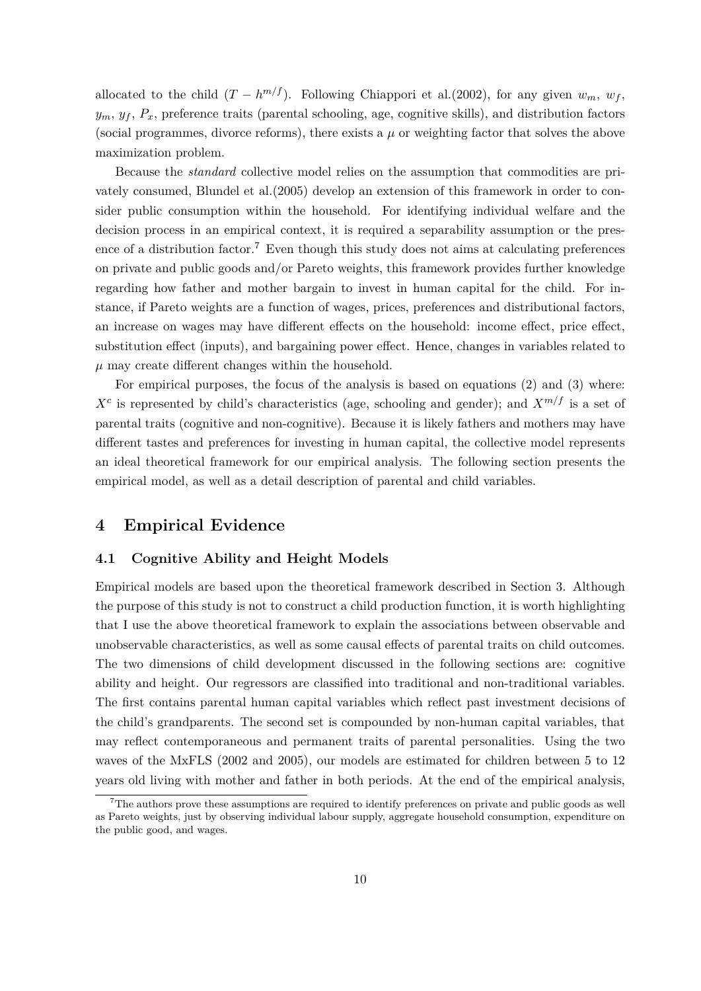allocated to the child  $(T - h^{m/f})$ . Following Chiappori et al.(2002), for any given  $w_m$ ,  $w_f$ ,  $y_m, y_f, P_x$ , preference traits (parental schooling, age, cognitive skills), and distribution factors (social programmes, divorce reforms), there exists a  $\mu$  or weighting factor that solves the above maximization problem.

Because the *standard* collective model relies on the assumption that commodities are privately consumed, Blundel et al.(2005) develop an extension of this framework in order to consider public consumption within the household. For identifying individual welfare and the decision process in an empirical context, it is required a separability assumption or the presence of a distribution factor.<sup>7</sup> Even though this study does not aims at calculating preferences on private and public goods and/or Pareto weights, this framework provides further knowledge regarding how father and mother bargain to invest in human capital for the child. For instance, if Pareto weights are a function of wages, prices, preferences and distributional factors, an increase on wages may have different effects on the household: income effect, price effect, substitution effect (inputs), and bargaining power effect. Hence, changes in variables related to  $\mu$  may create different changes within the household.

For empirical purposes, the focus of the analysis is based on equations (2) and (3) where:  $X<sup>c</sup>$  is represented by child's characteristics (age, schooling and gender); and  $X<sup>m/f</sup>$  is a set of parental traits (cognitive and non-cognitive). Because it is likely fathers and mothers may have different tastes and preferences for investing in human capital, the collective model represents an ideal theoretical framework for our empirical analysis. The following section presents the empirical model, as well as a detail description of parental and child variables.

### **4 Empirical Evidence**

#### **4.1 Cognitive Ability and Height Models**

Empirical models are based upon the theoretical framework described in Section 3. Although the purpose of this study is not to construct a child production function, it is worth highlighting that I use the above theoretical framework to explain the associations between observable and unobservable characteristics, as well as some causal effects of parental traits on child outcomes. The two dimensions of child development discussed in the following sections are: cognitive ability and height. Our regressors are classified into traditional and non-traditional variables. The first contains parental human capital variables which reflect past investment decisions of the child's grandparents. The second set is compounded by non-human capital variables, that may reflect contemporaneous and permanent traits of parental personalities. Using the two waves of the MxFLS (2002 and 2005), our models are estimated for children between 5 to 12 years old living with mother and father in both periods. At the end of the empirical analysis,

<sup>7</sup>The authors prove these assumptions are required to identify preferences on private and public goods as well as Pareto weights, just by observing individual labour supply, aggregate household consumption, expenditure on the public good, and wages.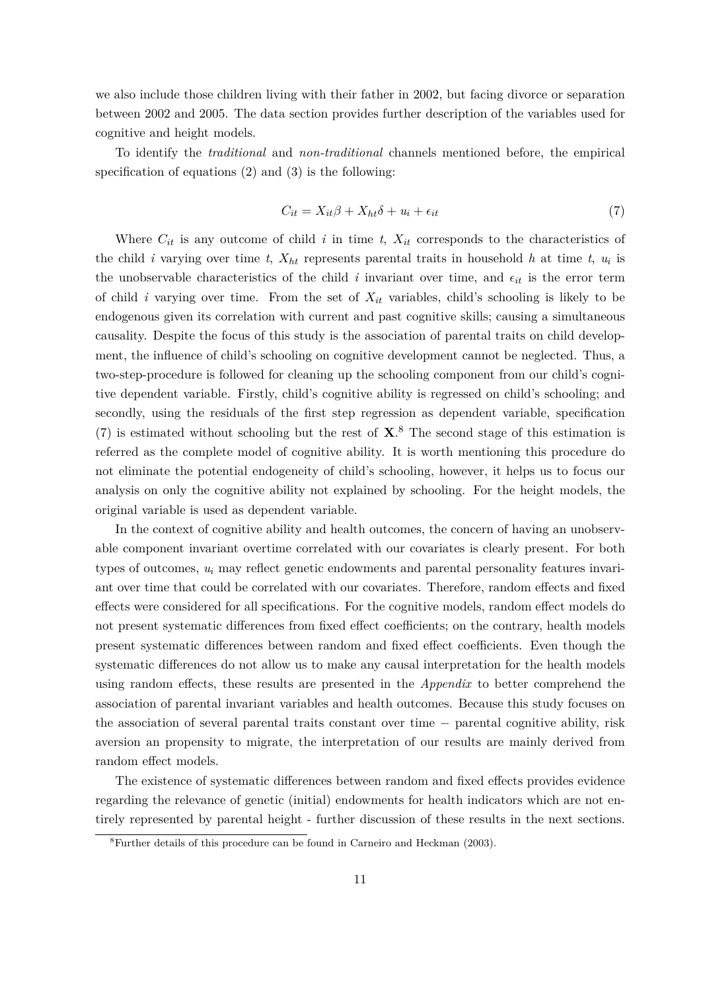we also include those children living with their father in 2002, but facing divorce or separation between 2002 and 2005. The data section provides further description of the variables used for cognitive and height models.

To identify the *traditional* and *non-traditional* channels mentioned before, the empirical specification of equations  $(2)$  and  $(3)$  is the following:

$$
C_{it} = X_{it}\beta + X_{ht}\delta + u_i + \epsilon_{it} \tag{7}
$$

Where  $C_{it}$  is any outcome of child *i* in time *t*,  $X_{it}$  corresponds to the characteristics of the child *i* varying over time *t*,  $X_{ht}$  represents parental traits in household *h* at time *t*,  $u_i$  is the unobservable characteristics of the child  $i$  invariant over time, and  $\epsilon_{it}$  is the error term of child *i* varying over time. From the set of *Xit* variables, child's schooling is likely to be endogenous given its correlation with current and past cognitive skills; causing a simultaneous causality. Despite the focus of this study is the association of parental traits on child development, the influence of child's schooling on cognitive development cannot be neglected. Thus, a two-step-procedure is followed for cleaning up the schooling component from our child's cognitive dependent variable. Firstly, child's cognitive ability is regressed on child's schooling; and secondly, using the residuals of the first step regression as dependent variable, specification (7) is estimated without schooling but the rest of **X**. <sup>8</sup> The second stage of this estimation is referred as the complete model of cognitive ability. It is worth mentioning this procedure do not eliminate the potential endogeneity of child's schooling, however, it helps us to focus our analysis on only the cognitive ability not explained by schooling. For the height models, the original variable is used as dependent variable.

In the context of cognitive ability and health outcomes, the concern of having an unobservable component invariant overtime correlated with our covariates is clearly present. For both types of outcomes, *u<sup>i</sup>* may reflect genetic endowments and parental personality features invariant over time that could be correlated with our covariates. Therefore, random effects and fixed effects were considered for all specifications. For the cognitive models, random effect models do not present systematic differences from fixed effect coefficients; on the contrary, health models present systematic differences between random and fixed effect coefficients. Even though the systematic differences do not allow us to make any causal interpretation for the health models using random effects, these results are presented in the *Appendix* to better comprehend the association of parental invariant variables and health outcomes. Because this study focuses on the association of several parental traits constant over time − parental cognitive ability, risk aversion an propensity to migrate, the interpretation of our results are mainly derived from random effect models.

The existence of systematic differences between random and fixed effects provides evidence regarding the relevance of genetic (initial) endowments for health indicators which are not entirely represented by parental height - further discussion of these results in the next sections.

<sup>8</sup>Further details of this procedure can be found in Carneiro and Heckman (2003).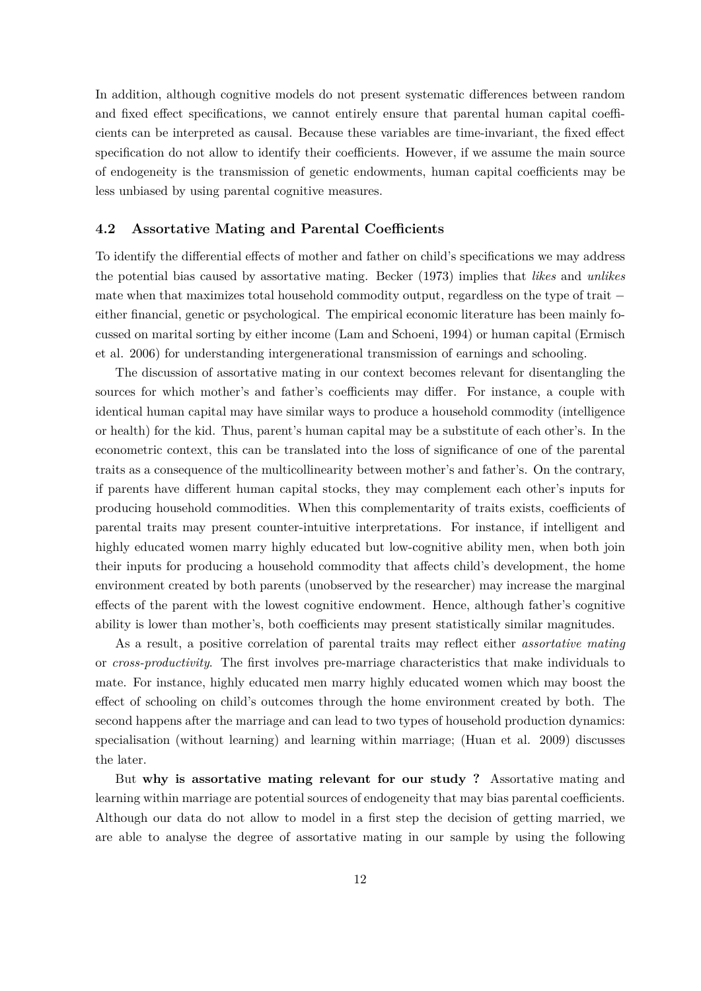In addition, although cognitive models do not present systematic differences between random and fixed effect specifications, we cannot entirely ensure that parental human capital coefficients can be interpreted as causal. Because these variables are time-invariant, the fixed effect specification do not allow to identify their coefficients. However, if we assume the main source of endogeneity is the transmission of genetic endowments, human capital coefficients may be less unbiased by using parental cognitive measures.

#### **4.2 Assortative Mating and Parental Coefficients**

To identify the differential effects of mother and father on child's specifications we may address the potential bias caused by assortative mating. Becker (1973) implies that *likes* and *unlikes* mate when that maximizes total household commodity output, regardless on the type of trait − either financial, genetic or psychological. The empirical economic literature has been mainly focussed on marital sorting by either income (Lam and Schoeni, 1994) or human capital (Ermisch et al. 2006) for understanding intergenerational transmission of earnings and schooling.

The discussion of assortative mating in our context becomes relevant for disentangling the sources for which mother's and father's coefficients may differ. For instance, a couple with identical human capital may have similar ways to produce a household commodity (intelligence or health) for the kid. Thus, parent's human capital may be a substitute of each other's. In the econometric context, this can be translated into the loss of significance of one of the parental traits as a consequence of the multicollinearity between mother's and father's. On the contrary, if parents have different human capital stocks, they may complement each other's inputs for producing household commodities. When this complementarity of traits exists, coefficients of parental traits may present counter-intuitive interpretations. For instance, if intelligent and highly educated women marry highly educated but low-cognitive ability men, when both join their inputs for producing a household commodity that affects child's development, the home environment created by both parents (unobserved by the researcher) may increase the marginal effects of the parent with the lowest cognitive endowment. Hence, although father's cognitive ability is lower than mother's, both coefficients may present statistically similar magnitudes.

As a result, a positive correlation of parental traits may reflect either *assortative mating* or *cross-productivity*. The first involves pre-marriage characteristics that make individuals to mate. For instance, highly educated men marry highly educated women which may boost the effect of schooling on child's outcomes through the home environment created by both. The second happens after the marriage and can lead to two types of household production dynamics: specialisation (without learning) and learning within marriage; (Huan et al. 2009) discusses the later.

But **why is assortative mating relevant for our study ?** Assortative mating and learning within marriage are potential sources of endogeneity that may bias parental coefficients. Although our data do not allow to model in a first step the decision of getting married, we are able to analyse the degree of assortative mating in our sample by using the following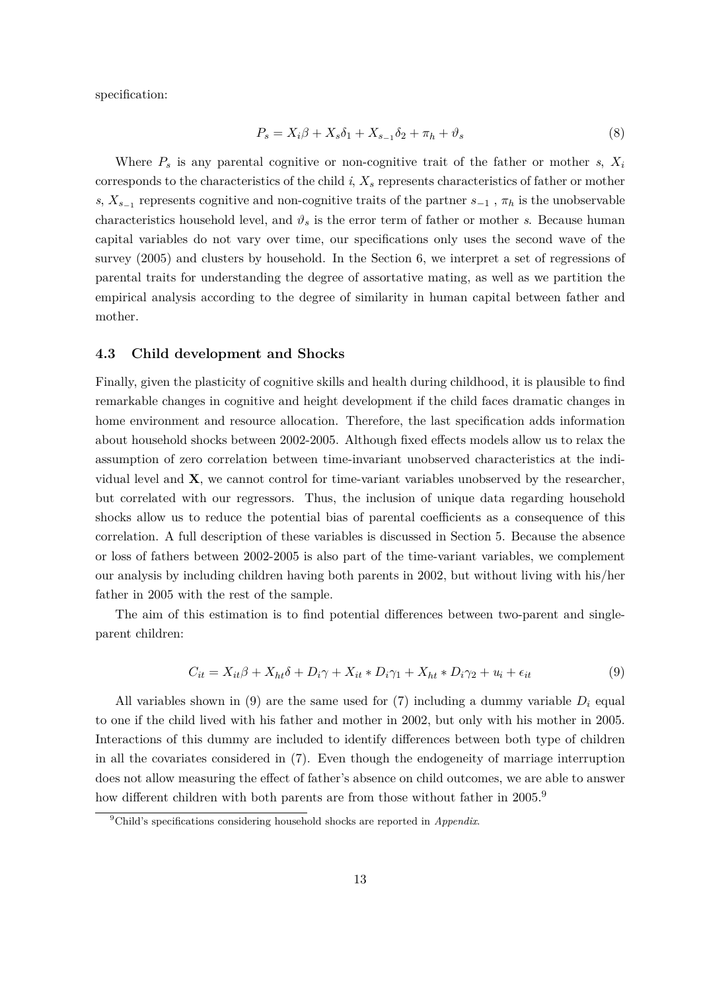specification:

$$
P_s = X_i \beta + X_s \delta_1 + X_{s-1} \delta_2 + \pi_h + \vartheta_s \tag{8}
$$

Where  $P_s$  is any parental cognitive or non-cognitive trait of the father or mother  $s$ ,  $X_i$ corresponds to the characteristics of the child *i*, *X<sup>s</sup>* represents characteristics of father or mother *s*,  $X_{s-1}$  represents cognitive and non-cognitive traits of the partner  $s_{-1}$ ,  $\pi_h$  is the unobservable characteristics household level, and  $\vartheta_s$  is the error term of father or mother *s*. Because human capital variables do not vary over time, our specifications only uses the second wave of the survey (2005) and clusters by household. In the Section 6, we interpret a set of regressions of parental traits for understanding the degree of assortative mating, as well as we partition the empirical analysis according to the degree of similarity in human capital between father and mother.

#### **4.3 Child development and Shocks**

Finally, given the plasticity of cognitive skills and health during childhood, it is plausible to find remarkable changes in cognitive and height development if the child faces dramatic changes in home environment and resource allocation. Therefore, the last specification adds information about household shocks between 2002-2005. Although fixed effects models allow us to relax the assumption of zero correlation between time-invariant unobserved characteristics at the individual level and **X**, we cannot control for time-variant variables unobserved by the researcher, but correlated with our regressors. Thus, the inclusion of unique data regarding household shocks allow us to reduce the potential bias of parental coefficients as a consequence of this correlation. A full description of these variables is discussed in Section 5. Because the absence or loss of fathers between 2002-2005 is also part of the time-variant variables, we complement our analysis by including children having both parents in 2002, but without living with his/her father in 2005 with the rest of the sample.

The aim of this estimation is to find potential differences between two-parent and singleparent children:

$$
C_{it} = X_{it}\beta + X_{ht}\delta + D_i\gamma + X_{it} * D_i\gamma_1 + X_{ht} * D_i\gamma_2 + u_i + \epsilon_{it}
$$
\n
$$
(9)
$$

All variables shown in (9) are the same used for  $(7)$  including a dummy variable  $D<sub>i</sub>$  equal to one if the child lived with his father and mother in 2002, but only with his mother in 2005. Interactions of this dummy are included to identify differences between both type of children in all the covariates considered in (7). Even though the endogeneity of marriage interruption does not allow measuring the effect of father's absence on child outcomes, we are able to answer how different children with both parents are from those without father in 2005.<sup>9</sup>

<sup>9</sup>Child's specifications considering household shocks are reported in *Appendix*.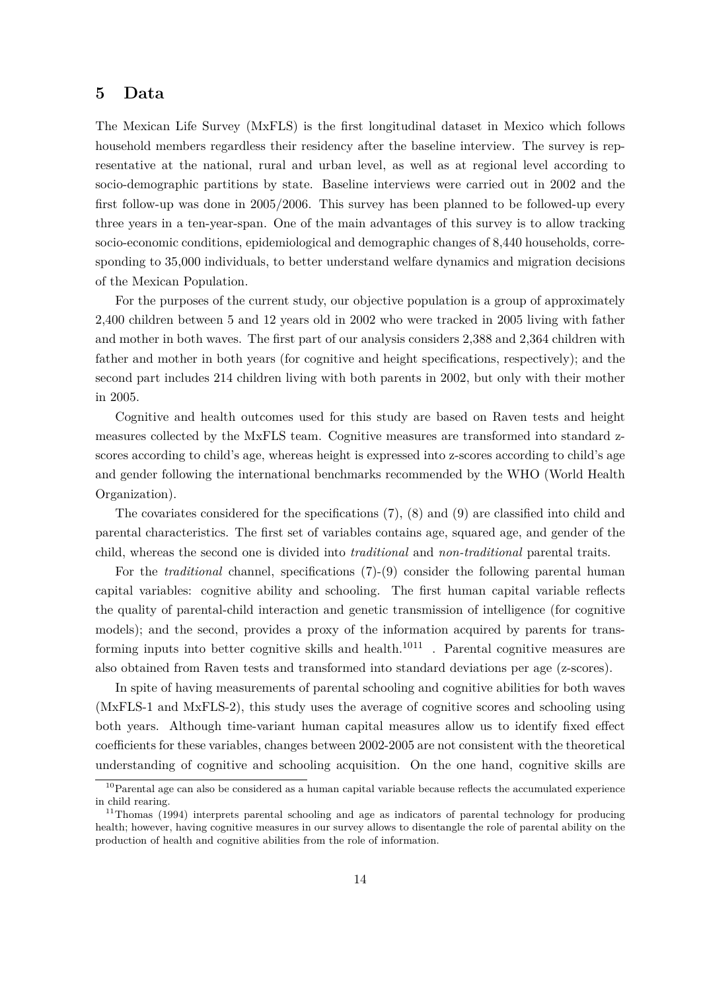## **5 Data**

The Mexican Life Survey (MxFLS) is the first longitudinal dataset in Mexico which follows household members regardless their residency after the baseline interview. The survey is representative at the national, rural and urban level, as well as at regional level according to socio-demographic partitions by state. Baseline interviews were carried out in 2002 and the first follow-up was done in 2005/2006. This survey has been planned to be followed-up every three years in a ten-year-span. One of the main advantages of this survey is to allow tracking socio-economic conditions, epidemiological and demographic changes of 8,440 households, corresponding to 35,000 individuals, to better understand welfare dynamics and migration decisions of the Mexican Population.

For the purposes of the current study, our objective population is a group of approximately 2,400 children between 5 and 12 years old in 2002 who were tracked in 2005 living with father and mother in both waves. The first part of our analysis considers 2,388 and 2,364 children with father and mother in both years (for cognitive and height specifications, respectively); and the second part includes 214 children living with both parents in 2002, but only with their mother in 2005.

Cognitive and health outcomes used for this study are based on Raven tests and height measures collected by the MxFLS team. Cognitive measures are transformed into standard zscores according to child's age, whereas height is expressed into z-scores according to child's age and gender following the international benchmarks recommended by the WHO (World Health Organization).

The covariates considered for the specifications (7), (8) and (9) are classified into child and parental characteristics. The first set of variables contains age, squared age, and gender of the child, whereas the second one is divided into *traditional* and *non-traditional* parental traits.

For the *traditional* channel, specifications (7)-(9) consider the following parental human capital variables: cognitive ability and schooling. The first human capital variable reflects the quality of parental-child interaction and genetic transmission of intelligence (for cognitive models); and the second, provides a proxy of the information acquired by parents for transforming inputs into better cognitive skills and health.<sup>1011</sup> . Parental cognitive measures are also obtained from Raven tests and transformed into standard deviations per age (z-scores).

In spite of having measurements of parental schooling and cognitive abilities for both waves (MxFLS-1 and MxFLS-2), this study uses the average of cognitive scores and schooling using both years. Although time-variant human capital measures allow us to identify fixed effect coefficients for these variables, changes between 2002-2005 are not consistent with the theoretical understanding of cognitive and schooling acquisition. On the one hand, cognitive skills are

<sup>&</sup>lt;sup>10</sup>Parental age can also be considered as a human capital variable because reflects the accumulated experience in child rearing.

<sup>&</sup>lt;sup>11</sup>Thomas (1994) interprets parental schooling and age as indicators of parental technology for producing health; however, having cognitive measures in our survey allows to disentangle the role of parental ability on the production of health and cognitive abilities from the role of information.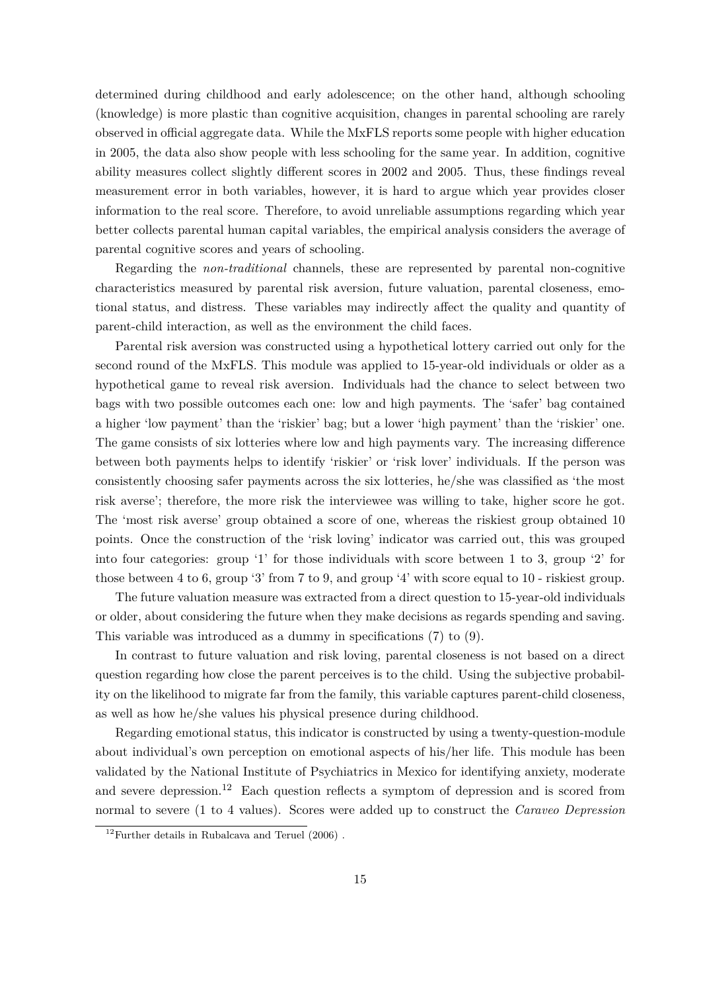determined during childhood and early adolescence; on the other hand, although schooling (knowledge) is more plastic than cognitive acquisition, changes in parental schooling are rarely observed in official aggregate data. While the MxFLS reports some people with higher education in 2005, the data also show people with less schooling for the same year. In addition, cognitive ability measures collect slightly different scores in 2002 and 2005. Thus, these findings reveal measurement error in both variables, however, it is hard to argue which year provides closer information to the real score. Therefore, to avoid unreliable assumptions regarding which year better collects parental human capital variables, the empirical analysis considers the average of parental cognitive scores and years of schooling.

Regarding the *non-traditional* channels, these are represented by parental non-cognitive characteristics measured by parental risk aversion, future valuation, parental closeness, emotional status, and distress. These variables may indirectly affect the quality and quantity of parent-child interaction, as well as the environment the child faces.

Parental risk aversion was constructed using a hypothetical lottery carried out only for the second round of the MxFLS. This module was applied to 15-year-old individuals or older as a hypothetical game to reveal risk aversion. Individuals had the chance to select between two bags with two possible outcomes each one: low and high payments. The 'safer' bag contained a higher 'low payment' than the 'riskier' bag; but a lower 'high payment' than the 'riskier' one. The game consists of six lotteries where low and high payments vary. The increasing difference between both payments helps to identify 'riskier' or 'risk lover' individuals. If the person was consistently choosing safer payments across the six lotteries, he/she was classified as 'the most risk averse'; therefore, the more risk the interviewee was willing to take, higher score he got. The 'most risk averse' group obtained a score of one, whereas the riskiest group obtained 10 points. Once the construction of the 'risk loving' indicator was carried out, this was grouped into four categories: group '1' for those individuals with score between 1 to 3, group '2' for those between 4 to 6, group '3' from 7 to 9, and group '4' with score equal to 10 - riskiest group.

The future valuation measure was extracted from a direct question to 15-year-old individuals or older, about considering the future when they make decisions as regards spending and saving. This variable was introduced as a dummy in specifications (7) to (9).

In contrast to future valuation and risk loving, parental closeness is not based on a direct question regarding how close the parent perceives is to the child. Using the subjective probability on the likelihood to migrate far from the family, this variable captures parent-child closeness, as well as how he/she values his physical presence during childhood.

Regarding emotional status, this indicator is constructed by using a twenty-question-module about individual's own perception on emotional aspects of his/her life. This module has been validated by the National Institute of Psychiatrics in Mexico for identifying anxiety, moderate and severe depression.<sup>12</sup> Each question reflects a symptom of depression and is scored from normal to severe (1 to 4 values). Scores were added up to construct the *Caraveo Depression*

 $12$ Further details in Rubalcava and Teruel (2006).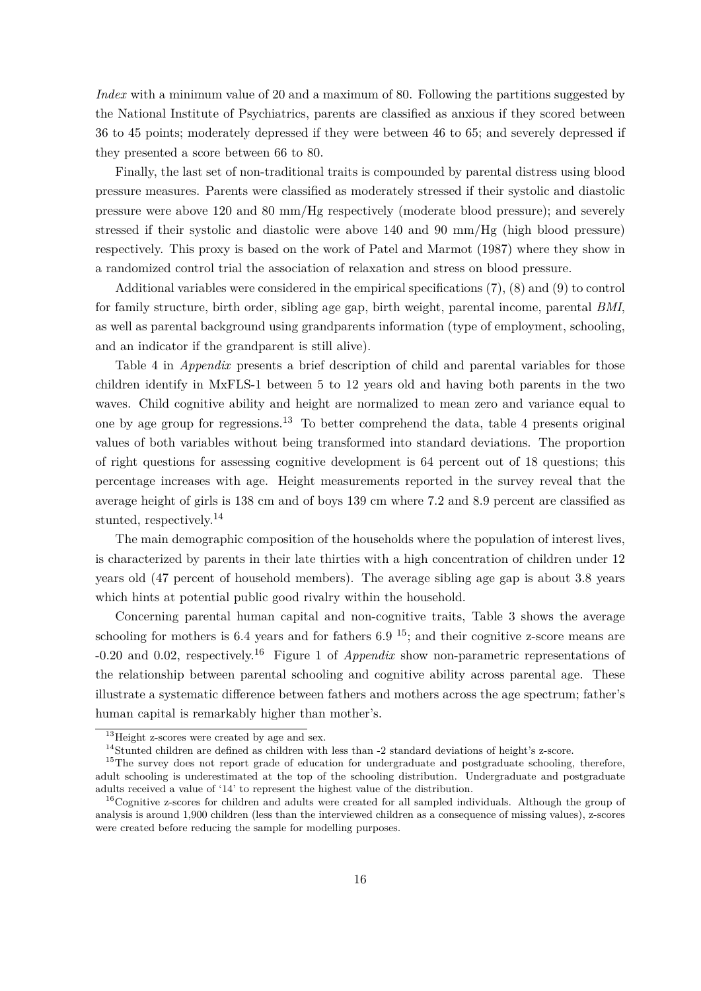*Index* with a minimum value of 20 and a maximum of 80. Following the partitions suggested by the National Institute of Psychiatrics, parents are classified as anxious if they scored between 36 to 45 points; moderately depressed if they were between 46 to 65; and severely depressed if they presented a score between 66 to 80.

Finally, the last set of non-traditional traits is compounded by parental distress using blood pressure measures. Parents were classified as moderately stressed if their systolic and diastolic pressure were above 120 and 80 mm/Hg respectively (moderate blood pressure); and severely stressed if their systolic and diastolic were above 140 and 90 mm/Hg (high blood pressure) respectively. This proxy is based on the work of Patel and Marmot (1987) where they show in a randomized control trial the association of relaxation and stress on blood pressure.

Additional variables were considered in the empirical specifications (7), (8) and (9) to control for family structure, birth order, sibling age gap, birth weight, parental income, parental *BMI*, as well as parental background using grandparents information (type of employment, schooling, and an indicator if the grandparent is still alive).

Table 4 in *Appendix* presents a brief description of child and parental variables for those children identify in MxFLS-1 between 5 to 12 years old and having both parents in the two waves. Child cognitive ability and height are normalized to mean zero and variance equal to one by age group for regressions.<sup>13</sup> To better comprehend the data, table 4 presents original values of both variables without being transformed into standard deviations. The proportion of right questions for assessing cognitive development is 64 percent out of 18 questions; this percentage increases with age. Height measurements reported in the survey reveal that the average height of girls is 138 cm and of boys 139 cm where 7.2 and 8.9 percent are classified as stunted, respectively.<sup>14</sup>

The main demographic composition of the households where the population of interest lives, is characterized by parents in their late thirties with a high concentration of children under 12 years old (47 percent of household members). The average sibling age gap is about 3.8 years which hints at potential public good rivalry within the household.

Concerning parental human capital and non-cognitive traits, Table 3 shows the average schooling for mothers is 6.4 years and for fathers 6.9<sup>15</sup>; and their cognitive z-score means are -0.20 and 0.02, respectively.<sup>16</sup> Figure 1 of *Appendix* show non-parametric representations of the relationship between parental schooling and cognitive ability across parental age. These illustrate a systematic difference between fathers and mothers across the age spectrum; father's human capital is remarkably higher than mother's.

<sup>&</sup>lt;sup>13</sup>Height z-scores were created by age and sex.

<sup>&</sup>lt;sup>14</sup>Stunted children are defined as children with less than -2 standard deviations of height's z-score.

<sup>&</sup>lt;sup>15</sup>The survey does not report grade of education for undergraduate and postgraduate schooling, therefore, adult schooling is underestimated at the top of the schooling distribution. Undergraduate and postgraduate adults received a value of '14' to represent the highest value of the distribution.

<sup>&</sup>lt;sup>16</sup>Cognitive z-scores for children and adults were created for all sampled individuals. Although the group of analysis is around 1,900 children (less than the interviewed children as a consequence of missing values), z-scores were created before reducing the sample for modelling purposes.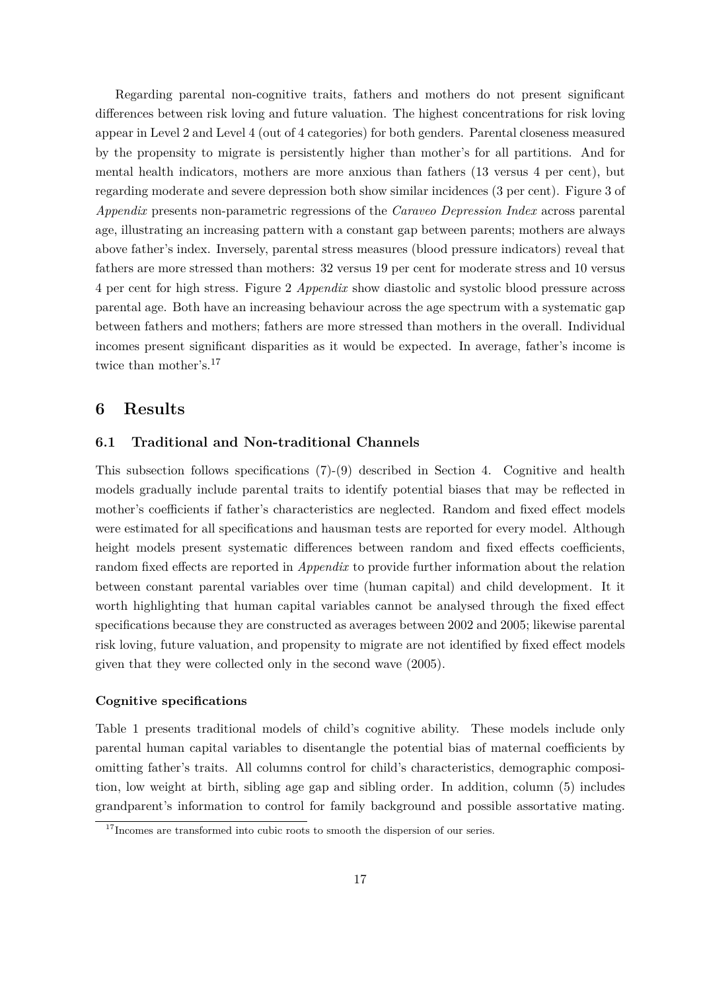Regarding parental non-cognitive traits, fathers and mothers do not present significant differences between risk loving and future valuation. The highest concentrations for risk loving appear in Level 2 and Level 4 (out of 4 categories) for both genders. Parental closeness measured by the propensity to migrate is persistently higher than mother's for all partitions. And for mental health indicators, mothers are more anxious than fathers (13 versus 4 per cent), but regarding moderate and severe depression both show similar incidences (3 per cent). Figure 3 of *Appendix* presents non-parametric regressions of the *Caraveo Depression Index* across parental age, illustrating an increasing pattern with a constant gap between parents; mothers are always above father's index. Inversely, parental stress measures (blood pressure indicators) reveal that fathers are more stressed than mothers: 32 versus 19 per cent for moderate stress and 10 versus 4 per cent for high stress. Figure 2 *Appendix* show diastolic and systolic blood pressure across parental age. Both have an increasing behaviour across the age spectrum with a systematic gap between fathers and mothers; fathers are more stressed than mothers in the overall. Individual incomes present significant disparities as it would be expected. In average, father's income is twice than mother's.<sup>17</sup>

#### **6 Results**

#### **6.1 Traditional and Non-traditional Channels**

This subsection follows specifications (7)-(9) described in Section 4. Cognitive and health models gradually include parental traits to identify potential biases that may be reflected in mother's coefficients if father's characteristics are neglected. Random and fixed effect models were estimated for all specifications and hausman tests are reported for every model. Although height models present systematic differences between random and fixed effects coefficients, random fixed effects are reported in *Appendix* to provide further information about the relation between constant parental variables over time (human capital) and child development. It it worth highlighting that human capital variables cannot be analysed through the fixed effect specifications because they are constructed as averages between 2002 and 2005; likewise parental risk loving, future valuation, and propensity to migrate are not identified by fixed effect models given that they were collected only in the second wave (2005).

#### **Cognitive specifications**

Table 1 presents traditional models of child's cognitive ability. These models include only parental human capital variables to disentangle the potential bias of maternal coefficients by omitting father's traits. All columns control for child's characteristics, demographic composition, low weight at birth, sibling age gap and sibling order. In addition, column (5) includes grandparent's information to control for family background and possible assortative mating.

 $^{17}{\rm Incomes}$  are transformed into cubic roots to smooth the dispersion of our series.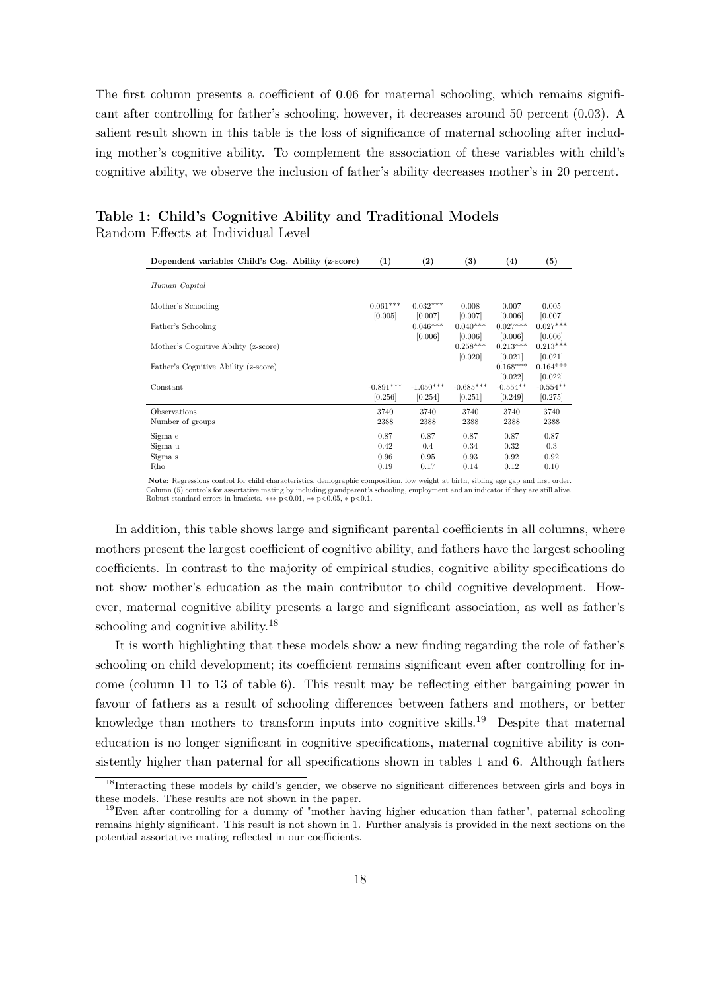The first column presents a coefficient of 0.06 for maternal schooling, which remains significant after controlling for father's schooling, however, it decreases around 50 percent (0.03). A salient result shown in this table is the loss of significance of maternal schooling after including mother's cognitive ability. To complement the association of these variables with child's cognitive ability, we observe the inclusion of father's ability decreases mother's in 20 percent.

| Dependent variable: Child's Cog. Ability (z-score) | (1)         | $\left( 2\right)$ | (3)         | $\left( 4\right)$ | (5)        |
|----------------------------------------------------|-------------|-------------------|-------------|-------------------|------------|
|                                                    |             |                   |             |                   |            |
| Human Capital                                      |             |                   |             |                   |            |
| Mother's Schooling                                 | $0.061***$  | $0.032***$        | 0.008       | 0.007             | 0.005      |
|                                                    | [0.005]     | [0.007]           | [0.007]     | [0.006]           | [0.007]    |
| Father's Schooling                                 |             | $0.046***$        | $0.040***$  | $0.027***$        | $0.027***$ |
|                                                    |             | [0.006]           | [0.006]     | [0.006]           | [0.006]    |
| Mother's Cognitive Ability (z-score)               |             |                   | $0.258***$  | $0.213***$        | $0.213***$ |
|                                                    |             |                   | [0.020]     | [0.021]           | [0.021]    |
| Father's Cognitive Ability (z-score)               |             |                   |             | $0.168***$        | $0.164***$ |
|                                                    |             |                   |             | [0.022]           | [0.022]    |
| Constant                                           | $-0.891***$ | $-1.050***$       | $-0.685***$ | $-0.554**$        | $-0.554**$ |
|                                                    | [0.256]     | [0.254]           | [0.251]     | [0.249]           | [0.275]    |
| Observations                                       | 3740        | 3740              | 3740        | 3740              | 3740       |
| Number of groups                                   | 2388        | 2388              | 2388        | 2388              | 2388       |
| Sigma e                                            | 0.87        | 0.87              | 0.87        | 0.87              | 0.87       |
| Sigma u                                            | 0.42        | 0.4               | 0.34        | 0.32              | 0.3        |
| Sigma s                                            | 0.96        | 0.95              | 0.93        | 0.92              | 0.92       |
| Rho                                                | 0.19        | 0.17              | 0.14        | 0.12              | 0.10       |

|                                    | Table 1: Child's Cognitive Ability and Traditional Models |  |
|------------------------------------|-----------------------------------------------------------|--|
| Random Effects at Individual Level |                                                           |  |

**Note:** Regressions control for child characteristics, demographic composition, low weight at birth, sibling age gap and first order. Column (5) controls for assortative mating by including grandparent's schooling, employment and an indicator if they are still alive. Robust standard errors in brackets. ∗∗∗ <sup>p</sup>*<*0.01, ∗∗ <sup>p</sup>*<*0.05, <sup>∗</sup> <sup>p</sup>*<*0.1.

In addition, this table shows large and significant parental coefficients in all columns, where mothers present the largest coefficient of cognitive ability, and fathers have the largest schooling coefficients. In contrast to the majority of empirical studies, cognitive ability specifications do not show mother's education as the main contributor to child cognitive development. However, maternal cognitive ability presents a large and significant association, as well as father's schooling and cognitive ability.<sup>18</sup>

It is worth highlighting that these models show a new finding regarding the role of father's schooling on child development; its coefficient remains significant even after controlling for income (column 11 to 13 of table 6). This result may be reflecting either bargaining power in favour of fathers as a result of schooling differences between fathers and mothers, or better knowledge than mothers to transform inputs into cognitive skills.<sup>19</sup> Despite that maternal education is no longer significant in cognitive specifications, maternal cognitive ability is consistently higher than paternal for all specifications shown in tables 1 and 6. Although fathers

<sup>&</sup>lt;sup>18</sup>Interacting these models by child's gender, we observe no significant differences between girls and boys in these models. These results are not shown in the paper.

<sup>19</sup>Even after controlling for a dummy of "mother having higher education than father", paternal schooling remains highly significant. This result is not shown in 1. Further analysis is provided in the next sections on the potential assortative mating reflected in our coefficients.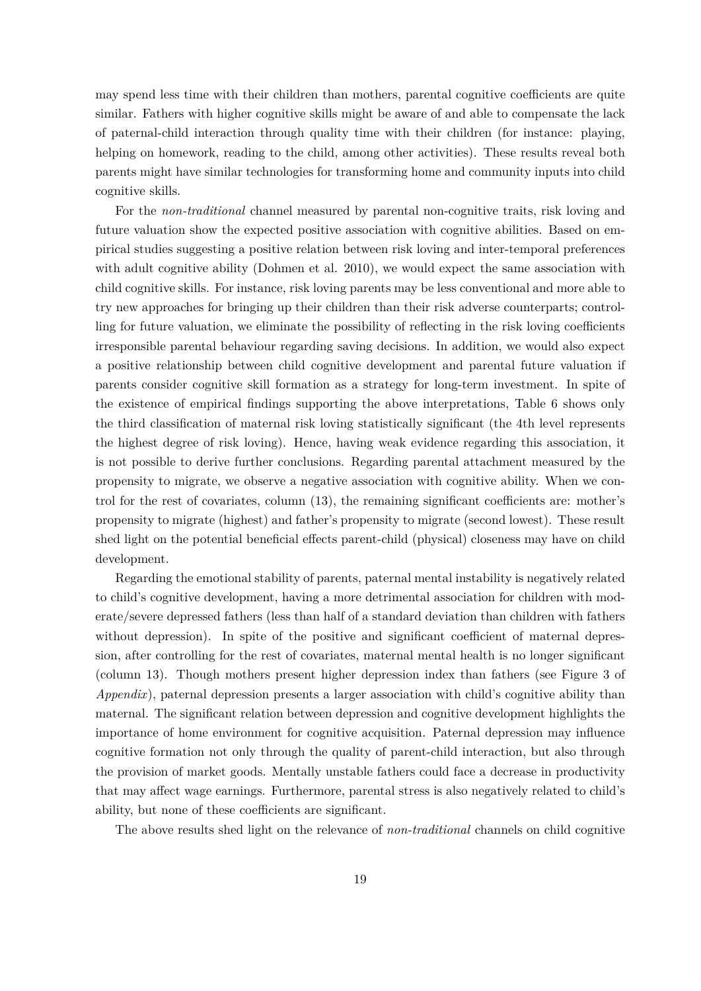may spend less time with their children than mothers, parental cognitive coefficients are quite similar. Fathers with higher cognitive skills might be aware of and able to compensate the lack of paternal-child interaction through quality time with their children (for instance: playing, helping on homework, reading to the child, among other activities). These results reveal both parents might have similar technologies for transforming home and community inputs into child cognitive skills.

For the *non-traditional* channel measured by parental non-cognitive traits, risk loving and future valuation show the expected positive association with cognitive abilities. Based on empirical studies suggesting a positive relation between risk loving and inter-temporal preferences with adult cognitive ability (Dohmen et al. 2010), we would expect the same association with child cognitive skills. For instance, risk loving parents may be less conventional and more able to try new approaches for bringing up their children than their risk adverse counterparts; controlling for future valuation, we eliminate the possibility of reflecting in the risk loving coefficients irresponsible parental behaviour regarding saving decisions. In addition, we would also expect a positive relationship between child cognitive development and parental future valuation if parents consider cognitive skill formation as a strategy for long-term investment. In spite of the existence of empirical findings supporting the above interpretations, Table 6 shows only the third classification of maternal risk loving statistically significant (the 4th level represents the highest degree of risk loving). Hence, having weak evidence regarding this association, it is not possible to derive further conclusions. Regarding parental attachment measured by the propensity to migrate, we observe a negative association with cognitive ability. When we control for the rest of covariates, column (13), the remaining significant coefficients are: mother's propensity to migrate (highest) and father's propensity to migrate (second lowest). These result shed light on the potential beneficial effects parent-child (physical) closeness may have on child development.

Regarding the emotional stability of parents, paternal mental instability is negatively related to child's cognitive development, having a more detrimental association for children with moderate/severe depressed fathers (less than half of a standard deviation than children with fathers without depression). In spite of the positive and significant coefficient of maternal depression, after controlling for the rest of covariates, maternal mental health is no longer significant (column 13). Though mothers present higher depression index than fathers (see Figure 3 of *Appendix*), paternal depression presents a larger association with child's cognitive ability than maternal. The significant relation between depression and cognitive development highlights the importance of home environment for cognitive acquisition. Paternal depression may influence cognitive formation not only through the quality of parent-child interaction, but also through the provision of market goods. Mentally unstable fathers could face a decrease in productivity that may affect wage earnings. Furthermore, parental stress is also negatively related to child's ability, but none of these coefficients are significant.

The above results shed light on the relevance of *non-traditional* channels on child cognitive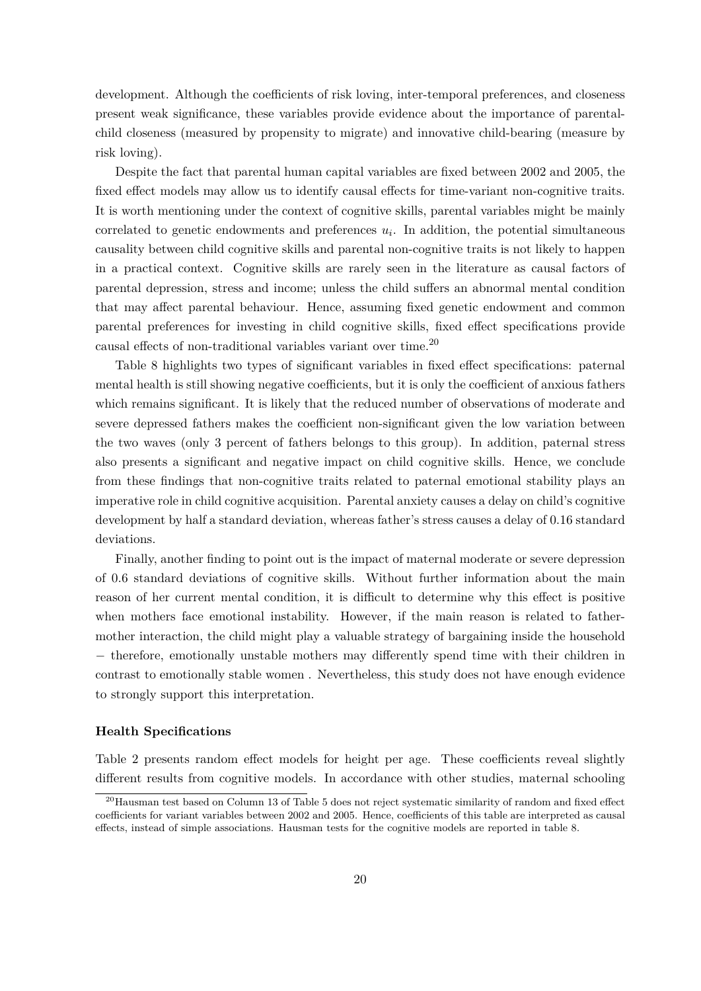development. Although the coefficients of risk loving, inter-temporal preferences, and closeness present weak significance, these variables provide evidence about the importance of parentalchild closeness (measured by propensity to migrate) and innovative child-bearing (measure by risk loving).

Despite the fact that parental human capital variables are fixed between 2002 and 2005, the fixed effect models may allow us to identify causal effects for time-variant non-cognitive traits. It is worth mentioning under the context of cognitive skills, parental variables might be mainly correlated to genetic endowments and preferences  $u_i$ . In addition, the potential simultaneous causality between child cognitive skills and parental non-cognitive traits is not likely to happen in a practical context. Cognitive skills are rarely seen in the literature as causal factors of parental depression, stress and income; unless the child suffers an abnormal mental condition that may affect parental behaviour. Hence, assuming fixed genetic endowment and common parental preferences for investing in child cognitive skills, fixed effect specifications provide causal effects of non-traditional variables variant over time.<sup>20</sup>

Table 8 highlights two types of significant variables in fixed effect specifications: paternal mental health is still showing negative coefficients, but it is only the coefficient of anxious fathers which remains significant. It is likely that the reduced number of observations of moderate and severe depressed fathers makes the coefficient non-significant given the low variation between the two waves (only 3 percent of fathers belongs to this group). In addition, paternal stress also presents a significant and negative impact on child cognitive skills. Hence, we conclude from these findings that non-cognitive traits related to paternal emotional stability plays an imperative role in child cognitive acquisition. Parental anxiety causes a delay on child's cognitive development by half a standard deviation, whereas father's stress causes a delay of 0.16 standard deviations.

Finally, another finding to point out is the impact of maternal moderate or severe depression of 0.6 standard deviations of cognitive skills. Without further information about the main reason of her current mental condition, it is difficult to determine why this effect is positive when mothers face emotional instability. However, if the main reason is related to fathermother interaction, the child might play a valuable strategy of bargaining inside the household − therefore, emotionally unstable mothers may differently spend time with their children in contrast to emotionally stable women . Nevertheless, this study does not have enough evidence to strongly support this interpretation.

#### **Health Specifications**

Table 2 presents random effect models for height per age. These coefficients reveal slightly different results from cognitive models. In accordance with other studies, maternal schooling

<sup>&</sup>lt;sup>20</sup>Hausman test based on Column 13 of Table 5 does not reject systematic similarity of random and fixed effect coefficients for variant variables between 2002 and 2005. Hence, coefficients of this table are interpreted as causal effects, instead of simple associations. Hausman tests for the cognitive models are reported in table 8.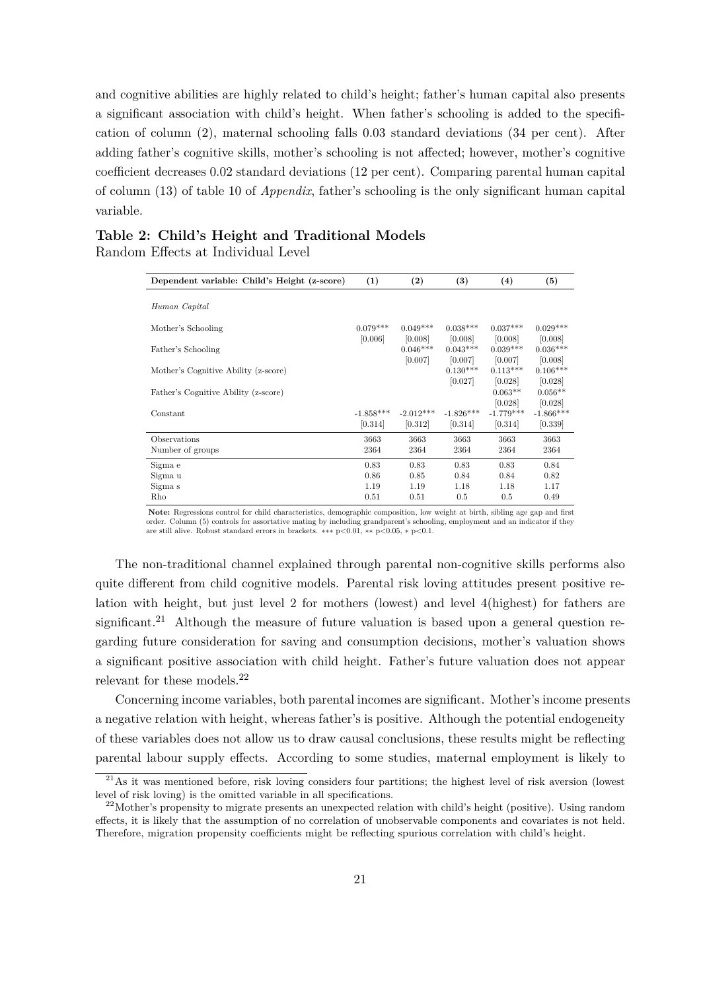and cognitive abilities are highly related to child's height; father's human capital also presents a significant association with child's height. When father's schooling is added to the specification of column (2), maternal schooling falls 0.03 standard deviations (34 per cent). After adding father's cognitive skills, mother's schooling is not affected; however, mother's cognitive coefficient decreases 0.02 standard deviations (12 per cent). Comparing parental human capital of column (13) of table 10 of *Appendix*, father's schooling is the only significant human capital variable.

#### **Table 2: Child's Height and Traditional Models** Random Effects at Individual Level

| Dependent variable: Child's Height (z-score) | (1)                    | $\left( 2\right)$      | $\bf (3)$              | (4)                    | (5)                    |
|----------------------------------------------|------------------------|------------------------|------------------------|------------------------|------------------------|
| Human Capital                                |                        |                        |                        |                        |                        |
| Mother's Schooling                           | $0.079***$<br>[0.006]  | $0.049***$<br>[0.008]  | $0.038***$<br>[0.008]  | $0.037***$<br>[0.008]  | $0.029***$<br>[0.008]  |
| Father's Schooling                           |                        | $0.046***$<br>[0.007]  | $0.043***$<br>[0.007]  | $0.039***$<br>[0.007]  | $0.036***$<br>[0.008]  |
| Mother's Cognitive Ability (z-score)         |                        |                        | $0.130***$<br>[0.027]  | $0.113***$<br>[0.028]  | $0.106***$<br>[0.028]  |
| Father's Cognitive Ability (z-score)         |                        |                        |                        | $0.063**$<br>[0.028]   | $0.056**$<br>[0.028]   |
| Constant                                     | $-1.858***$<br>[0.314] | $-2.012***$<br>[0.312] | $-1.826***$<br>[0.314] | $-1.779***$<br>[0.314] | $-1.866***$<br>[0.339] |
| Observations                                 | 3663                   | 3663                   | 3663                   | 3663                   | 3663                   |
| Number of groups                             | 2364                   | 2364                   | 2364                   | 2364                   | 2364                   |
| Sigma e                                      | 0.83                   | 0.83                   | 0.83                   | 0.83                   | 0.84                   |
| Sigma u                                      | 0.86                   | 0.85                   | 0.84                   | 0.84                   | 0.82                   |
| Sigma s                                      | 1.19                   | 1.19                   | 1.18                   | 1.18                   | 1.17                   |
| Rho                                          | 0.51                   | 0.51                   | 0.5                    | 0.5                    | 0.49                   |

**Note:** Regressions control for child characteristics, demographic composition, low weight at birth, sibling age gap and first order. Column (5) controls for assortative mating by including grandparent's schooling, employment and an indicator if they are still alive. Robust standard errors in brackets. ∗∗∗ <sup>p</sup>*<*0.01, ∗∗ <sup>p</sup>*<*0.05, <sup>∗</sup> <sup>p</sup>*<*0.1.

The non-traditional channel explained through parental non-cognitive skills performs also quite different from child cognitive models. Parental risk loving attitudes present positive relation with height, but just level 2 for mothers (lowest) and level 4(highest) for fathers are significant.<sup>21</sup> Although the measure of future valuation is based upon a general question regarding future consideration for saving and consumption decisions, mother's valuation shows a significant positive association with child height. Father's future valuation does not appear relevant for these models.<sup>22</sup>

Concerning income variables, both parental incomes are significant. Mother's income presents a negative relation with height, whereas father's is positive. Although the potential endogeneity of these variables does not allow us to draw causal conclusions, these results might be reflecting parental labour supply effects. According to some studies, maternal employment is likely to

 $21\text{As}$  it was mentioned before, risk loving considers four partitions; the highest level of risk aversion (lowest level of risk loving) is the omitted variable in all specifications.

 $^{22}$ Mother's propensity to migrate presents an unexpected relation with child's height (positive). Using random effects, it is likely that the assumption of no correlation of unobservable components and covariates is not held. Therefore, migration propensity coefficients might be reflecting spurious correlation with child's height.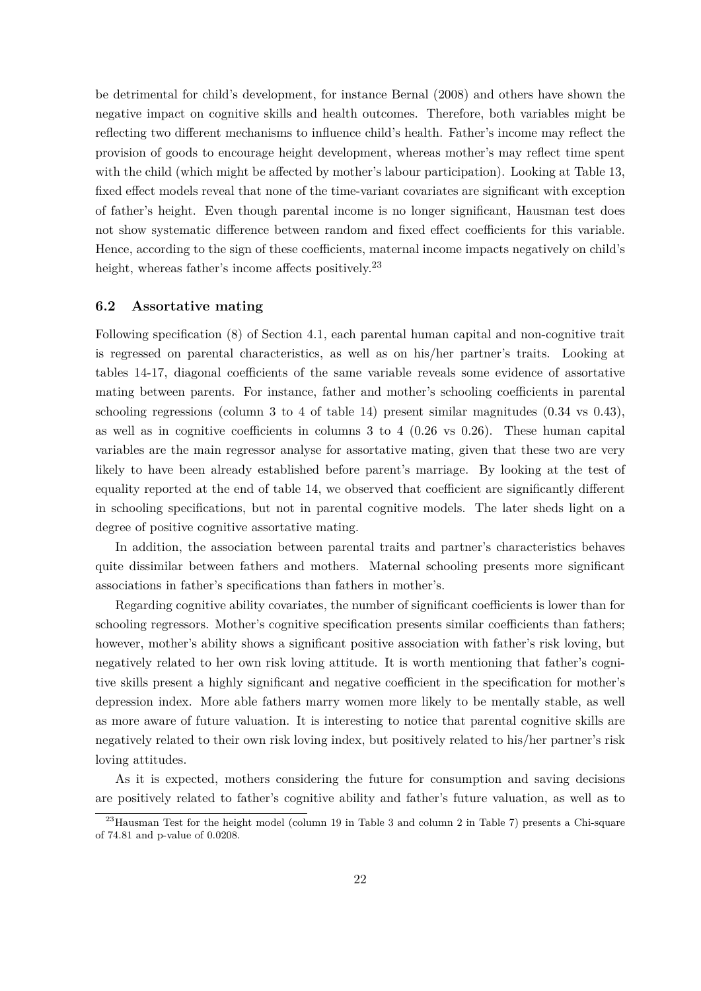be detrimental for child's development, for instance Bernal (2008) and others have shown the negative impact on cognitive skills and health outcomes. Therefore, both variables might be reflecting two different mechanisms to influence child's health. Father's income may reflect the provision of goods to encourage height development, whereas mother's may reflect time spent with the child (which might be affected by mother's labour participation). Looking at Table 13, fixed effect models reveal that none of the time-variant covariates are significant with exception of father's height. Even though parental income is no longer significant, Hausman test does not show systematic difference between random and fixed effect coefficients for this variable. Hence, according to the sign of these coefficients, maternal income impacts negatively on child's height, whereas father's income affects positively.<sup>23</sup>

#### **6.2 Assortative mating**

Following specification (8) of Section 4.1, each parental human capital and non-cognitive trait is regressed on parental characteristics, as well as on his/her partner's traits. Looking at tables 14-17, diagonal coefficients of the same variable reveals some evidence of assortative mating between parents. For instance, father and mother's schooling coefficients in parental schooling regressions (column 3 to 4 of table 14) present similar magnitudes (0.34 vs 0.43), as well as in cognitive coefficients in columns 3 to 4 (0.26 vs 0.26). These human capital variables are the main regressor analyse for assortative mating, given that these two are very likely to have been already established before parent's marriage. By looking at the test of equality reported at the end of table 14, we observed that coefficient are significantly different in schooling specifications, but not in parental cognitive models. The later sheds light on a degree of positive cognitive assortative mating.

In addition, the association between parental traits and partner's characteristics behaves quite dissimilar between fathers and mothers. Maternal schooling presents more significant associations in father's specifications than fathers in mother's.

Regarding cognitive ability covariates, the number of significant coefficients is lower than for schooling regressors. Mother's cognitive specification presents similar coefficients than fathers; however, mother's ability shows a significant positive association with father's risk loving, but negatively related to her own risk loving attitude. It is worth mentioning that father's cognitive skills present a highly significant and negative coefficient in the specification for mother's depression index. More able fathers marry women more likely to be mentally stable, as well as more aware of future valuation. It is interesting to notice that parental cognitive skills are negatively related to their own risk loving index, but positively related to his/her partner's risk loving attitudes.

As it is expected, mothers considering the future for consumption and saving decisions are positively related to father's cognitive ability and father's future valuation, as well as to

<sup>23</sup>Hausman Test for the height model (column 19 in Table 3 and column 2 in Table 7) presents a Chi-square of 74.81 and p-value of 0.0208.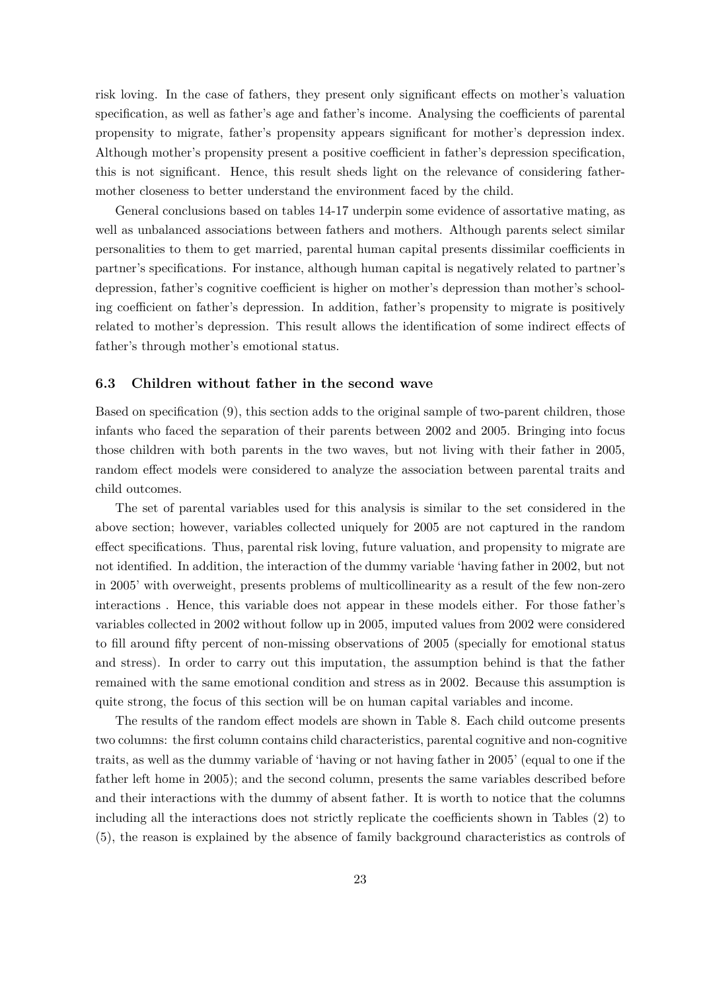risk loving. In the case of fathers, they present only significant effects on mother's valuation specification, as well as father's age and father's income. Analysing the coefficients of parental propensity to migrate, father's propensity appears significant for mother's depression index. Although mother's propensity present a positive coefficient in father's depression specification, this is not significant. Hence, this result sheds light on the relevance of considering fathermother closeness to better understand the environment faced by the child.

General conclusions based on tables 14-17 underpin some evidence of assortative mating, as well as unbalanced associations between fathers and mothers. Although parents select similar personalities to them to get married, parental human capital presents dissimilar coefficients in partner's specifications. For instance, although human capital is negatively related to partner's depression, father's cognitive coefficient is higher on mother's depression than mother's schooling coefficient on father's depression. In addition, father's propensity to migrate is positively related to mother's depression. This result allows the identification of some indirect effects of father's through mother's emotional status.

#### **6.3 Children without father in the second wave**

Based on specification (9), this section adds to the original sample of two-parent children, those infants who faced the separation of their parents between 2002 and 2005. Bringing into focus those children with both parents in the two waves, but not living with their father in 2005, random effect models were considered to analyze the association between parental traits and child outcomes.

The set of parental variables used for this analysis is similar to the set considered in the above section; however, variables collected uniquely for 2005 are not captured in the random effect specifications. Thus, parental risk loving, future valuation, and propensity to migrate are not identified. In addition, the interaction of the dummy variable 'having father in 2002, but not in 2005' with overweight, presents problems of multicollinearity as a result of the few non-zero interactions . Hence, this variable does not appear in these models either. For those father's variables collected in 2002 without follow up in 2005, imputed values from 2002 were considered to fill around fifty percent of non-missing observations of 2005 (specially for emotional status and stress). In order to carry out this imputation, the assumption behind is that the father remained with the same emotional condition and stress as in 2002. Because this assumption is quite strong, the focus of this section will be on human capital variables and income.

The results of the random effect models are shown in Table 8. Each child outcome presents two columns: the first column contains child characteristics, parental cognitive and non-cognitive traits, as well as the dummy variable of 'having or not having father in 2005' (equal to one if the father left home in 2005); and the second column, presents the same variables described before and their interactions with the dummy of absent father. It is worth to notice that the columns including all the interactions does not strictly replicate the coefficients shown in Tables (2) to (5), the reason is explained by the absence of family background characteristics as controls of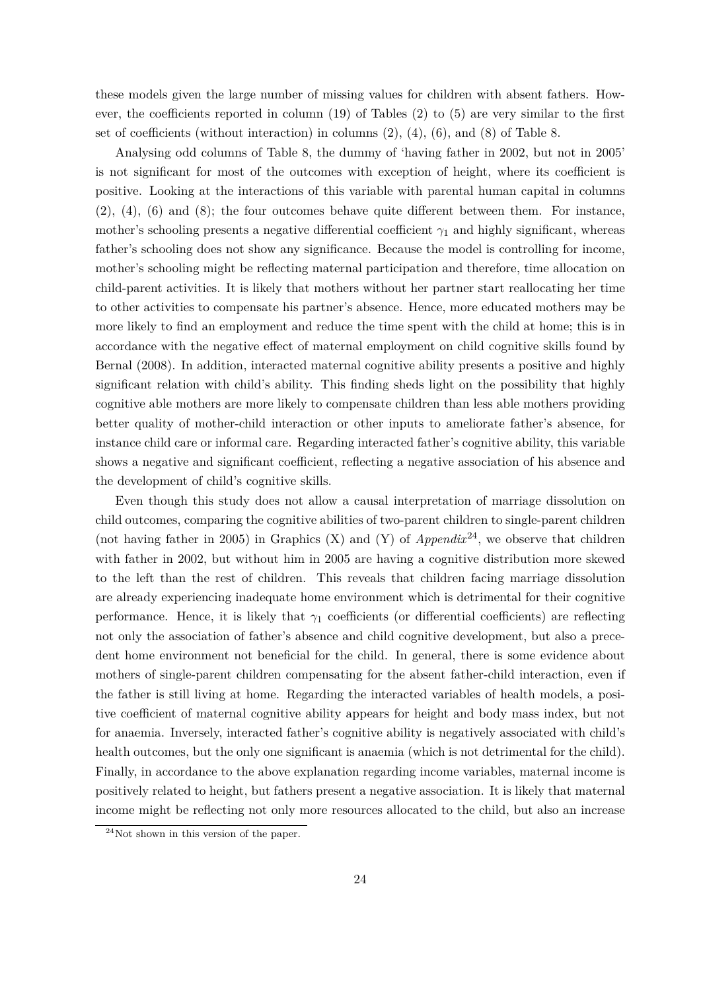these models given the large number of missing values for children with absent fathers. However, the coefficients reported in column (19) of Tables (2) to (5) are very similar to the first set of coefficients (without interaction) in columns  $(2)$ ,  $(4)$ ,  $(6)$ , and  $(8)$  of Table 8.

Analysing odd columns of Table 8, the dummy of 'having father in 2002, but not in 2005' is not significant for most of the outcomes with exception of height, where its coefficient is positive. Looking at the interactions of this variable with parental human capital in columns (2), (4), (6) and (8); the four outcomes behave quite different between them. For instance, mother's schooling presents a negative differential coefficient  $\gamma_1$  and highly significant, whereas father's schooling does not show any significance. Because the model is controlling for income, mother's schooling might be reflecting maternal participation and therefore, time allocation on child-parent activities. It is likely that mothers without her partner start reallocating her time to other activities to compensate his partner's absence. Hence, more educated mothers may be more likely to find an employment and reduce the time spent with the child at home; this is in accordance with the negative effect of maternal employment on child cognitive skills found by Bernal (2008). In addition, interacted maternal cognitive ability presents a positive and highly significant relation with child's ability. This finding sheds light on the possibility that highly cognitive able mothers are more likely to compensate children than less able mothers providing better quality of mother-child interaction or other inputs to ameliorate father's absence, for instance child care or informal care. Regarding interacted father's cognitive ability, this variable shows a negative and significant coefficient, reflecting a negative association of his absence and the development of child's cognitive skills.

Even though this study does not allow a causal interpretation of marriage dissolution on child outcomes, comparing the cognitive abilities of two-parent children to single-parent children (not having father in 2005) in Graphics (X) and (Y) of *Appendix*24, we observe that children with father in 2002, but without him in 2005 are having a cognitive distribution more skewed to the left than the rest of children. This reveals that children facing marriage dissolution are already experiencing inadequate home environment which is detrimental for their cognitive performance. Hence, it is likely that  $\gamma_1$  coefficients (or differential coefficients) are reflecting not only the association of father's absence and child cognitive development, but also a precedent home environment not beneficial for the child. In general, there is some evidence about mothers of single-parent children compensating for the absent father-child interaction, even if the father is still living at home. Regarding the interacted variables of health models, a positive coefficient of maternal cognitive ability appears for height and body mass index, but not for anaemia. Inversely, interacted father's cognitive ability is negatively associated with child's health outcomes, but the only one significant is anaemia (which is not detrimental for the child). Finally, in accordance to the above explanation regarding income variables, maternal income is positively related to height, but fathers present a negative association. It is likely that maternal income might be reflecting not only more resources allocated to the child, but also an increase

 $^{24}$ Not shown in this version of the paper.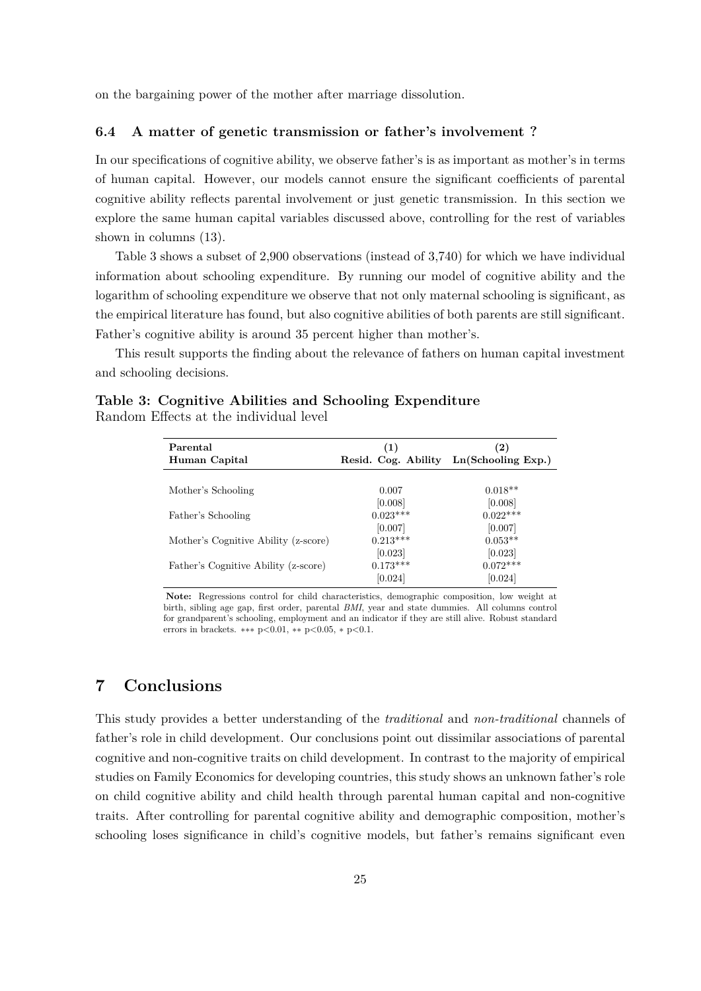on the bargaining power of the mother after marriage dissolution.

#### **6.4 A matter of genetic transmission or father's involvement ?**

In our specifications of cognitive ability, we observe father's is as important as mother's in terms of human capital. However, our models cannot ensure the significant coefficients of parental cognitive ability reflects parental involvement or just genetic transmission. In this section we explore the same human capital variables discussed above, controlling for the rest of variables shown in columns (13).

Table 3 shows a subset of 2,900 observations (instead of 3,740) for which we have individual information about schooling expenditure. By running our model of cognitive ability and the logarithm of schooling expenditure we observe that not only maternal schooling is significant, as the empirical literature has found, but also cognitive abilities of both parents are still significant. Father's cognitive ability is around 35 percent higher than mother's.

This result supports the finding about the relevance of fathers on human capital investment and schooling decisions.

| Parental<br>Human Capital            | (1)<br>Resid. Cog. Ability | $\left( 2\right)$<br>Ln(Schooling Exp.) |
|--------------------------------------|----------------------------|-----------------------------------------|
|                                      |                            |                                         |
| Mother's Schooling                   | 0.007                      | $0.018**$                               |
|                                      | [0.008]                    | [0.008]                                 |
| Father's Schooling                   | $0.023***$                 | $0.022***$                              |
|                                      | [0.007]                    | [0.007]                                 |
| Mother's Cognitive Ability (z-score) | $0.213***$                 | $0.053**$                               |
|                                      | [0.023]                    | [0.023]                                 |
| Father's Cognitive Ability (z-score) | $0.173***$                 | $0.072***$                              |
|                                      | [0.024]                    | [0.024]                                 |

|                                        |  | Table 3: Cognitive Abilities and Schooling Expenditure |
|----------------------------------------|--|--------------------------------------------------------|
| Random Effects at the individual level |  |                                                        |

**Note:** Regressions control for child characteristics, demographic composition, low weight at birth, sibling age gap, first order, parental *BMI*, year and state dummies. All columns control for grandparent's schooling, employment and an indicator if they are still alive. Robust standard errors in brackets. ∗∗∗ p*<*0.01, ∗∗ p*<*0.05, ∗ p*<*0.1.

## **7 Conclusions**

This study provides a better understanding of the *traditional* and *non-traditional* channels of father's role in child development. Our conclusions point out dissimilar associations of parental cognitive and non-cognitive traits on child development. In contrast to the majority of empirical studies on Family Economics for developing countries, this study shows an unknown father's role on child cognitive ability and child health through parental human capital and non-cognitive traits. After controlling for parental cognitive ability and demographic composition, mother's schooling loses significance in child's cognitive models, but father's remains significant even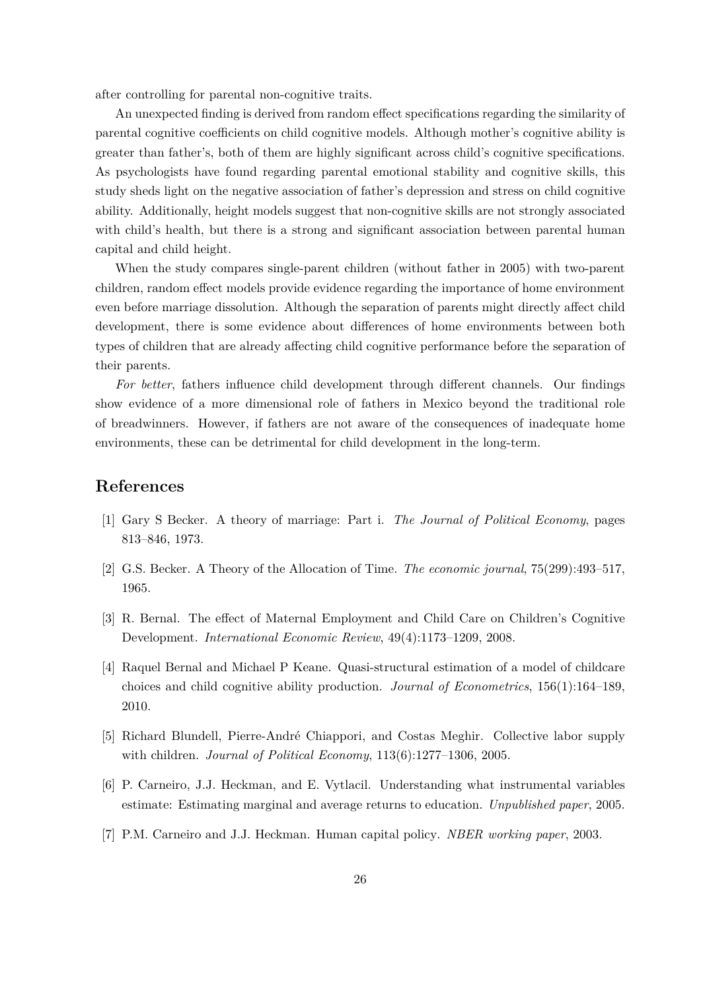after controlling for parental non-cognitive traits.

An unexpected finding is derived from random effect specifications regarding the similarity of parental cognitive coefficients on child cognitive models. Although mother's cognitive ability is greater than father's, both of them are highly significant across child's cognitive specifications. As psychologists have found regarding parental emotional stability and cognitive skills, this study sheds light on the negative association of father's depression and stress on child cognitive ability. Additionally, height models suggest that non-cognitive skills are not strongly associated with child's health, but there is a strong and significant association between parental human capital and child height.

When the study compares single-parent children (without father in 2005) with two-parent children, random effect models provide evidence regarding the importance of home environment even before marriage dissolution. Although the separation of parents might directly affect child development, there is some evidence about differences of home environments between both types of children that are already affecting child cognitive performance before the separation of their parents.

*For better*, fathers influence child development through different channels. Our findings show evidence of a more dimensional role of fathers in Mexico beyond the traditional role of breadwinners. However, if fathers are not aware of the consequences of inadequate home environments, these can be detrimental for child development in the long-term.

#### **References**

- [1] Gary S Becker. A theory of marriage: Part i. *The Journal of Political Economy*, pages 813–846, 1973.
- [2] G.S. Becker. A Theory of the Allocation of Time. *The economic journal*, 75(299):493–517, 1965.
- [3] R. Bernal. The effect of Maternal Employment and Child Care on Children's Cognitive Development. *International Economic Review*, 49(4):1173–1209, 2008.
- [4] Raquel Bernal and Michael P Keane. Quasi-structural estimation of a model of childcare choices and child cognitive ability production. *Journal of Econometrics*, 156(1):164–189, 2010.
- [5] Richard Blundell, Pierre-André Chiappori, and Costas Meghir. Collective labor supply with children. *Journal of Political Economy*, 113(6):1277–1306, 2005.
- [6] P. Carneiro, J.J. Heckman, and E. Vytlacil. Understanding what instrumental variables estimate: Estimating marginal and average returns to education. *Unpublished paper*, 2005.
- [7] P.M. Carneiro and J.J. Heckman. Human capital policy. *NBER working paper*, 2003.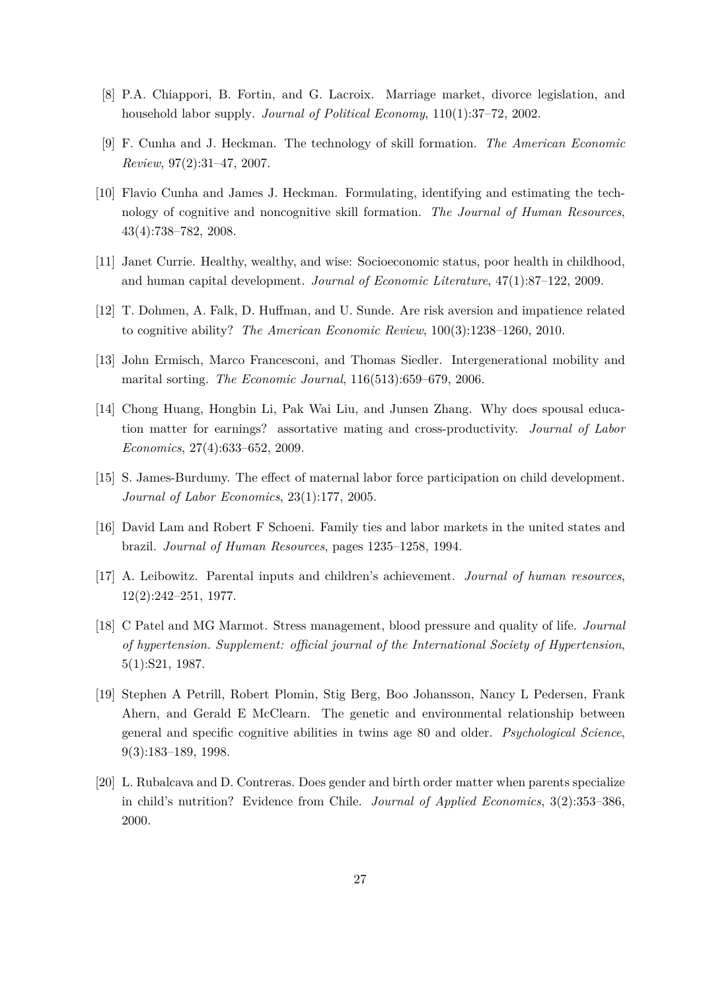- [8] P.A. Chiappori, B. Fortin, and G. Lacroix. Marriage market, divorce legislation, and household labor supply. *Journal of Political Economy*, 110(1):37–72, 2002.
- [9] F. Cunha and J. Heckman. The technology of skill formation. *The American Economic Review*, 97(2):31–47, 2007.
- [10] Flavio Cunha and James J. Heckman. Formulating, identifying and estimating the technology of cognitive and noncognitive skill formation. *The Journal of Human Resources*, 43(4):738–782, 2008.
- [11] Janet Currie. Healthy, wealthy, and wise: Socioeconomic status, poor health in childhood, and human capital development. *Journal of Economic Literature*, 47(1):87–122, 2009.
- [12] T. Dohmen, A. Falk, D. Huffman, and U. Sunde. Are risk aversion and impatience related to cognitive ability? *The American Economic Review*, 100(3):1238–1260, 2010.
- [13] John Ermisch, Marco Francesconi, and Thomas Siedler. Intergenerational mobility and marital sorting. *The Economic Journal*, 116(513):659–679, 2006.
- [14] Chong Huang, Hongbin Li, Pak Wai Liu, and Junsen Zhang. Why does spousal education matter for earnings? assortative mating and cross-productivity. *Journal of Labor Economics*, 27(4):633–652, 2009.
- [15] S. James-Burdumy. The effect of maternal labor force participation on child development. *Journal of Labor Economics*, 23(1):177, 2005.
- [16] David Lam and Robert F Schoeni. Family ties and labor markets in the united states and brazil. *Journal of Human Resources*, pages 1235–1258, 1994.
- [17] A. Leibowitz. Parental inputs and children's achievement. *Journal of human resources*, 12(2):242–251, 1977.
- [18] C Patel and MG Marmot. Stress management, blood pressure and quality of life. *Journal of hypertension. Supplement: official journal of the International Society of Hypertension*, 5(1):S21, 1987.
- [19] Stephen A Petrill, Robert Plomin, Stig Berg, Boo Johansson, Nancy L Pedersen, Frank Ahern, and Gerald E McClearn. The genetic and environmental relationship between general and specific cognitive abilities in twins age 80 and older. *Psychological Science*, 9(3):183–189, 1998.
- [20] L. Rubalcava and D. Contreras. Does gender and birth order matter when parents specialize in child's nutrition? Evidence from Chile. *Journal of Applied Economics*, 3(2):353–386, 2000.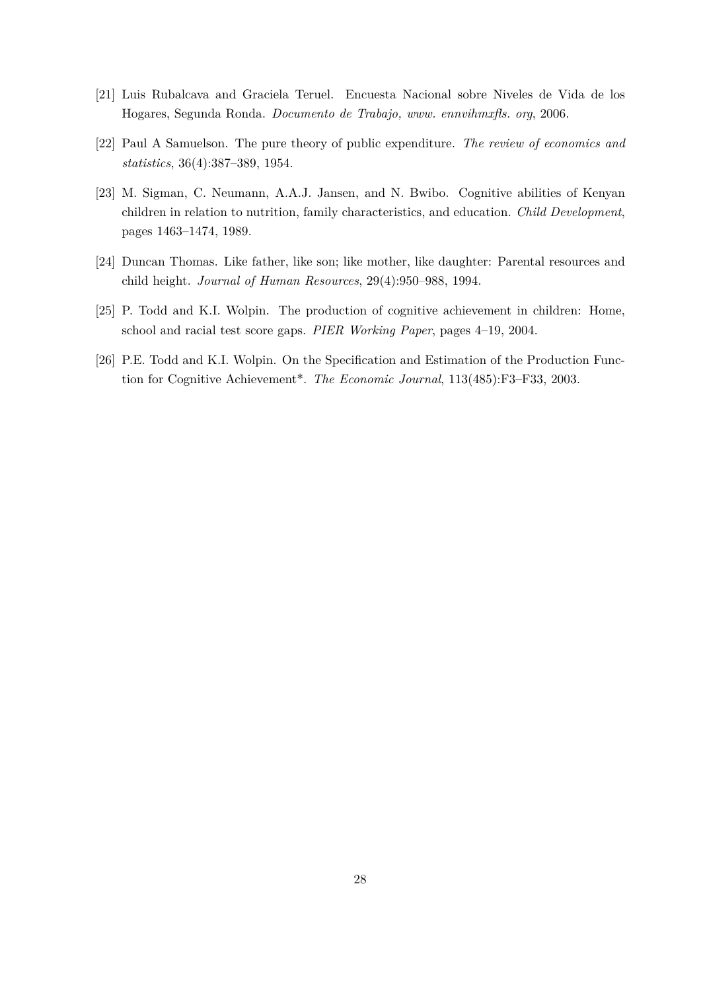- [21] Luis Rubalcava and Graciela Teruel. Encuesta Nacional sobre Niveles de Vida de los Hogares, Segunda Ronda. *Documento de Trabajo, www. ennvihmxfls. org*, 2006.
- [22] Paul A Samuelson. The pure theory of public expenditure. *The review of economics and statistics*, 36(4):387–389, 1954.
- [23] M. Sigman, C. Neumann, A.A.J. Jansen, and N. Bwibo. Cognitive abilities of Kenyan children in relation to nutrition, family characteristics, and education. *Child Development*, pages 1463–1474, 1989.
- [24] Duncan Thomas. Like father, like son; like mother, like daughter: Parental resources and child height. *Journal of Human Resources*, 29(4):950–988, 1994.
- [25] P. Todd and K.I. Wolpin. The production of cognitive achievement in children: Home, school and racial test score gaps. *PIER Working Paper*, pages 4–19, 2004.
- [26] P.E. Todd and K.I. Wolpin. On the Specification and Estimation of the Production Function for Cognitive Achievement\*. *The Economic Journal*, 113(485):F3–F33, 2003.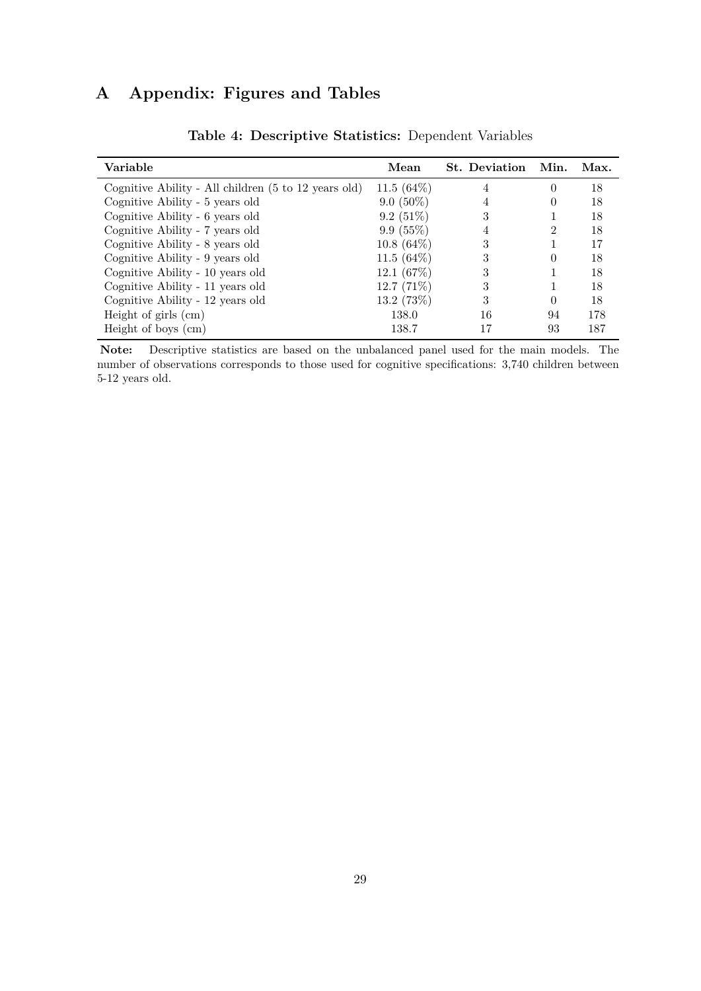## **A Appendix: Figures and Tables**

| Variable                                             | Mean          | <b>St.</b> Deviation | Min.          | Max. |
|------------------------------------------------------|---------------|----------------------|---------------|------|
| Cognitive Ability - All children (5 to 12 years old) | 11.5 $(64\%)$ | 4                    | $\Omega$      | 18   |
| Cognitive Ability - 5 years old                      | $9.0(50\%)$   |                      |               | 18   |
| Cognitive Ability - 6 years old                      | $9.2(51\%)$   | 3                    |               | 18   |
| Cognitive Ability - 7 years old                      | 9.9(55%)      |                      | $\mathcal{D}$ | 18   |
| Cognitive Ability - 8 years old                      | $10.8(64\%)$  | 3                    |               | 17   |
| Cognitive Ability - 9 years old                      | 11.5 $(64\%)$ | 3                    | $\Omega$      | 18   |
| Cognitive Ability - 10 years old                     | 12.1 $(67%)$  | 3                    |               | 18   |
| Cognitive Ability - 11 years old                     | $12.7(71\%)$  | 3                    |               | 18   |
| Cognitive Ability - 12 years old                     | 13.2(73%)     | 3                    | $\Omega$      | 18   |
| Height of girls $(cm)$                               | 138.0         | 16                   | 94            | 178  |
| Height of boys (cm)                                  | 138.7         | 17                   | 93            | 187  |

**Table 4: Descriptive Statistics:** Dependent Variables

**Note:** Descriptive statistics are based on the unbalanced panel used for the main models. The number of observations corresponds to those used for cognitive specifications: 3,740 children between 5-12 years old.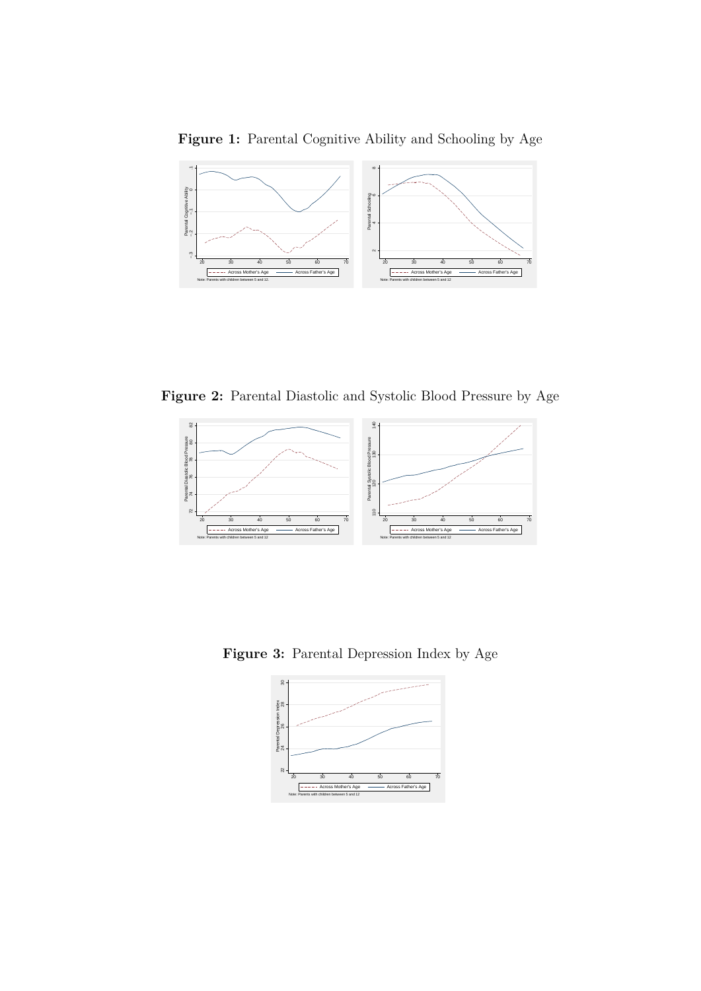**Figure 1:** Parental Cognitive Ability and Schooling by Age



**Figure 2:** Parental Diastolic and Systolic Blood Pressure by Age



**Figure 3:** Parental Depression Index by Age

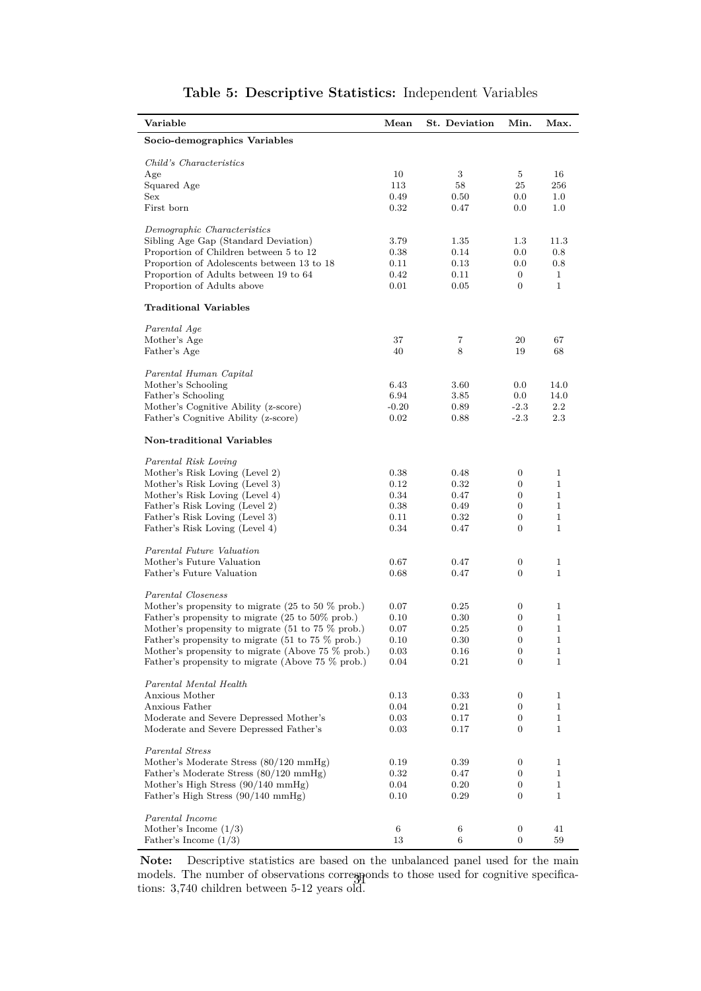| Variable                                                              | Mean    | St. Deviation | Min.             | Max.         |
|-----------------------------------------------------------------------|---------|---------------|------------------|--------------|
| Socio-demographics Variables                                          |         |               |                  |              |
| Child's Characteristics                                               |         |               |                  |              |
| Age                                                                   | 10      | 3             | 5                | 16           |
| Squared Age                                                           | 113     | 58            | 25               | 256          |
| Sex                                                                   | 0.49    | 0.50          | 0.0              | $1.0\,$      |
| First born                                                            | 0.32    | 0.47          | 0.0              | $1.0\,$      |
| Demographic Characteristics                                           |         |               |                  |              |
| Sibling Age Gap (Standard Deviation)                                  | 3.79    | 1.35          | $1.3\,$          | 11.3         |
| Proportion of Children between 5 to 12                                | 0.38    | 0.14          | 0.0              | $0.8\,$      |
| Proportion of Adolescents between 13 to 18                            | 0.11    | 0.13          | 0.0              | 0.8          |
| Proportion of Adults between 19 to 64                                 | 0.42    | 0.11          | $\overline{0}$   | $\mathbf{1}$ |
| Proportion of Adults above                                            | 0.01    | 0.05          | 0                | $\mathbf{1}$ |
| <b>Traditional Variables</b>                                          |         |               |                  |              |
| Parental Age                                                          |         |               |                  |              |
| Mother's Age                                                          | 37      | 7             | 20               | 67           |
| Father's Age                                                          | 40      | 8             | 19               | 68           |
| Parental Human Capital                                                |         |               |                  |              |
| Mother's Schooling                                                    | 6.43    | 3.60          | 0.0              | 14.0         |
| Father's Schooling                                                    | 6.94    | 3.85          | 0.0              | 14.0         |
| Mother's Cognitive Ability (z-score)                                  | $-0.20$ | 0.89          | $-2.3$           | $2.2\,$      |
| Father's Cognitive Ability (z-score)                                  | 0.02    | 0.88          | $-2.3$           | 2.3          |
| Non-traditional Variables                                             |         |               |                  |              |
| Parental Risk Loving                                                  |         |               |                  |              |
| Mother's Risk Loving (Level 2)                                        | 0.38    | 0.48          | $\boldsymbol{0}$ | 1            |
| Mother's Risk Loving (Level 3)                                        | 0.12    | 0.32          | $\boldsymbol{0}$ | $\mathbf 1$  |
| Mother's Risk Loving (Level 4)                                        | 0.34    | 0.47          | $\boldsymbol{0}$ | $\mathbf{1}$ |
| Father's Risk Loving (Level 2)                                        | 0.38    | 0.49          | $\boldsymbol{0}$ | 1            |
| Father's Risk Loving (Level 3)                                        | 0.11    | 0.32          | $\boldsymbol{0}$ | 1            |
| Father's Risk Loving (Level 4)                                        | 0.34    | 0.47          | $\boldsymbol{0}$ | $\mathbf{1}$ |
| Parental Future Valuation                                             |         |               |                  |              |
| Mother's Future Valuation                                             | 0.67    | 0.47          | $\boldsymbol{0}$ | $\mathbf 1$  |
| Father's Future Valuation                                             | 0.68    | 0.47          | $\boldsymbol{0}$ | $\mathbf{1}$ |
| Parental Closeness                                                    |         |               |                  |              |
| Mother's propensity to migrate $(25 \text{ to } 50 \text{ % prob.})$  | 0.07    | 0.25          | 0                | 1            |
| Father's propensity to migrate (25 to 50% prob.)                      | 0.10    | 0.30          | 0                | $\mathbf 1$  |
| Mother's propensity to migrate (51 to 75 % prob.)                     | 0.07    | 0.25          | $\boldsymbol{0}$ | 1            |
| Father's propensity to migrate $(51 \text{ to } 75 \% \text{ prob.})$ | 0.10    | 0.30          | $\theta$         | 1            |
| Mother's propensity to migrate (Above 75 % prob.)                     | 0.03    | 0.16          | $\boldsymbol{0}$ | 1            |
| Father's propensity to migrate (Above 75 % prob.)                     | 0.04    | 0.21          | $\boldsymbol{0}$ | 1            |
| Parental Mental Health                                                |         |               |                  |              |
| Anxious Mother                                                        | 0.13    | 0.33          | 0                | 1            |
| Anxious Father                                                        | 0.04    | 0.21          | $\boldsymbol{0}$ | $\mathbf{1}$ |
| Moderate and Severe Depressed Mother's                                | 0.03    | 0.17          | 0                | 1            |
| Moderate and Severe Depressed Father's                                | 0.03    | 0.17          | $\boldsymbol{0}$ | $\mathbf 1$  |
| Parental Stress                                                       |         |               |                  |              |
| Mother's Moderate Stress (80/120 mmHg)                                | 0.19    | 0.39          | 0                | 1            |
| Father's Moderate Stress (80/120 mmHg)                                | 0.32    | 0.47          | 0                | 1            |
| Mother's High Stress $(90/140 \text{ mmHg})$                          | 0.04    | 0.20          | $\boldsymbol{0}$ | 1            |
| Father's High Stress (90/140 mmHg)                                    | 0.10    | 0.29          | $\boldsymbol{0}$ | $\mathbf 1$  |
| Parental Income                                                       |         |               |                  |              |
| Mother's Income $(1/3)$                                               | 6       | $\,6$         | 0                | 41           |
| Father's Income $(1/3)$                                               | 13      | 6             | 0                | 59           |

## **Table 5: Descriptive Statistics:** Independent Variables

**Note:** Descriptive statistics are based on the unbalanced panel used for the main models. The number of observations corresponds to those used for cognitive specificamodels. The number of observations correspondent ions: 3,740 children between 5-12 years old.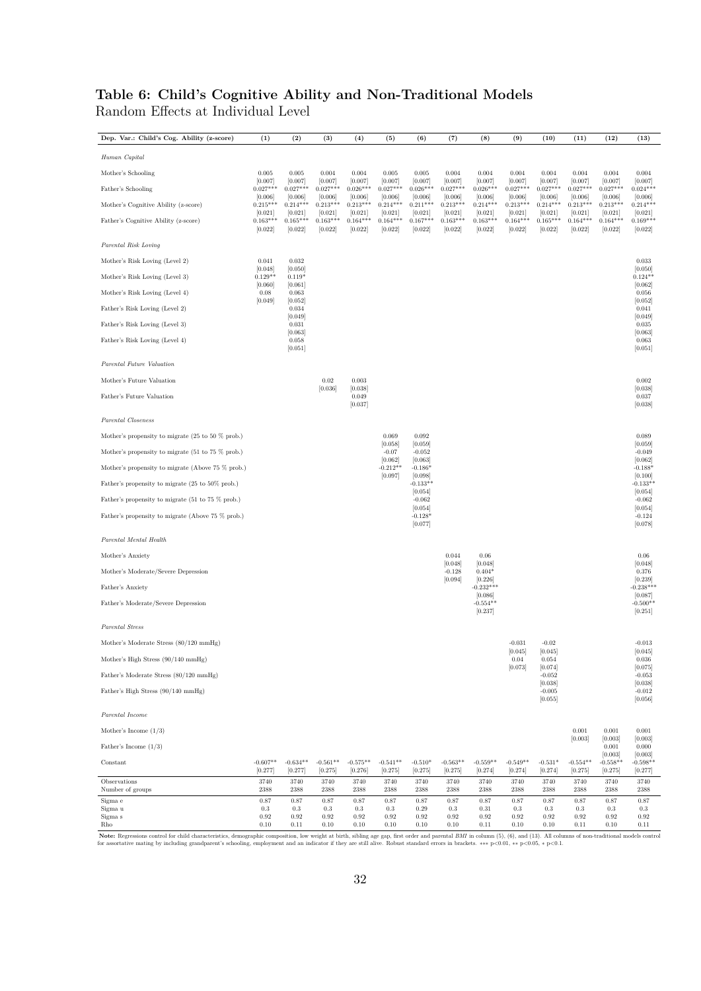## **Table 6: Child's Cognitive Ability and Non-Traditional Models** Random Effects at Individual Level

| Human Capital<br>Mother's Schooling<br>0.005<br>0.005<br>0.004<br>0.004<br>0.005<br>0.005<br>0.004<br>0.004<br>0.004<br>0.004<br>0.004<br>0.004<br>0.004<br>[0.007]<br>[0.007]<br>[0.007]<br>[0.007]<br>[0.007]<br>[0.007]<br>[0.007]<br>[0.007]<br>[0.007]<br>[0.007]<br>[0.007]<br>[0.007]<br>[0.007]<br>$0.027***$<br>$0.027***$<br>$0.027***$<br>$0.027***$<br>$0.024***$<br>$0.027***$<br>$0.026***$<br>$0.027***$<br>$0.026***$<br>$0.027***$<br>$0.026***$<br>$0.027***$<br>$0.027***$<br>Father's Schooling<br>[0.006]<br>[0.006]<br>[0.006]<br>[0.006]<br>[0.006]<br>[0.006]<br>[0.006]<br>[0.006]<br>[0.006]<br>[0.006]<br>[0.006]<br>[0.006]<br>[0.006]<br>$0.215***$<br>$0.214***$<br>$0.213***$<br>$0.213***$<br>$0.214***$<br>$0.211***$<br>$0.213***$<br>$0.214***$<br>$0.213***$<br>$0.214***$<br>$0.213***$<br>$0.213***$<br>Mother's Cognitive Ability (z-score)<br>$0.214***$<br>[0.021]<br>[0.021]<br>[0.021]<br>[0.021]<br>[0.021]<br>[0.021]<br>[0.021]<br>[0.021]<br>[0.021]<br>[0.021]<br>[0.021]<br>[0.021]<br>[0.021]<br>$0.165***$<br>$0.169***$<br>$0.163***$<br>$0.165***$<br>$0.163***$<br>$0.164***$<br>$0.164***$<br>$0.167***$<br>$0.163***$<br>$0.163***$<br>$0.164***$<br>$0.164***$<br>$0.164***$<br>Father's Cognitive Ability (z-score)<br>[0.022]<br>[0.022]<br>[0.022]<br>[0.022]<br>[0.022]<br>[0.022]<br>[0.022]<br>[0.022]<br>[0.022]<br>[0.022]<br>[0.022]<br>[0.022]<br>[0.022]<br>Parental Risk Loving<br>Mother's Risk Loving (Level 2)<br>0.041<br>0.032<br>0.033<br>[0.048]<br>[0.050]<br>[0.050]<br>$0.129**$<br>Mother's Risk Loving (Level 3)<br>$0.119*$<br>$0.124**$<br>[0.060]<br>[0.061]<br>[0.062]<br>0.08<br>0.056<br>Mother's Risk Loving (Level 4)<br>0.063<br>[0.049]<br>[0.052]<br>[0.052]<br>Father's Risk Loving (Level 2)<br>0.034<br>0.041<br>[0.049]<br>[0.049]<br>0.031<br>0.035<br>Father's Risk Loving (Level 3)<br>[0.063]<br>[0.063]<br>Father's Risk Loving (Level 4)<br>0.058<br>0.063<br>[0.051]<br>[0.051]<br>Parental Future Valuation<br>Mother's Future Valuation<br>0.02<br>0.003<br>0.002<br>[0.038]<br>[0.036]<br>[0.038]<br>Father's Future Valuation<br>0.049<br>0.037<br>[0.037]<br>[0.038]<br>Parental Closeness<br>0.069<br>0.092<br>0.089<br>Mother's propensity to migrate $(25 \text{ to } 50 \text{ % prob.})$<br>[0.059]<br>[0.059]<br>[0.058]<br>Mother's propensity to migrate $(51 \text{ to } 75 \% \text{ prob.})$<br>$-0.07$<br>$-0.052$<br>$-0.049$<br>[0.062]<br>[0.063]<br>[0.062]<br>$-0.212**$<br>Mother's propensity to migrate (Above 75 % prob.)<br>$-0.186*$<br>$-0.188*$<br>[0.097]<br>[0.098]<br>[0.100]<br>$-0.133**$<br>$-0.133**$<br>Father's propensity to migrate (25 to 50% prob.)<br>[0.054]<br>[0.054]<br>$-0.062$<br>Father's propensity to migrate $(51 \text{ to } 75 \% \text{ prob.})$<br>$-0.062$<br>[0.054]<br>[0.054]<br>$-0.128*$<br>Father's propensity to migrate (Above 75 % prob.)<br>$-0.124$<br>[0.077]<br>[0.078]<br>Parental Mental Health<br>0.044<br>0.06<br>0.06<br>Mother's Anxiety<br>[0.048]<br>[0.048]<br>[0.048]<br>Mother's Moderate/Severe Depression<br>$-0.128$<br>$0.404*$<br>0.376<br>[0.094]<br>[0.226]<br>[0.239]<br>$-0.232***$<br>$-0.238***$<br>Father's Anxiety<br>[0.086]<br>[0.087]<br>$-0.554**$<br>$-0.500**$<br>Father's Moderate/Severe Depression<br>[0.237]<br>[0.251]<br>Parental Stress<br>Mother's Moderate Stress (80/120 mmHg)<br>$-0.031$<br>$-0.02$<br>$-0.013$<br>[0.045]<br>[0.045]<br>[0.045]<br>Mother's High Stress $(90/140 \text{ mmHg})$<br>0.054<br>0.036<br>0.04<br>[0.073]<br>[0.075]<br>[0.074]<br>Father's Moderate Stress (80/120 mmHg)<br>$-0.052$<br>$-0.053$<br>[0.038]<br>[0.038]<br>Father's High Stress (90/140 mmHg)<br>$-0.005$<br>$-0.012$<br>[0.055]<br>[0.056]<br>Parental Income<br>0.001<br>0.001<br>0.001<br>Mother's Income $(1/3)$<br>[0.003]<br>[0.003]<br>[0.003]<br>Father's Income $(1/3)$<br>0.001<br>0.000<br>[0.003]<br>[0.003]<br>$-0.607**$<br>$-0.634**$<br>$-0.563**$<br>$-0.559**$<br>$-0.549**$<br>$-0.554**$<br>$-0.558**$<br>Constant<br>$-0.561**$<br>$-0.575**$<br>$-0.541**$<br>$-0.510*$<br>$-0.531*$<br>$-0.598**$<br>[0.277]<br>[0.277]<br>[0.275]<br>[0.276]<br>[0.275]<br>[0.275]<br>[0.275]<br>[0.274]<br>[0.274]<br>[0.274]<br>[0.277]<br>[0.275]<br>[0.275]<br>3740<br>3740<br>3740<br>3740<br>3740<br>3740<br>3740<br>3740<br>3740<br>3740<br>3740<br>3740<br>3740<br>Observations<br>Number of groups<br>2388<br>2388<br>2388<br>2388<br>2388<br>2388<br>2388<br>2388<br>2388<br>2388<br>2388<br>2388<br>2388<br>$0.87\,$<br>$0.87\,$<br>0.87<br>0.87<br>$0.87\,$<br>0.87<br>0.87<br>0.87<br>$0.87\,$<br>0.87<br>$0.87\,$<br>0.87<br>0.87<br>Sigma e<br>$\rm 0.3$<br>$\rm 0.3$<br>0.3<br>0.29<br>0.3<br>0.31<br>$\rm 0.3$<br>$\rm 0.3$<br>$\rm 0.3$<br>0.3<br>$\rm 0.3$<br>Sigma u<br>$0.3\,$<br>0.3<br>$\rm 0.92$<br>Sigma s<br>$\rm 0.92$<br>$\rm 0.92$<br>0.92<br>0.92<br>0.92<br>0.92<br>$\rm 0.92$<br>$\rm 0.92$<br>$\rm 0.92$<br>$\rm 0.92$<br>$\rm 0.92$<br>$\rm 0.92$ | Dep. Var.: Child's Cog. Ability (z-score) | (1)  | (2)  | (3)  | (4)  | (5)  | (6)      | (7)  | (8)  | (9)  | (10)     | (11) | (12) | (13) |
|------------------------------------------------------------------------------------------------------------------------------------------------------------------------------------------------------------------------------------------------------------------------------------------------------------------------------------------------------------------------------------------------------------------------------------------------------------------------------------------------------------------------------------------------------------------------------------------------------------------------------------------------------------------------------------------------------------------------------------------------------------------------------------------------------------------------------------------------------------------------------------------------------------------------------------------------------------------------------------------------------------------------------------------------------------------------------------------------------------------------------------------------------------------------------------------------------------------------------------------------------------------------------------------------------------------------------------------------------------------------------------------------------------------------------------------------------------------------------------------------------------------------------------------------------------------------------------------------------------------------------------------------------------------------------------------------------------------------------------------------------------------------------------------------------------------------------------------------------------------------------------------------------------------------------------------------------------------------------------------------------------------------------------------------------------------------------------------------------------------------------------------------------------------------------------------------------------------------------------------------------------------------------------------------------------------------------------------------------------------------------------------------------------------------------------------------------------------------------------------------------------------------------------------------------------------------------------------------------------------------------------------------------------------------------------------------------------------------------------------------------------------------------------------------------------------------------------------------------------------------------------------------------------------------------------------------------------------------------------------------------------------------------------------------------------------------------------------------------------------------------------------------------------------------------------------------------------------------------------------------------------------------------------------------------------------------------------------------------------------------------------------------------------------------------------------------------------------------------------------------------------------------------------------------------------------------------------------------------------------------------------------------------------------------------------------------------------------------------------------------------------------------------------------------------------------------------------------------------------------------------------------------------------------------------------------------------------------------------------------------------------------------------------------------------------------------------------------------------------------------------------------------------------------------------------------------------------------------------------------------------------------------------------------------------------------------------------------------------------------------------------------------------------------------------------------------------------------------------------------------------------------------------------------------------------------------------------------------------------------------------------------------------------------------------------------------------------------------------------------------------------------------------------------------------------------------------------------------------------------------------------------------------------------------------------------------------------------------------------------------------------------|-------------------------------------------|------|------|------|------|------|----------|------|------|------|----------|------|------|------|
|                                                                                                                                                                                                                                                                                                                                                                                                                                                                                                                                                                                                                                                                                                                                                                                                                                                                                                                                                                                                                                                                                                                                                                                                                                                                                                                                                                                                                                                                                                                                                                                                                                                                                                                                                                                                                                                                                                                                                                                                                                                                                                                                                                                                                                                                                                                                                                                                                                                                                                                                                                                                                                                                                                                                                                                                                                                                                                                                                                                                                                                                                                                                                                                                                                                                                                                                                                                                                                                                                                                                                                                                                                                                                                                                                                                                                                                                                                                                                                                                                                                                                                                                                                                                                                                                                                                                                                                                                                                                                                                                                                                                                                                                                                                                                                                                                                                                                                                                                                                                                  |                                           |      |      |      |      |      |          |      |      |      |          |      |      |      |
|                                                                                                                                                                                                                                                                                                                                                                                                                                                                                                                                                                                                                                                                                                                                                                                                                                                                                                                                                                                                                                                                                                                                                                                                                                                                                                                                                                                                                                                                                                                                                                                                                                                                                                                                                                                                                                                                                                                                                                                                                                                                                                                                                                                                                                                                                                                                                                                                                                                                                                                                                                                                                                                                                                                                                                                                                                                                                                                                                                                                                                                                                                                                                                                                                                                                                                                                                                                                                                                                                                                                                                                                                                                                                                                                                                                                                                                                                                                                                                                                                                                                                                                                                                                                                                                                                                                                                                                                                                                                                                                                                                                                                                                                                                                                                                                                                                                                                                                                                                                                                  |                                           |      |      |      |      |      |          |      |      |      |          |      |      |      |
|                                                                                                                                                                                                                                                                                                                                                                                                                                                                                                                                                                                                                                                                                                                                                                                                                                                                                                                                                                                                                                                                                                                                                                                                                                                                                                                                                                                                                                                                                                                                                                                                                                                                                                                                                                                                                                                                                                                                                                                                                                                                                                                                                                                                                                                                                                                                                                                                                                                                                                                                                                                                                                                                                                                                                                                                                                                                                                                                                                                                                                                                                                                                                                                                                                                                                                                                                                                                                                                                                                                                                                                                                                                                                                                                                                                                                                                                                                                                                                                                                                                                                                                                                                                                                                                                                                                                                                                                                                                                                                                                                                                                                                                                                                                                                                                                                                                                                                                                                                                                                  |                                           |      |      |      |      |      |          |      |      |      |          |      |      |      |
|                                                                                                                                                                                                                                                                                                                                                                                                                                                                                                                                                                                                                                                                                                                                                                                                                                                                                                                                                                                                                                                                                                                                                                                                                                                                                                                                                                                                                                                                                                                                                                                                                                                                                                                                                                                                                                                                                                                                                                                                                                                                                                                                                                                                                                                                                                                                                                                                                                                                                                                                                                                                                                                                                                                                                                                                                                                                                                                                                                                                                                                                                                                                                                                                                                                                                                                                                                                                                                                                                                                                                                                                                                                                                                                                                                                                                                                                                                                                                                                                                                                                                                                                                                                                                                                                                                                                                                                                                                                                                                                                                                                                                                                                                                                                                                                                                                                                                                                                                                                                                  |                                           |      |      |      |      |      |          |      |      |      |          |      |      |      |
|                                                                                                                                                                                                                                                                                                                                                                                                                                                                                                                                                                                                                                                                                                                                                                                                                                                                                                                                                                                                                                                                                                                                                                                                                                                                                                                                                                                                                                                                                                                                                                                                                                                                                                                                                                                                                                                                                                                                                                                                                                                                                                                                                                                                                                                                                                                                                                                                                                                                                                                                                                                                                                                                                                                                                                                                                                                                                                                                                                                                                                                                                                                                                                                                                                                                                                                                                                                                                                                                                                                                                                                                                                                                                                                                                                                                                                                                                                                                                                                                                                                                                                                                                                                                                                                                                                                                                                                                                                                                                                                                                                                                                                                                                                                                                                                                                                                                                                                                                                                                                  |                                           |      |      |      |      |      |          |      |      |      |          |      |      |      |
|                                                                                                                                                                                                                                                                                                                                                                                                                                                                                                                                                                                                                                                                                                                                                                                                                                                                                                                                                                                                                                                                                                                                                                                                                                                                                                                                                                                                                                                                                                                                                                                                                                                                                                                                                                                                                                                                                                                                                                                                                                                                                                                                                                                                                                                                                                                                                                                                                                                                                                                                                                                                                                                                                                                                                                                                                                                                                                                                                                                                                                                                                                                                                                                                                                                                                                                                                                                                                                                                                                                                                                                                                                                                                                                                                                                                                                                                                                                                                                                                                                                                                                                                                                                                                                                                                                                                                                                                                                                                                                                                                                                                                                                                                                                                                                                                                                                                                                                                                                                                                  |                                           |      |      |      |      |      |          |      |      |      |          |      |      |      |
|                                                                                                                                                                                                                                                                                                                                                                                                                                                                                                                                                                                                                                                                                                                                                                                                                                                                                                                                                                                                                                                                                                                                                                                                                                                                                                                                                                                                                                                                                                                                                                                                                                                                                                                                                                                                                                                                                                                                                                                                                                                                                                                                                                                                                                                                                                                                                                                                                                                                                                                                                                                                                                                                                                                                                                                                                                                                                                                                                                                                                                                                                                                                                                                                                                                                                                                                                                                                                                                                                                                                                                                                                                                                                                                                                                                                                                                                                                                                                                                                                                                                                                                                                                                                                                                                                                                                                                                                                                                                                                                                                                                                                                                                                                                                                                                                                                                                                                                                                                                                                  |                                           |      |      |      |      |      |          |      |      |      |          |      |      |      |
|                                                                                                                                                                                                                                                                                                                                                                                                                                                                                                                                                                                                                                                                                                                                                                                                                                                                                                                                                                                                                                                                                                                                                                                                                                                                                                                                                                                                                                                                                                                                                                                                                                                                                                                                                                                                                                                                                                                                                                                                                                                                                                                                                                                                                                                                                                                                                                                                                                                                                                                                                                                                                                                                                                                                                                                                                                                                                                                                                                                                                                                                                                                                                                                                                                                                                                                                                                                                                                                                                                                                                                                                                                                                                                                                                                                                                                                                                                                                                                                                                                                                                                                                                                                                                                                                                                                                                                                                                                                                                                                                                                                                                                                                                                                                                                                                                                                                                                                                                                                                                  |                                           |      |      |      |      |      |          |      |      |      |          |      |      |      |
|                                                                                                                                                                                                                                                                                                                                                                                                                                                                                                                                                                                                                                                                                                                                                                                                                                                                                                                                                                                                                                                                                                                                                                                                                                                                                                                                                                                                                                                                                                                                                                                                                                                                                                                                                                                                                                                                                                                                                                                                                                                                                                                                                                                                                                                                                                                                                                                                                                                                                                                                                                                                                                                                                                                                                                                                                                                                                                                                                                                                                                                                                                                                                                                                                                                                                                                                                                                                                                                                                                                                                                                                                                                                                                                                                                                                                                                                                                                                                                                                                                                                                                                                                                                                                                                                                                                                                                                                                                                                                                                                                                                                                                                                                                                                                                                                                                                                                                                                                                                                                  |                                           |      |      |      |      |      |          |      |      |      |          |      |      |      |
|                                                                                                                                                                                                                                                                                                                                                                                                                                                                                                                                                                                                                                                                                                                                                                                                                                                                                                                                                                                                                                                                                                                                                                                                                                                                                                                                                                                                                                                                                                                                                                                                                                                                                                                                                                                                                                                                                                                                                                                                                                                                                                                                                                                                                                                                                                                                                                                                                                                                                                                                                                                                                                                                                                                                                                                                                                                                                                                                                                                                                                                                                                                                                                                                                                                                                                                                                                                                                                                                                                                                                                                                                                                                                                                                                                                                                                                                                                                                                                                                                                                                                                                                                                                                                                                                                                                                                                                                                                                                                                                                                                                                                                                                                                                                                                                                                                                                                                                                                                                                                  |                                           |      |      |      |      |      |          |      |      |      |          |      |      |      |
|                                                                                                                                                                                                                                                                                                                                                                                                                                                                                                                                                                                                                                                                                                                                                                                                                                                                                                                                                                                                                                                                                                                                                                                                                                                                                                                                                                                                                                                                                                                                                                                                                                                                                                                                                                                                                                                                                                                                                                                                                                                                                                                                                                                                                                                                                                                                                                                                                                                                                                                                                                                                                                                                                                                                                                                                                                                                                                                                                                                                                                                                                                                                                                                                                                                                                                                                                                                                                                                                                                                                                                                                                                                                                                                                                                                                                                                                                                                                                                                                                                                                                                                                                                                                                                                                                                                                                                                                                                                                                                                                                                                                                                                                                                                                                                                                                                                                                                                                                                                                                  |                                           |      |      |      |      |      |          |      |      |      |          |      |      |      |
|                                                                                                                                                                                                                                                                                                                                                                                                                                                                                                                                                                                                                                                                                                                                                                                                                                                                                                                                                                                                                                                                                                                                                                                                                                                                                                                                                                                                                                                                                                                                                                                                                                                                                                                                                                                                                                                                                                                                                                                                                                                                                                                                                                                                                                                                                                                                                                                                                                                                                                                                                                                                                                                                                                                                                                                                                                                                                                                                                                                                                                                                                                                                                                                                                                                                                                                                                                                                                                                                                                                                                                                                                                                                                                                                                                                                                                                                                                                                                                                                                                                                                                                                                                                                                                                                                                                                                                                                                                                                                                                                                                                                                                                                                                                                                                                                                                                                                                                                                                                                                  |                                           |      |      |      |      |      |          |      |      |      |          |      |      |      |
|                                                                                                                                                                                                                                                                                                                                                                                                                                                                                                                                                                                                                                                                                                                                                                                                                                                                                                                                                                                                                                                                                                                                                                                                                                                                                                                                                                                                                                                                                                                                                                                                                                                                                                                                                                                                                                                                                                                                                                                                                                                                                                                                                                                                                                                                                                                                                                                                                                                                                                                                                                                                                                                                                                                                                                                                                                                                                                                                                                                                                                                                                                                                                                                                                                                                                                                                                                                                                                                                                                                                                                                                                                                                                                                                                                                                                                                                                                                                                                                                                                                                                                                                                                                                                                                                                                                                                                                                                                                                                                                                                                                                                                                                                                                                                                                                                                                                                                                                                                                                                  |                                           |      |      |      |      |      |          |      |      |      |          |      |      |      |
|                                                                                                                                                                                                                                                                                                                                                                                                                                                                                                                                                                                                                                                                                                                                                                                                                                                                                                                                                                                                                                                                                                                                                                                                                                                                                                                                                                                                                                                                                                                                                                                                                                                                                                                                                                                                                                                                                                                                                                                                                                                                                                                                                                                                                                                                                                                                                                                                                                                                                                                                                                                                                                                                                                                                                                                                                                                                                                                                                                                                                                                                                                                                                                                                                                                                                                                                                                                                                                                                                                                                                                                                                                                                                                                                                                                                                                                                                                                                                                                                                                                                                                                                                                                                                                                                                                                                                                                                                                                                                                                                                                                                                                                                                                                                                                                                                                                                                                                                                                                                                  |                                           |      |      |      |      |      |          |      |      |      |          |      |      |      |
|                                                                                                                                                                                                                                                                                                                                                                                                                                                                                                                                                                                                                                                                                                                                                                                                                                                                                                                                                                                                                                                                                                                                                                                                                                                                                                                                                                                                                                                                                                                                                                                                                                                                                                                                                                                                                                                                                                                                                                                                                                                                                                                                                                                                                                                                                                                                                                                                                                                                                                                                                                                                                                                                                                                                                                                                                                                                                                                                                                                                                                                                                                                                                                                                                                                                                                                                                                                                                                                                                                                                                                                                                                                                                                                                                                                                                                                                                                                                                                                                                                                                                                                                                                                                                                                                                                                                                                                                                                                                                                                                                                                                                                                                                                                                                                                                                                                                                                                                                                                                                  |                                           |      |      |      |      |      |          |      |      |      |          |      |      |      |
|                                                                                                                                                                                                                                                                                                                                                                                                                                                                                                                                                                                                                                                                                                                                                                                                                                                                                                                                                                                                                                                                                                                                                                                                                                                                                                                                                                                                                                                                                                                                                                                                                                                                                                                                                                                                                                                                                                                                                                                                                                                                                                                                                                                                                                                                                                                                                                                                                                                                                                                                                                                                                                                                                                                                                                                                                                                                                                                                                                                                                                                                                                                                                                                                                                                                                                                                                                                                                                                                                                                                                                                                                                                                                                                                                                                                                                                                                                                                                                                                                                                                                                                                                                                                                                                                                                                                                                                                                                                                                                                                                                                                                                                                                                                                                                                                                                                                                                                                                                                                                  |                                           |      |      |      |      |      |          |      |      |      |          |      |      |      |
|                                                                                                                                                                                                                                                                                                                                                                                                                                                                                                                                                                                                                                                                                                                                                                                                                                                                                                                                                                                                                                                                                                                                                                                                                                                                                                                                                                                                                                                                                                                                                                                                                                                                                                                                                                                                                                                                                                                                                                                                                                                                                                                                                                                                                                                                                                                                                                                                                                                                                                                                                                                                                                                                                                                                                                                                                                                                                                                                                                                                                                                                                                                                                                                                                                                                                                                                                                                                                                                                                                                                                                                                                                                                                                                                                                                                                                                                                                                                                                                                                                                                                                                                                                                                                                                                                                                                                                                                                                                                                                                                                                                                                                                                                                                                                                                                                                                                                                                                                                                                                  |                                           |      |      |      |      |      |          |      |      |      |          |      |      |      |
|                                                                                                                                                                                                                                                                                                                                                                                                                                                                                                                                                                                                                                                                                                                                                                                                                                                                                                                                                                                                                                                                                                                                                                                                                                                                                                                                                                                                                                                                                                                                                                                                                                                                                                                                                                                                                                                                                                                                                                                                                                                                                                                                                                                                                                                                                                                                                                                                                                                                                                                                                                                                                                                                                                                                                                                                                                                                                                                                                                                                                                                                                                                                                                                                                                                                                                                                                                                                                                                                                                                                                                                                                                                                                                                                                                                                                                                                                                                                                                                                                                                                                                                                                                                                                                                                                                                                                                                                                                                                                                                                                                                                                                                                                                                                                                                                                                                                                                                                                                                                                  |                                           |      |      |      |      |      |          |      |      |      |          |      |      |      |
|                                                                                                                                                                                                                                                                                                                                                                                                                                                                                                                                                                                                                                                                                                                                                                                                                                                                                                                                                                                                                                                                                                                                                                                                                                                                                                                                                                                                                                                                                                                                                                                                                                                                                                                                                                                                                                                                                                                                                                                                                                                                                                                                                                                                                                                                                                                                                                                                                                                                                                                                                                                                                                                                                                                                                                                                                                                                                                                                                                                                                                                                                                                                                                                                                                                                                                                                                                                                                                                                                                                                                                                                                                                                                                                                                                                                                                                                                                                                                                                                                                                                                                                                                                                                                                                                                                                                                                                                                                                                                                                                                                                                                                                                                                                                                                                                                                                                                                                                                                                                                  |                                           |      |      |      |      |      |          |      |      |      |          |      |      |      |
|                                                                                                                                                                                                                                                                                                                                                                                                                                                                                                                                                                                                                                                                                                                                                                                                                                                                                                                                                                                                                                                                                                                                                                                                                                                                                                                                                                                                                                                                                                                                                                                                                                                                                                                                                                                                                                                                                                                                                                                                                                                                                                                                                                                                                                                                                                                                                                                                                                                                                                                                                                                                                                                                                                                                                                                                                                                                                                                                                                                                                                                                                                                                                                                                                                                                                                                                                                                                                                                                                                                                                                                                                                                                                                                                                                                                                                                                                                                                                                                                                                                                                                                                                                                                                                                                                                                                                                                                                                                                                                                                                                                                                                                                                                                                                                                                                                                                                                                                                                                                                  |                                           |      |      |      |      |      |          |      |      |      |          |      |      |      |
|                                                                                                                                                                                                                                                                                                                                                                                                                                                                                                                                                                                                                                                                                                                                                                                                                                                                                                                                                                                                                                                                                                                                                                                                                                                                                                                                                                                                                                                                                                                                                                                                                                                                                                                                                                                                                                                                                                                                                                                                                                                                                                                                                                                                                                                                                                                                                                                                                                                                                                                                                                                                                                                                                                                                                                                                                                                                                                                                                                                                                                                                                                                                                                                                                                                                                                                                                                                                                                                                                                                                                                                                                                                                                                                                                                                                                                                                                                                                                                                                                                                                                                                                                                                                                                                                                                                                                                                                                                                                                                                                                                                                                                                                                                                                                                                                                                                                                                                                                                                                                  |                                           |      |      |      |      |      |          |      |      |      |          |      |      |      |
|                                                                                                                                                                                                                                                                                                                                                                                                                                                                                                                                                                                                                                                                                                                                                                                                                                                                                                                                                                                                                                                                                                                                                                                                                                                                                                                                                                                                                                                                                                                                                                                                                                                                                                                                                                                                                                                                                                                                                                                                                                                                                                                                                                                                                                                                                                                                                                                                                                                                                                                                                                                                                                                                                                                                                                                                                                                                                                                                                                                                                                                                                                                                                                                                                                                                                                                                                                                                                                                                                                                                                                                                                                                                                                                                                                                                                                                                                                                                                                                                                                                                                                                                                                                                                                                                                                                                                                                                                                                                                                                                                                                                                                                                                                                                                                                                                                                                                                                                                                                                                  |                                           |      |      |      |      |      |          |      |      |      |          |      |      |      |
|                                                                                                                                                                                                                                                                                                                                                                                                                                                                                                                                                                                                                                                                                                                                                                                                                                                                                                                                                                                                                                                                                                                                                                                                                                                                                                                                                                                                                                                                                                                                                                                                                                                                                                                                                                                                                                                                                                                                                                                                                                                                                                                                                                                                                                                                                                                                                                                                                                                                                                                                                                                                                                                                                                                                                                                                                                                                                                                                                                                                                                                                                                                                                                                                                                                                                                                                                                                                                                                                                                                                                                                                                                                                                                                                                                                                                                                                                                                                                                                                                                                                                                                                                                                                                                                                                                                                                                                                                                                                                                                                                                                                                                                                                                                                                                                                                                                                                                                                                                                                                  |                                           |      |      |      |      |      |          |      |      |      |          |      |      |      |
|                                                                                                                                                                                                                                                                                                                                                                                                                                                                                                                                                                                                                                                                                                                                                                                                                                                                                                                                                                                                                                                                                                                                                                                                                                                                                                                                                                                                                                                                                                                                                                                                                                                                                                                                                                                                                                                                                                                                                                                                                                                                                                                                                                                                                                                                                                                                                                                                                                                                                                                                                                                                                                                                                                                                                                                                                                                                                                                                                                                                                                                                                                                                                                                                                                                                                                                                                                                                                                                                                                                                                                                                                                                                                                                                                                                                                                                                                                                                                                                                                                                                                                                                                                                                                                                                                                                                                                                                                                                                                                                                                                                                                                                                                                                                                                                                                                                                                                                                                                                                                  |                                           |      |      |      |      |      |          |      |      |      |          |      |      |      |
|                                                                                                                                                                                                                                                                                                                                                                                                                                                                                                                                                                                                                                                                                                                                                                                                                                                                                                                                                                                                                                                                                                                                                                                                                                                                                                                                                                                                                                                                                                                                                                                                                                                                                                                                                                                                                                                                                                                                                                                                                                                                                                                                                                                                                                                                                                                                                                                                                                                                                                                                                                                                                                                                                                                                                                                                                                                                                                                                                                                                                                                                                                                                                                                                                                                                                                                                                                                                                                                                                                                                                                                                                                                                                                                                                                                                                                                                                                                                                                                                                                                                                                                                                                                                                                                                                                                                                                                                                                                                                                                                                                                                                                                                                                                                                                                                                                                                                                                                                                                                                  |                                           |      |      |      |      |      |          |      |      |      |          |      |      |      |
|                                                                                                                                                                                                                                                                                                                                                                                                                                                                                                                                                                                                                                                                                                                                                                                                                                                                                                                                                                                                                                                                                                                                                                                                                                                                                                                                                                                                                                                                                                                                                                                                                                                                                                                                                                                                                                                                                                                                                                                                                                                                                                                                                                                                                                                                                                                                                                                                                                                                                                                                                                                                                                                                                                                                                                                                                                                                                                                                                                                                                                                                                                                                                                                                                                                                                                                                                                                                                                                                                                                                                                                                                                                                                                                                                                                                                                                                                                                                                                                                                                                                                                                                                                                                                                                                                                                                                                                                                                                                                                                                                                                                                                                                                                                                                                                                                                                                                                                                                                                                                  |                                           |      |      |      |      |      |          |      |      |      |          |      |      |      |
|                                                                                                                                                                                                                                                                                                                                                                                                                                                                                                                                                                                                                                                                                                                                                                                                                                                                                                                                                                                                                                                                                                                                                                                                                                                                                                                                                                                                                                                                                                                                                                                                                                                                                                                                                                                                                                                                                                                                                                                                                                                                                                                                                                                                                                                                                                                                                                                                                                                                                                                                                                                                                                                                                                                                                                                                                                                                                                                                                                                                                                                                                                                                                                                                                                                                                                                                                                                                                                                                                                                                                                                                                                                                                                                                                                                                                                                                                                                                                                                                                                                                                                                                                                                                                                                                                                                                                                                                                                                                                                                                                                                                                                                                                                                                                                                                                                                                                                                                                                                                                  |                                           |      |      |      |      |      |          |      |      |      |          |      |      |      |
|                                                                                                                                                                                                                                                                                                                                                                                                                                                                                                                                                                                                                                                                                                                                                                                                                                                                                                                                                                                                                                                                                                                                                                                                                                                                                                                                                                                                                                                                                                                                                                                                                                                                                                                                                                                                                                                                                                                                                                                                                                                                                                                                                                                                                                                                                                                                                                                                                                                                                                                                                                                                                                                                                                                                                                                                                                                                                                                                                                                                                                                                                                                                                                                                                                                                                                                                                                                                                                                                                                                                                                                                                                                                                                                                                                                                                                                                                                                                                                                                                                                                                                                                                                                                                                                                                                                                                                                                                                                                                                                                                                                                                                                                                                                                                                                                                                                                                                                                                                                                                  |                                           |      |      |      |      |      |          |      |      |      |          |      |      |      |
|                                                                                                                                                                                                                                                                                                                                                                                                                                                                                                                                                                                                                                                                                                                                                                                                                                                                                                                                                                                                                                                                                                                                                                                                                                                                                                                                                                                                                                                                                                                                                                                                                                                                                                                                                                                                                                                                                                                                                                                                                                                                                                                                                                                                                                                                                                                                                                                                                                                                                                                                                                                                                                                                                                                                                                                                                                                                                                                                                                                                                                                                                                                                                                                                                                                                                                                                                                                                                                                                                                                                                                                                                                                                                                                                                                                                                                                                                                                                                                                                                                                                                                                                                                                                                                                                                                                                                                                                                                                                                                                                                                                                                                                                                                                                                                                                                                                                                                                                                                                                                  |                                           |      |      |      |      |      |          |      |      |      |          |      |      |      |
|                                                                                                                                                                                                                                                                                                                                                                                                                                                                                                                                                                                                                                                                                                                                                                                                                                                                                                                                                                                                                                                                                                                                                                                                                                                                                                                                                                                                                                                                                                                                                                                                                                                                                                                                                                                                                                                                                                                                                                                                                                                                                                                                                                                                                                                                                                                                                                                                                                                                                                                                                                                                                                                                                                                                                                                                                                                                                                                                                                                                                                                                                                                                                                                                                                                                                                                                                                                                                                                                                                                                                                                                                                                                                                                                                                                                                                                                                                                                                                                                                                                                                                                                                                                                                                                                                                                                                                                                                                                                                                                                                                                                                                                                                                                                                                                                                                                                                                                                                                                                                  |                                           |      |      |      |      |      |          |      |      |      |          |      |      |      |
|                                                                                                                                                                                                                                                                                                                                                                                                                                                                                                                                                                                                                                                                                                                                                                                                                                                                                                                                                                                                                                                                                                                                                                                                                                                                                                                                                                                                                                                                                                                                                                                                                                                                                                                                                                                                                                                                                                                                                                                                                                                                                                                                                                                                                                                                                                                                                                                                                                                                                                                                                                                                                                                                                                                                                                                                                                                                                                                                                                                                                                                                                                                                                                                                                                                                                                                                                                                                                                                                                                                                                                                                                                                                                                                                                                                                                                                                                                                                                                                                                                                                                                                                                                                                                                                                                                                                                                                                                                                                                                                                                                                                                                                                                                                                                                                                                                                                                                                                                                                                                  |                                           |      |      |      |      |      |          |      |      |      |          |      |      |      |
|                                                                                                                                                                                                                                                                                                                                                                                                                                                                                                                                                                                                                                                                                                                                                                                                                                                                                                                                                                                                                                                                                                                                                                                                                                                                                                                                                                                                                                                                                                                                                                                                                                                                                                                                                                                                                                                                                                                                                                                                                                                                                                                                                                                                                                                                                                                                                                                                                                                                                                                                                                                                                                                                                                                                                                                                                                                                                                                                                                                                                                                                                                                                                                                                                                                                                                                                                                                                                                                                                                                                                                                                                                                                                                                                                                                                                                                                                                                                                                                                                                                                                                                                                                                                                                                                                                                                                                                                                                                                                                                                                                                                                                                                                                                                                                                                                                                                                                                                                                                                                  |                                           |      |      |      |      |      |          |      |      |      |          |      |      |      |
|                                                                                                                                                                                                                                                                                                                                                                                                                                                                                                                                                                                                                                                                                                                                                                                                                                                                                                                                                                                                                                                                                                                                                                                                                                                                                                                                                                                                                                                                                                                                                                                                                                                                                                                                                                                                                                                                                                                                                                                                                                                                                                                                                                                                                                                                                                                                                                                                                                                                                                                                                                                                                                                                                                                                                                                                                                                                                                                                                                                                                                                                                                                                                                                                                                                                                                                                                                                                                                                                                                                                                                                                                                                                                                                                                                                                                                                                                                                                                                                                                                                                                                                                                                                                                                                                                                                                                                                                                                                                                                                                                                                                                                                                                                                                                                                                                                                                                                                                                                                                                  |                                           |      |      |      |      |      |          |      |      |      |          |      |      |      |
|                                                                                                                                                                                                                                                                                                                                                                                                                                                                                                                                                                                                                                                                                                                                                                                                                                                                                                                                                                                                                                                                                                                                                                                                                                                                                                                                                                                                                                                                                                                                                                                                                                                                                                                                                                                                                                                                                                                                                                                                                                                                                                                                                                                                                                                                                                                                                                                                                                                                                                                                                                                                                                                                                                                                                                                                                                                                                                                                                                                                                                                                                                                                                                                                                                                                                                                                                                                                                                                                                                                                                                                                                                                                                                                                                                                                                                                                                                                                                                                                                                                                                                                                                                                                                                                                                                                                                                                                                                                                                                                                                                                                                                                                                                                                                                                                                                                                                                                                                                                                                  |                                           |      |      |      |      |      |          |      |      |      |          |      |      |      |
|                                                                                                                                                                                                                                                                                                                                                                                                                                                                                                                                                                                                                                                                                                                                                                                                                                                                                                                                                                                                                                                                                                                                                                                                                                                                                                                                                                                                                                                                                                                                                                                                                                                                                                                                                                                                                                                                                                                                                                                                                                                                                                                                                                                                                                                                                                                                                                                                                                                                                                                                                                                                                                                                                                                                                                                                                                                                                                                                                                                                                                                                                                                                                                                                                                                                                                                                                                                                                                                                                                                                                                                                                                                                                                                                                                                                                                                                                                                                                                                                                                                                                                                                                                                                                                                                                                                                                                                                                                                                                                                                                                                                                                                                                                                                                                                                                                                                                                                                                                                                                  |                                           |      |      |      |      |      |          |      |      |      |          |      |      |      |
|                                                                                                                                                                                                                                                                                                                                                                                                                                                                                                                                                                                                                                                                                                                                                                                                                                                                                                                                                                                                                                                                                                                                                                                                                                                                                                                                                                                                                                                                                                                                                                                                                                                                                                                                                                                                                                                                                                                                                                                                                                                                                                                                                                                                                                                                                                                                                                                                                                                                                                                                                                                                                                                                                                                                                                                                                                                                                                                                                                                                                                                                                                                                                                                                                                                                                                                                                                                                                                                                                                                                                                                                                                                                                                                                                                                                                                                                                                                                                                                                                                                                                                                                                                                                                                                                                                                                                                                                                                                                                                                                                                                                                                                                                                                                                                                                                                                                                                                                                                                                                  |                                           |      |      |      |      |      |          |      |      |      |          |      |      |      |
|                                                                                                                                                                                                                                                                                                                                                                                                                                                                                                                                                                                                                                                                                                                                                                                                                                                                                                                                                                                                                                                                                                                                                                                                                                                                                                                                                                                                                                                                                                                                                                                                                                                                                                                                                                                                                                                                                                                                                                                                                                                                                                                                                                                                                                                                                                                                                                                                                                                                                                                                                                                                                                                                                                                                                                                                                                                                                                                                                                                                                                                                                                                                                                                                                                                                                                                                                                                                                                                                                                                                                                                                                                                                                                                                                                                                                                                                                                                                                                                                                                                                                                                                                                                                                                                                                                                                                                                                                                                                                                                                                                                                                                                                                                                                                                                                                                                                                                                                                                                                                  |                                           |      |      |      |      |      |          |      |      |      |          |      |      |      |
|                                                                                                                                                                                                                                                                                                                                                                                                                                                                                                                                                                                                                                                                                                                                                                                                                                                                                                                                                                                                                                                                                                                                                                                                                                                                                                                                                                                                                                                                                                                                                                                                                                                                                                                                                                                                                                                                                                                                                                                                                                                                                                                                                                                                                                                                                                                                                                                                                                                                                                                                                                                                                                                                                                                                                                                                                                                                                                                                                                                                                                                                                                                                                                                                                                                                                                                                                                                                                                                                                                                                                                                                                                                                                                                                                                                                                                                                                                                                                                                                                                                                                                                                                                                                                                                                                                                                                                                                                                                                                                                                                                                                                                                                                                                                                                                                                                                                                                                                                                                                                  |                                           |      |      |      |      |      |          |      |      |      |          |      |      |      |
|                                                                                                                                                                                                                                                                                                                                                                                                                                                                                                                                                                                                                                                                                                                                                                                                                                                                                                                                                                                                                                                                                                                                                                                                                                                                                                                                                                                                                                                                                                                                                                                                                                                                                                                                                                                                                                                                                                                                                                                                                                                                                                                                                                                                                                                                                                                                                                                                                                                                                                                                                                                                                                                                                                                                                                                                                                                                                                                                                                                                                                                                                                                                                                                                                                                                                                                                                                                                                                                                                                                                                                                                                                                                                                                                                                                                                                                                                                                                                                                                                                                                                                                                                                                                                                                                                                                                                                                                                                                                                                                                                                                                                                                                                                                                                                                                                                                                                                                                                                                                                  | Rho                                       | 0.10 | 0.11 | 0.10 | 0.10 | 0.10 | $0.10\,$ | 0.10 | 0.11 | 0.10 | $0.10\,$ | 0.11 | 0.10 | 0.11 |

Note: Regressions control for child characteristics, demographic composition, low weight at birth, sibling age gap, first order and parental BMI in column (5), (6), and (13). All columns of non-traditional models control<br>f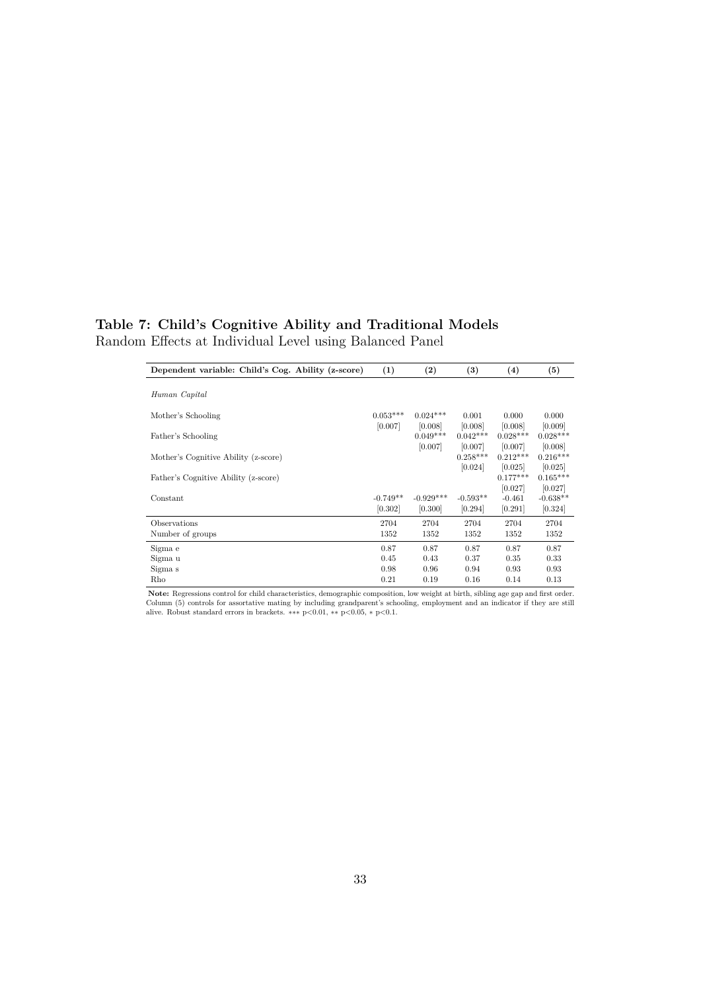## **Table 7: Child's Cognitive Ability and Traditional Models** Random Effects at Individual Level using Balanced Panel

| Dependent variable: Child's Cog. Ability (z-score) | (1)                   | (2)                    | $\left(3\right)$      | (4)                            | (5)                              |
|----------------------------------------------------|-----------------------|------------------------|-----------------------|--------------------------------|----------------------------------|
|                                                    |                       |                        |                       |                                |                                  |
| Human Capital                                      |                       |                        |                       |                                |                                  |
| Mother's Schooling                                 | $0.053***$<br>[0.007] | $0.024***$<br>[0.008]  | 0.001<br>[0.008]      | 0.000<br>[0.008]               | 0.000<br>[0.009]                 |
| Father's Schooling                                 |                       | $0.049***$             | $0.042***$            | $0.028***$                     | $0.028***$                       |
| Mother's Cognitive Ability (z-score)               |                       | [0.007]                | [0.007]<br>$0.258***$ | [0.007]<br>$0.212***$          | [0.008]<br>$0.216***$            |
| Father's Cognitive Ability (z-score)               |                       |                        | [0.024]               | [0.025]<br>$0.177***$          | [0.025]<br>$0.165***$            |
| Constant                                           | $-0.749**$<br>[0.302] | $-0.929***$<br>[0.300] | $-0.593**$<br>[0.294] | [0.027]<br>$-0.461$<br>[0.291] | [0.027]<br>$-0.638**$<br>[0.324] |
| Observations                                       | 2704                  | 2704                   | 2704                  | 2704                           | 2704                             |
| Number of groups                                   | 1352                  | 1352                   | 1352                  | 1352                           | 1352                             |
| Sigma e                                            | 0.87                  | 0.87                   | 0.87                  | 0.87                           | 0.87                             |
| Sigma u                                            | 0.45                  | 0.43                   | 0.37                  | 0.35                           | 0.33                             |
| Sigma s                                            | 0.98                  | 0.96                   | 0.94                  | 0.93                           | 0.93                             |
| Rho                                                | 0.21                  | 0.19                   | 0.16                  | 0.14                           | 0.13                             |

**Note:** Regressions control for child characteristics, demographic composition, low weight at birth, sibling age gap and first order.<br>Column (5) controls for assortative mating by including grandparent's schooling, employ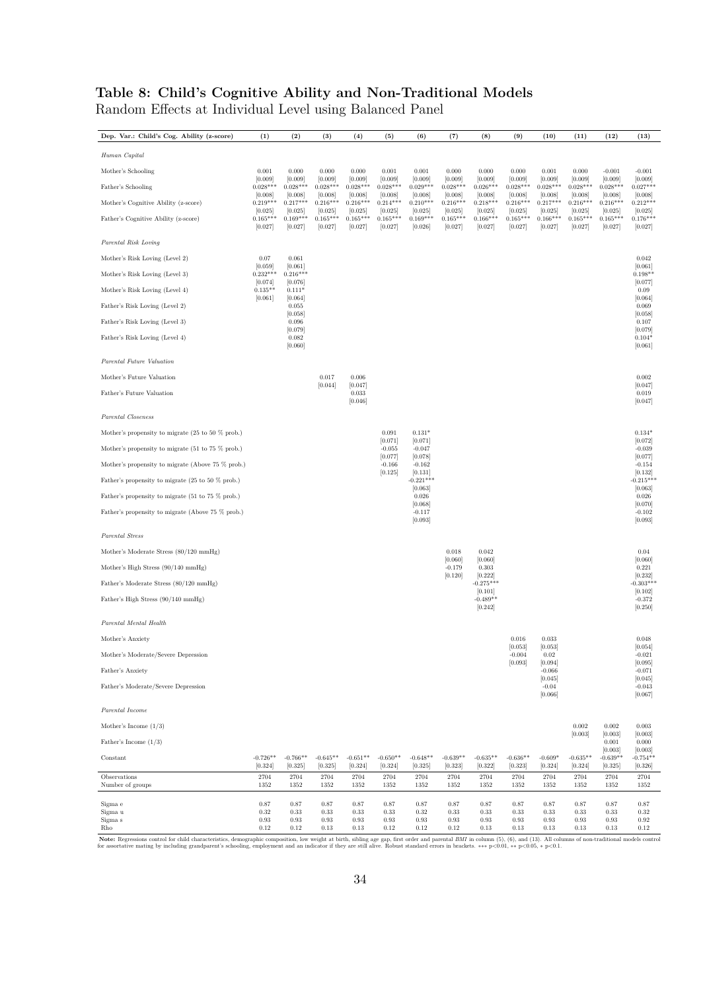## **Table 8: Child's Cognitive Ability and Non-Traditional Models**

Random Effects at Individual Level using Balanced Panel

| Dep. Var.: Child's Cog. Ability (z-score)                             | (1)                              | (2)                              | (3)                                | (4)                              | (5)                              | (6)                              | (7)                              | $(8)$                            | (9)                              | (10)                             | (11)                             | (12)                             | (13)                                   |
|-----------------------------------------------------------------------|----------------------------------|----------------------------------|------------------------------------|----------------------------------|----------------------------------|----------------------------------|----------------------------------|----------------------------------|----------------------------------|----------------------------------|----------------------------------|----------------------------------|----------------------------------------|
| Human Capital                                                         |                                  |                                  |                                    |                                  |                                  |                                  |                                  |                                  |                                  |                                  |                                  |                                  |                                        |
| Mother's Schooling                                                    | 0.001                            | 0.000                            | 0.000                              | 0.000                            | 0.001                            | 0.001                            | 0.000                            | 0.000                            | 0.000                            | 0.001                            | 0.000                            | $-0.001$                         | $-0.001$                               |
| Father's Schooling                                                    | [0.009]<br>$0.028***$<br>[0.008] | [0.009]<br>$0.028***$<br>[0.008] | [0.009]<br>$0.028***$<br>[0.008]   | [0.009]<br>$0.028***$<br>[0.008] | [0.009]<br>$0.028***$<br>[0.008] | [0.009]<br>$0.029***$<br>[0.008] | [0.009]<br>$0.028***$<br>[0.008] | [0.009]<br>$0.026***$<br>[0.008] | [0.009]<br>$0.028***$<br>[0.008] | [0.009]<br>$0.028***$<br>[0.008] | [0.009]<br>$0.028***$<br>[0.008] | [0.009]<br>$0.028***$<br>[0.008] | [0.009]<br>$0.027***$<br>[0.008]       |
| Mother's Cognitive Ability (z-score)                                  | $0.219***$                       | $0.217***$                       | $0.216***$                         | $0.216***$                       | $0.214***$                       | $0.210***$                       | $0.216***$                       | $0.218***$                       | $0.216***$                       | $0.217***$                       | $0.216***$                       | $0.216***$                       | $0.212***$                             |
| Father's Cognitive Ability (z-score)                                  | [0.025]<br>$0.165***$<br>[0.027] | [0.025]<br>$0.169***$<br>[0.027] | [0.025]<br>$0.165***$<br>[0.027]   | [0.025]<br>$0.165***$<br>[0.027] | [0.025]<br>$0.165***$<br>[0.027] | [0.025]<br>$0.169***$<br>[0.026] | [0.025]<br>$0.165***$<br>[0.027] | [0.025]<br>$0.166***$<br>[0.027] | [0.025]<br>$0.165***$<br>[0.027] | [0.025]<br>$0.166***$<br>[0.027] | [0.025]<br>$0.165***$<br>[0.027] | [0.025]<br>$0.165***$<br>[0.027] | [0.025]<br>$0.176***$<br>[0.027]       |
| Parental Risk Loving                                                  |                                  |                                  |                                    |                                  |                                  |                                  |                                  |                                  |                                  |                                  |                                  |                                  |                                        |
| Mother's Risk Loving (Level 2)                                        | 0.07                             | 0.061                            |                                    |                                  |                                  |                                  |                                  |                                  |                                  |                                  |                                  |                                  | 0.042                                  |
| Mother's Risk Loving (Level 3)                                        | [0.059]<br>$0.232***$            | [0.061]<br>$0.216***$            |                                    |                                  |                                  |                                  |                                  |                                  |                                  |                                  |                                  |                                  | [0.061]<br>$0.198**$                   |
| Mother's Risk Loving (Level 4)                                        | [0.074]<br>$0.135**$             | [0.076]<br>$0.111*$              |                                    |                                  |                                  |                                  |                                  |                                  |                                  |                                  |                                  |                                  | [0.077]<br>0.09                        |
| Father's Risk Loving (Level 2)                                        | [0.061]                          | [0.064]<br>0.055<br>[0.058]      |                                    |                                  |                                  |                                  |                                  |                                  |                                  |                                  |                                  |                                  | [0.064]<br>0.069<br>[0.058]            |
| Father's Risk Loving (Level 3)                                        |                                  | 0.096                            |                                    |                                  |                                  |                                  |                                  |                                  |                                  |                                  |                                  |                                  | 0.107                                  |
| Father's Risk Loving (Level 4)                                        |                                  | [0.079]<br>0.082<br>[0.060]      |                                    |                                  |                                  |                                  |                                  |                                  |                                  |                                  |                                  |                                  | [0.079]<br>$0.104*$<br>[0.061]         |
| Parental Future Valuation                                             |                                  |                                  |                                    |                                  |                                  |                                  |                                  |                                  |                                  |                                  |                                  |                                  |                                        |
| Mother's Future Valuation                                             |                                  |                                  | 0.017<br>[0.044]                   | 0.006<br>[0.047]                 |                                  |                                  |                                  |                                  |                                  |                                  |                                  |                                  | 0.002<br>[0.047]                       |
| Father's Future Valuation                                             |                                  |                                  |                                    | 0.033<br>[0.046]                 |                                  |                                  |                                  |                                  |                                  |                                  |                                  |                                  | 0.019<br>[0.047]                       |
| Parental Closeness                                                    |                                  |                                  |                                    |                                  |                                  |                                  |                                  |                                  |                                  |                                  |                                  |                                  |                                        |
| Mother's propensity to migrate $(25 \text{ to } 50 \text{ % prob.})$  |                                  |                                  |                                    |                                  | 0.091                            | $0.131*$                         |                                  |                                  |                                  |                                  |                                  |                                  | $0.134*$                               |
| Mother's propensity to migrate $(51 \text{ to } 75 \% \text{ prob.})$ |                                  |                                  |                                    |                                  | [0.071]<br>$-0.055$              | [0.071]<br>$-0.047$              |                                  |                                  |                                  |                                  |                                  |                                  | [0.072]<br>$-0.039$                    |
| Mother's propensity to migrate (Above 75 % prob.)                     |                                  |                                  |                                    |                                  | [0.077]<br>$-0.166$              | [0.078]<br>$-0.162$              |                                  |                                  |                                  |                                  |                                  |                                  | [0.077]<br>$-0.154$                    |
| Father's propensity to migrate $(25 \text{ to } 50 \text{ % prob.})$  |                                  |                                  |                                    |                                  | [0.125]                          | [0.131]<br>$-0.221***$           |                                  |                                  |                                  |                                  |                                  |                                  | [0.132]<br>$-0.215***$                 |
| Father's propensity to migrate $(51 \text{ to } 75 \% \text{ prob.})$ |                                  |                                  |                                    |                                  |                                  | [0.063]<br>0.026                 |                                  |                                  |                                  |                                  |                                  |                                  | [0.063]<br>0.026                       |
| Father's propensity to migrate (Above 75 % prob.)                     |                                  |                                  |                                    |                                  |                                  | [0.068]<br>$-0.117$<br>[0.093]   |                                  |                                  |                                  |                                  |                                  |                                  | [0.070]<br>$-0.102$<br>[0.093]         |
| Parental Stress                                                       |                                  |                                  |                                    |                                  |                                  |                                  |                                  |                                  |                                  |                                  |                                  |                                  |                                        |
| Mother's Moderate Stress (80/120 mmHg)                                |                                  |                                  |                                    |                                  |                                  |                                  | 0.018                            | 0.042                            |                                  |                                  |                                  |                                  | 0.04                                   |
| Mother's High Stress (90/140 mmHg)                                    |                                  |                                  |                                    |                                  |                                  |                                  | [0.060]<br>$-0.179$              | [0.060]<br>0.303                 |                                  |                                  |                                  |                                  | [0.060]<br>0.221                       |
| Father's Moderate Stress (80/120 mmHg)                                |                                  |                                  |                                    |                                  |                                  |                                  | [0.120]                          | [0.222]<br>$-0.275***$           |                                  |                                  |                                  |                                  | [0.232]<br>$-0.303***$                 |
| Father's High Stress (90/140 mmHg)                                    |                                  |                                  |                                    |                                  |                                  |                                  |                                  | [0.101]<br>$-0.489**$            |                                  |                                  |                                  |                                  | [0.102]<br>$-0.372$                    |
|                                                                       |                                  |                                  |                                    |                                  |                                  |                                  |                                  | [0.242]                          |                                  |                                  |                                  |                                  | [0.250]                                |
| Parental Mental Health                                                |                                  |                                  |                                    |                                  |                                  |                                  |                                  |                                  |                                  |                                  |                                  |                                  |                                        |
| Mother's Anxiety                                                      |                                  |                                  |                                    |                                  |                                  |                                  |                                  |                                  | 0.016<br>[0.053]                 | 0.033<br>[0.053]                 |                                  |                                  | 0.048<br>[0.054]                       |
| Mother's Moderate/Severe Depression                                   |                                  |                                  |                                    |                                  |                                  |                                  |                                  |                                  | $-0.004$<br>[0.093]              | $\rm 0.02$<br>[0.094]            |                                  |                                  | $-0.021$<br>[0.095]                    |
| Father's Anxiety                                                      |                                  |                                  |                                    |                                  |                                  |                                  |                                  |                                  |                                  | $-0.066$<br>[0.045]              |                                  |                                  | $-0.071$<br>[0.045]                    |
| Father's Moderate/Severe Depression                                   |                                  |                                  |                                    |                                  |                                  |                                  |                                  |                                  |                                  | $-0.04$<br>[0.066]               |                                  |                                  | $-0.043$<br>[0.067]                    |
| Parental Income                                                       |                                  |                                  |                                    |                                  |                                  |                                  |                                  |                                  |                                  |                                  |                                  |                                  |                                        |
| Mother's Income $(1/3)$                                               |                                  |                                  |                                    |                                  |                                  |                                  |                                  |                                  |                                  |                                  | $\,0.002\,$<br>[0.003]           | 0.002<br>[0.003]                 | 0.003<br>[0.003]                       |
| Father's Income $(1/3)$                                               |                                  |                                  |                                    |                                  |                                  |                                  |                                  |                                  |                                  |                                  |                                  | 0.001                            | 0.000                                  |
| Constant                                                              | $-0.726**$<br>[0.324]            | $-0.766**$<br>[0.325]            | $-0.645**$<br>[0.325]              | $-0.651**$<br>[0.324]            | $-0.650**$<br>[0.324]            | $-0.648**$<br>[0.325]            | $-0.639**$<br>[0.323]            | $-0.635**$<br>[0.322]            | $-0.636**$<br>[0.323]            | $-0.609*$<br>[0.324]             | $-0.635**$<br>[0.324]            | [0.003]<br>$-0.639**$<br>[0.325] | [0.003]<br>$-0.754**$<br>[0.326]       |
| Observations<br>Number of groups                                      | 2704<br>1352                     | 2704<br>1352                     | 2704<br>1352                       | 2704<br>1352                     | 2704<br>1352                     | 2704<br>1352                     | 2704<br>1352                     | 2704<br>1352                     | 2704<br>1352                     | 2704<br>1352                     | 2704<br>1352                     | 2704<br>1352                     | 2704<br>1352                           |
| Sigma e<br>Sigma u<br>Sigma s<br>Rho                                  | 0.87<br>0.32<br>0.93<br>0.12     | 0.87<br>0.33<br>0.93<br>0.12     | 0.87<br>$\rm 0.33$<br>0.93<br>0.13 | 0.87<br>0.33<br>0.93<br>0.13     | 0.87<br>0.33<br>0.93<br>0.12     | 0.87<br>0.32<br>0.93<br>0.12     | 0.87<br>0.33<br>0.93<br>0.12     | 0.87<br>0.33<br>0.93<br>0.13     | 0.87<br>0.33<br>0.93<br>0.13     | 0.87<br>0.33<br>0.93<br>0.13     | 0.87<br>0.33<br>0.93<br>0.13     | 0.87<br>0.33<br>0.93<br>0.13     | $0.87\,$<br>$\rm 0.32$<br>0.92<br>0.12 |

Note: Regressions control for child characteristics, demographic composition, low weight at birth, sibling age gap, first order and parental BMI in column (5), (6), and (13). All columns of non-traditional models control<br>f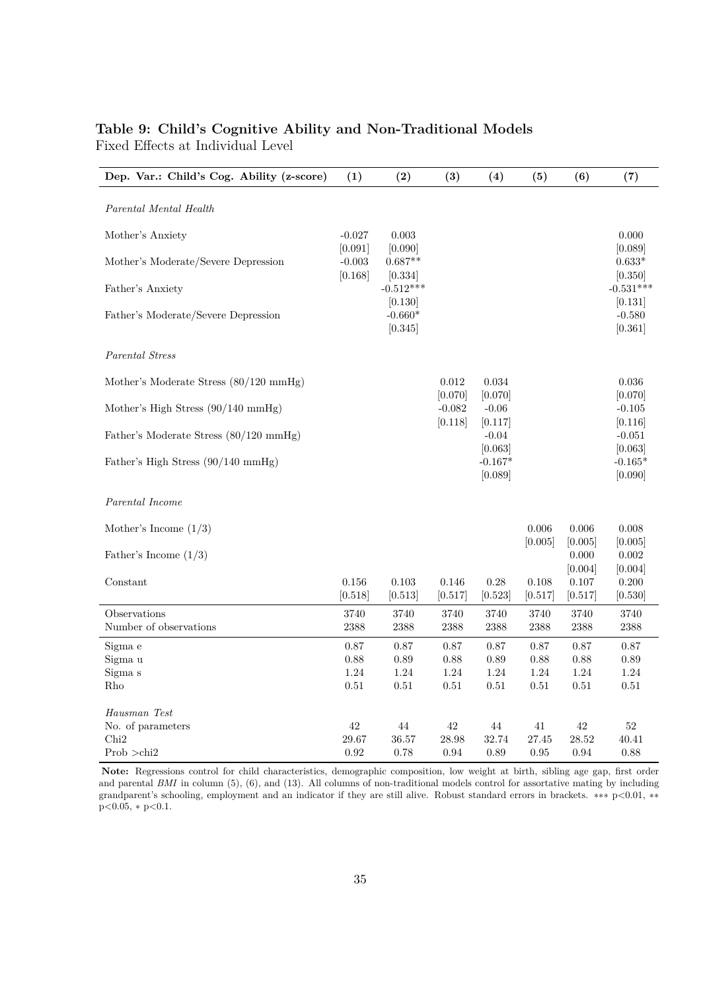### **Table 9: Child's Cognitive Ability and Non-Traditional Models** Fixed Effects at Individual Level

| Dep. Var.: Child's Cog. Ability (z-score)    | (1)                            | (2)                             | (3)                 | (4)                             | (5)             | (6)                        | (7)                             |
|----------------------------------------------|--------------------------------|---------------------------------|---------------------|---------------------------------|-----------------|----------------------------|---------------------------------|
| Parental Mental Health                       |                                |                                 |                     |                                 |                 |                            |                                 |
| Mother's Anxiety                             | $-0.027$                       | 0.003                           |                     |                                 |                 |                            | 0.000                           |
| Mother's Moderate/Severe Depression          | [0.091]<br>$-0.003$<br>[0.168] | [0.090]<br>$0.687**$            |                     |                                 |                 |                            | [0.089]<br>$0.633*$             |
| Father's Anxiety                             |                                | [0.334]<br>$-0.512***$          |                     |                                 |                 |                            | [0.350]<br>$-0.531***$          |
| Father's Moderate/Severe Depression          |                                | [0.130]<br>$-0.660*$<br>[0.345] |                     |                                 |                 |                            | [0.131]<br>$-0.580$<br>[0.361]  |
| Parental Stress                              |                                |                                 |                     |                                 |                 |                            |                                 |
| Mother's Moderate Stress (80/120 mmHg)       |                                |                                 | 0.012               | 0.034                           |                 |                            | 0.036                           |
| Mother's High Stress $(90/140 \text{ mmHg})$ |                                |                                 | [0.070]<br>$-0.082$ | [0.070]<br>$-0.06$              |                 |                            | [0.070]<br>$-0.105$             |
| Father's Moderate Stress (80/120 mmHg)       |                                |                                 | [0.118]             | [0.117]<br>$-0.04$              |                 |                            | [0.116]<br>$-0.051$             |
| Father's High Stress (90/140 mmHg)           |                                |                                 |                     | [0.063]<br>$-0.167*$<br>[0.089] |                 |                            | [0.063]<br>$-0.165*$<br>[0.090] |
| Parental Income                              |                                |                                 |                     |                                 |                 |                            |                                 |
| Mother's Income $(1/3)$                      |                                |                                 |                     |                                 | 0.006           | 0.006                      | 0.008                           |
| Father's Income $(1/3)$                      |                                |                                 |                     |                                 | [0.005]         | [0.005]<br>0.000           | [0.005]<br>0.002                |
| Constant                                     | 0.156<br>[0.518]               | 0.103<br> 0.513                 | 0.146<br> 0.517     | 0.28<br> 0.523                  | 0.108<br> 0.517 | [0.004]<br>0.107<br> 0.517 | [0.004]<br>0.200<br> 0.530      |
| Observations                                 | 3740                           | 3740                            | 3740                | 3740                            | 3740            | 3740                       | 3740                            |
| Number of observations                       | 2388                           | 2388                            | 2388                | 2388                            | 2388            | 2388                       | 2388                            |
| Sigma e<br>Sigma u                           | 0.87<br>0.88                   | 0.87                            | 0.87<br>0.88        | 0.87                            | 0.87            | $0.87\,$                   | 0.87                            |
| Sigma s                                      | 1.24                           | 0.89<br>1.24                    | 1.24                | 0.89<br>1.24                    | 0.88<br>1.24    | $0.88\,$<br>1.24           | 0.89<br>1.24                    |
| Rho                                          | 0.51                           | 0.51                            | 0.51                | 0.51                            | 0.51            | $0.51\,$                   | 0.51                            |
| Hausman Test                                 |                                |                                 |                     |                                 |                 |                            |                                 |
| No. of parameters                            | 42                             | 44                              | 42                  | 44                              | 41              | 42                         | 52                              |
| Chi <sub>2</sub>                             | 29.67                          | 36.57                           | 28.98               | 32.74                           | 27.45           | 28.52                      | 40.41                           |
| Prob >chi2                                   | 0.92                           | 0.78                            | 0.94                | 0.89                            | 0.95            | 0.94                       | 0.88                            |

**Note:** Regressions control for child characteristics, demographic composition, low weight at birth, sibling age gap, first order and parental *BMI* in column (5), (6), and (13). All columns of non-traditional models control for assortative mating by including grandparent's schooling, employment and an indicator if they are still alive. Robust standard errors in brackets. ∗∗∗ p*<*0.01, ∗∗ p*<*0.05, ∗ p*<*0.1.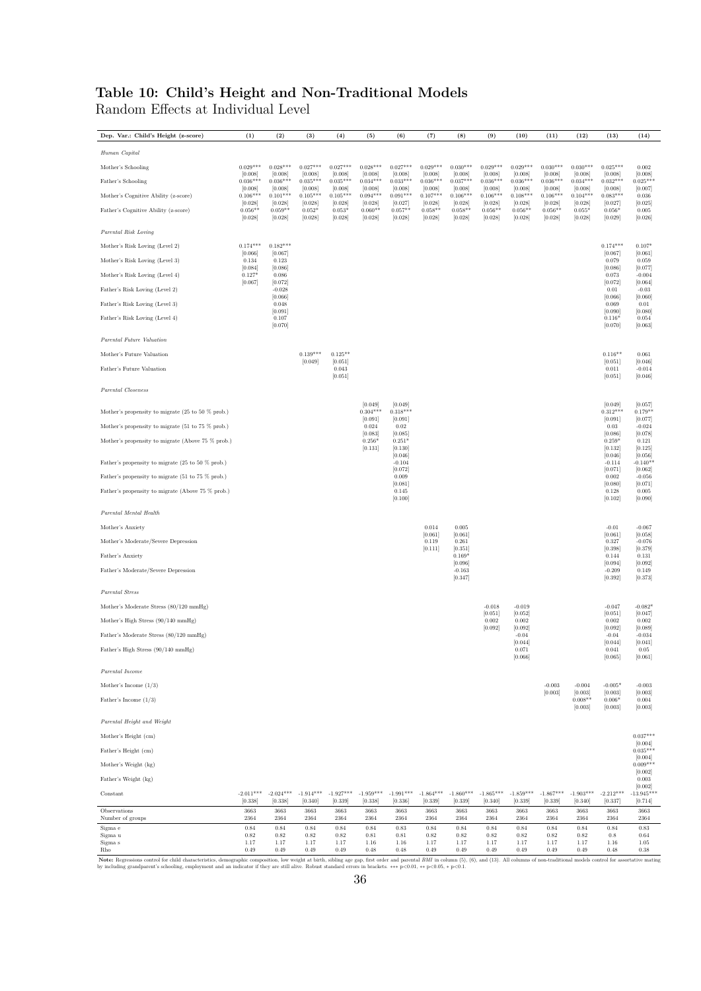#### **Table 10: Child's Height and Non-Traditional Models** Random Effects at Individual Level

**Dep. Var.: Child's Height (z-score) (1) (2) (3) (4) (5) (6) (7) (8) (9) (10) (11) (12) (13) (14)** *Human Capital*  $\text{Mother's Schooling}\qquad \qquad 0.029*** \qquad 0.028*** \qquad 0.027*** \qquad 0.027*** \qquad 0.028*** \qquad 0.027*** \qquad 0.027*** \qquad 0.029*** \qquad 0.030*** \qquad 0.029*** \qquad 0.029*** \qquad 0.030*** \qquad 0.030*** \qquad 0.030*** \qquad 0.030*** \qquad 0.030*** \qquad 0.030***$ [0.008] [0.008] [0.008] [0.008] [0.008] [0.008] [0.008] [0.008] [0.008] [0.008] [0.008] [0.008] [0.008] [0.008] Father's Schooling 0.036\*\*\* 0.036\*\*\* 0.035\*\*\* 0.035\*\*\* 0.034\*\*\* 0.033\*\*\* 0.036\*\*\* 0.037\*\*\* 0.036\*\*\* 0.036\*\*\* 0.036\*\*\* 0.034\*\*\* 0.032\*\*\* 0.025\*\*\* [0.008] [0.008] [0.008] [0.008] [0.008] [0.008] [0.008] [0.008] [0.008] [0.008] [0.008] [0.008] [0.008] [0.007] Mother's Schooling<br>
Mother's Cognitive Ability (z-score) 0.008 (0.008) (0.008) (0.008) (0.008) (0.008) (0.008) (0.008) (0.008) (0.008) (0.008) (0.008) (0.008)<br>
Mother's Cognitive Ability (z-score) (0.008) (0.008) (0.008) [106\*\*\* 0.101\*\*\* 0.105\*\*\* 0.105\*\*\* 0.094\*\*\* 0.091\*\*\* 0.106\*\*\* 0.106\*\*\* 0.106\*\*\* 0.106\*\*\* 0.104\*\*\* 0.083\*\*\* 0.036<br>[0.028] [0.028] [0.028] [0.028] [0.028] [0.027] [0.028] [0.028] [0.028] [0.028] [0.028] [0.028] [0.027] [0.02 Pather's Cognitive Ability (z-score)<br>
2.0.056\*\* 0.056\*\* 0.056\*\* 0.058\*\* 0.058\*\* 0.058\*\* 0.058\*\* 0.058\*\* 0.058\*\* 0.058\*\* 0.058\*\* 0.056\*\* 0.056\*\* 0.056\* 0.056\*<br>
2.0.028] [0.028] [0.028] [0.028] [0.028] [0.028] [0.028] [0.028 [0.028] [0.028] [0.028] [0.028] [0.028] [0.028] [0.028] [0.028] [0.028] [0.028] [0.028] [0.028] [0.029] [0.026] *Parental Risk Loving* Mother's Risk Loving (Level 2) 0.174\*\*\* 0.182\*\*\* 0.174\*\*\* 0.107\*  $\frac{0.174^{***}}{0.066}$  [0.067] [0.061] [0.067] [0.061] Mother's Risk Loving (Level 2)  $(0.066)$   $(0.067)$   $(0.067)$   $(0.067)$   $(0.067)$   $(0.068)$   $(0.067)$   $(0.068)$   $(0.067)$   $(0.069)$   $(0.067)$   $(0.069)$   $(0.069)$   $(0.069)$   $(0.069)$   $(0.069)$   $(0.069)$   $(0.069)$   $(0.069)$  0.134 0.123 0.079 0.069 0.079 0.069 0.079 0.069 0.079 0.069 0.079 0.069 0.074 0.069 0.077 0.0001 0.0001 0.0001 0.0001 0.0001 0.000<br>
0.0173 0.006 0.073 0.000 0.073 0.000<br>
0.061 0.086 0.073 0.0040 0.073 0.0040 0.073 0.0040  $\frac{0.073}{[0.072]}$  [0.072] [0.072] [0.064] Father's Risk Loving (Level 2) -0.028 0.01 -0.03 [0.066] [0.066] [0.060] Father's Risk Loving (Level 2)<br>
Father's Risk Loving (Level 3)<br>
Father's Risk Loving (Level 4)<br>  $[0.069]$   $[0.060]$   $[0.060]$   $[0.060]$   $[0.060]$   $[0.060]$   $[0.060]$   $[0.060]$   $[0.060]$   $[0.060]$   $[0.060]$   $[0.060]$   $[0.06$  $[0.090]$   $[0.090]$   $[0.090]$   $[0.090]$   $[0.090]$   $[0.090]$ Father's Risk Loving (Level 4) 0.107 0.116\* 0.054  $[0.070]$   $[0.070]$   $[0.063]$   $[0.070]$   $[0.063]$ *Parental Future Valuation* Mother's Future Valuation **0.139\*\*\*** 0.125<sup>\*\*</sup> 0.125<sup>\*\*</sup> 0.061 0.046 0.061 0.051 0.046 0.061 0.051 0.046  $[0.051]$  [0.051] [0.051] [0.061] [0.051] Father's Future Valuation 0.043 0.011 -0.014  $[0.051]$   $[0.051]$   $[0.051]$   $[0.06]$ *Parental Closeness*  $[0.049] \qquad [0.049] \qquad \quad [0.049] \qquad \quad \, [0.049]$ Mother's propensity to migrate (25 to 50 % prob.) 0.304\*\*\* 0.318\*\*\* 0.312\*\*\* 0.179\*\*  $[0.091]$   $[0.091]$   $[0.091]$   $[0.077]$ Mother's propensity to migrate (51 to 75 % prob.)<br>
0.024 0.024 0.024 0.024 0.024 0.024 0.024 0.024 0.024 0.034 0.034 0.024 0.034 0.024 0.034 0.024  $\begin{bmatrix} 0.024 & 0.02 & -0.024 \\ 0.083 & 0.085 \end{bmatrix}$  [0.086] [0.078] Mother's propensity to migrate (Above 75 % prob.)<br>
0.256\* 0.251\*<br>
0.131] [0.131] [0.131] [0.046] [0.046] [0.046] [0.046] [0.046] [0.046] [0.046] [0.046] [0.046] [0.062]<br>
20.046 [0.072] [0.072] [0.072] [0.072] [0.072] [0.07  $(0.130)^{\circ}$   $0.251^{\circ}$   $0.121$ <br>  $[0.131]$   $[0.130]$   $[0.132]$   $[0.125]$  $[0.132]$   $[0.132]$   $[0.132]$   $[0.046]$   $[0.066]$  $\begin{bmatrix} 0.154 \ 0.046 \end{bmatrix}$ <br>  $\begin{bmatrix} 0.046 \ 0.046 \end{bmatrix}$ <br>  $\begin{bmatrix} 0.046 \ 0.046 \end{bmatrix}$ <br>  $\begin{bmatrix} 0.046 \ 0.046 \end{bmatrix}$ <br>  $\begin{bmatrix} 0.046 \ 0.046 \end{bmatrix}$ <br>  $\begin{bmatrix} 0.046 \ 0.046 \end{bmatrix}$ <br>  $\begin{bmatrix} 0.046 \ 0.046 \end{bmatrix}$ <br>  $\begin{bmatrix} 0.046 \ 0.0$  $-0.114$   $-0.140**$ <br>  $[0.072]$   $[0.062]$ Father's propensity to migrate (51 to 75 % prob.)<br>  $\begin{bmatrix} 0.009 \\ 0.002 \end{bmatrix}$   $\begin{bmatrix} 0.081 \\ 0.081 \end{bmatrix}$   $\begin{bmatrix} 0.080 \\ 0.071 \end{bmatrix}$  $[0.081]$   $[0.080]$   $[0.071]$   $[0.071]$ Father's propensity to migrate (Above 75 % prob.)<br>  $(0.108)$  0.005<br>  $(0.100)$  0.145<br>  $(0.100)$  0.1021<br>  $(0.000)$  0.005<br>  $(0.001)$  $[0.145$   $0.128$   $0.005$   $[0.100]$   $[0.100]$ *Parental Mental Health* Mother's Anxiety 0.014 0.005 -0.01 -0.067  $[0.061]$   $[0.061]$   $[0.061]$   $[0.061]$   $[0.063]$  $\begin{tabular}{c c c c c c c c} \textbf{Mother's Answer} & 0.014 & 0.005 & 0.014 \\ \textbf{Mother's However:} & \textbf{Depression} & 0.081 & 0.081 \\ \textbf{Mother's Modern} & 0.067 & 0.077 & 0.067 \\ \textbf{Table's:} & 0.327 & 0.079 \\ \textbf{Father's Anxiety} & 0.131 & 0.27 \\ \end{tabular}$  $[0.119 \t 0.261 \t 0.327 \t 0.076 \t 0.0001]$ <br> $[0.398 \t 0.379]$  $\begin{array}{|c|c|c|c|c|}\hline (0.111] & & [0.351] & & [0.398] & [0.379] & [0.379] \ \hline \end{array}$  $[0.096]$   $[0.096]$   $[0.092]$ Father's Moderate/Severe Depression -0.163 -0.209 0.149  $[-0.163$   $-0.209$   $0.149$   $[0.347]$   $[0.392]$   $[0.373]$ *Parental Stress*  $\begin{tabular}{c|c|c|c|c|c|c} \multicolumn{4}{c|c|}{\text{Moderate Stress (80/120 mmHg)}} & \multicolumn{4}{c|c|}{\multicolumn{4}{c|c|}{\text{Moderate Stress (80/120 mmHg)}}} & \multicolumn{4}{c|}{\multicolumn{4}{c|}{\text{Moderate Stress (80/120 mmHg)}}} & \multicolumn{4}{c|}{\text{Moderate Stress (80/120 mmHg)}} & \multicolumn{4}{c|}{\text{Moderate Stress (80/120 mmHg)}} & \multicolumn{4}{c|}{\text{Moderate Stress (80/120 mmHg$  $[-0.018$   $-0.019$   $[-0.032$ <sup>\*</sup>  $-0.082$ <sup>\*</sup>  $[-0.052]$   $[0.051]$   $[0.047]$   $[-0.047]$ Mother's High Stress  $(90/140 \text{ mmHg})$  $[0.002$   $0.002$   $[0.092]$   $[0.092]$   $[0.089]$ Father's Moderate Stress (80/120 mmHg)<br>-0.04 -0.034 -0.04 -0.04 -0.04 -0.034 -0.04 -0.034 -0.04 -0.034 -0.04 -0.04 -0.04 -0.04 -0.04 -0.04 -0.04 -0.034 -0.04 -0.04 -0.04<br>[0.044] [0.044] [0.044] [0.044] Father's High Stress (90/140 mmHg)<br>
0.041 0.041 0.055<br>
0.066  $[0.041]$ <br> $[0.061]$ *Parental Income* -0.003 -0.004 -0.005\* -0.003 -0.004 -0.005\* -0.003  $[0.003]$   $[0.003]$   $[0.003]$   $[0.003]$   $[0.003]$   $[0.003]$  $\begin{bmatrix} 0.003] & [0.003] & [0.003] & [0.003] & [0.003] & [0.003] & [0.003] & [0.003] & [0.003] & [0.004] & [0.004] & [0.005] & [0.006] & [0.007] & [0.007] & [0.008] & [0.009] & [0.009] & [0.001] & [0.001] & [0.001] & [0.001] & [0.001] & [0.001] & [0.001] & [0.001] & [0.001$  $[0.008]$   $[0.003]$   $[0.003]$   $[0.003]$   $[0.003]$   $[0.003]$ *Parental Height and Weight* Mother's Height (cm) 0.037\*\*\* 0.037\*\*\*  $[0.004]$ <br> $0.035***$ Father's Height (cm) 0.035\*\*\*  $[0.004]$ <br> $0.009***$  $\frac{[0.004]}{0.009***}$  $[0.002]$ <br> $0.003$ Father's Weight (kg) 0.003  $[0.002]$ <br>-13.945\*\*\*  $-2.011***$   $-2.024***$   $-1.914***$   $-1.959***$   $-1.959***$   $-1.864***$   $-1.864***$   $-1.865***$   $-1.859***$   $-1.859***$   $-1.867***$   $-1.903***$   $-2.212***$   $-13.945***$ [0.338] [0.338] [0.340] [0.338] [0.338] [0.338] [0.338] [0.339] [0.339] [0.339] [0.339] [0.339] [0.338] [0.337] [0.714] Observations 3663 3663 3663 3663 3663 3663 3663 3663 3663 3663 3663 3663 3663 3663 Number of groups 2364 2364 2364 2364 2364 2364 2364 2364 2364 2364 2364 2364 2364 2364 Sigma e 0.84 0.84 0.84 0.84 0.84 0.83 0.84 0.84 0.84 0.84 0.84 0.84 0.84 0.83 Sigma u 0.82 0.82 0.82 0.82 0.81 0.81 0.82 0.82 0.82 0.82 0.82 0.82 0.8 0.64 Sigma s 1.17 1.17 1.17 1.17 1.16 1.16 1.17 1.17 1.17 1.17 1.17 1.17 1.16 1.05 Rho 0.49 0.49 0.49 0.49 0.48 0.48 0.49 0.49 0.49 0.49 0.49 0.49 0.48 0.38  $\begin{tabular}{lcccccc} \text{Sigma} & 0.84 & 0.84 & 0.84 & 0.84 & 0.84 & 0.84 & 0.84 & 0.84 & 0.84 & 0.84 & 0.84 & 0.84 & 0.84 & 0.84 & 0.84 & 0.84 & 0.84 & 0.84 & 0.84 & 0.84 & 0.84 & 0.84 & 0.84 & 0.84 & 0.84 & 0.84 & 0.84 & 0.84 & 0.84 & 0.84 & 0.84 & 0.84 & 0.84 & 0.84 &$ 

**by including grandparent's schooling, employment and an indicator if they are still alive. Robust standard errors in brackets. ••** *p***<sup>0.01</sup>, <sup>***••• p***</sup>** *p***<sup>0.01</sup>,** *••**p***<sup>0</sup>.01,** *••**p***<sup>0</sup>.01,** *••**p***<sup>0</sup>.01,** *••**p***<sup>0</sup>**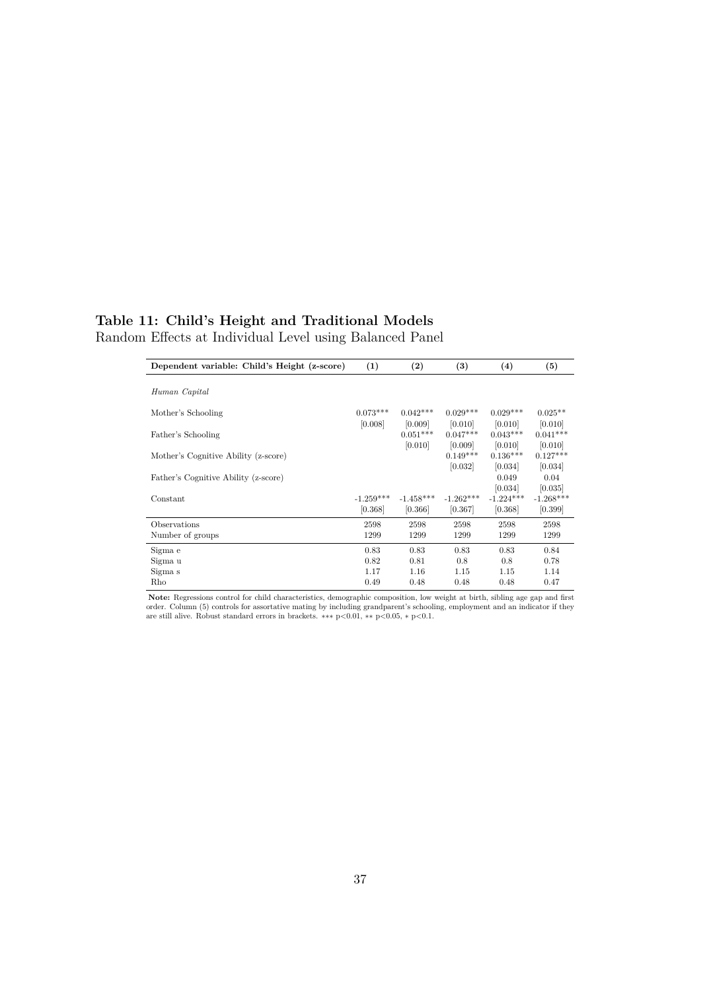## **Table 11: Child's Height and Traditional Models** Random Effects at Individual Level using Balanced Panel

| Dependent variable: Child's Height (z-score) | (1)                   | $\left( 2\right)$     | $\left(3\right)$      | (4)                   | (5)                  |
|----------------------------------------------|-----------------------|-----------------------|-----------------------|-----------------------|----------------------|
|                                              |                       |                       |                       |                       |                      |
| Human Capital                                |                       |                       |                       |                       |                      |
| Mother's Schooling                           | $0.073***$<br>[0.008] | $0.042***$<br>[0.009] | $0.029***$<br>[0.010] | $0.029***$<br>[0.010] | $0.025**$<br>[0.010] |
| Father's Schooling                           |                       | $0.051***$            | $0.047***$            | $0.043***$            | $0.041***$           |
|                                              |                       | [0.010]               | [0.009]               | [0.010]               | [0.010]              |
| Mother's Cognitive Ability (z-score)         |                       |                       | $0.149***$            | $0.136***$            | $0.127***$           |
|                                              |                       |                       | [0.032]               | [0.034]               | [0.034]              |
| Father's Cognitive Ability (z-score)         |                       |                       |                       | 0.049                 | 0.04                 |
|                                              |                       |                       |                       | [0.034]               | [0.035]              |
| Constant                                     | $-1.259***$           | $-1.458***$           | $-1.262***$           | $-1.224***$           | $-1.268***$          |
|                                              | [0.368]               | [0.366]               | [0.367]               | [0.368]               | [0.399]              |
| Observations                                 | 2598                  | 2598                  | 2598                  | 2598                  | 2598                 |
| Number of groups                             | 1299                  | 1299                  | 1299                  | 1299                  | 1299                 |
| Sigma e                                      | 0.83                  | 0.83                  | 0.83                  | 0.83                  | 0.84                 |
| Sigma u                                      | 0.82                  | 0.81                  | 0.8                   | 0.8                   | 0.78                 |
| Sigma s                                      | 1.17                  | 1.16                  | 1.15                  | 1.15                  | 1.14                 |
| Rho                                          | 0.49                  | 0.48                  | 0.48                  | 0.48                  | 0.47                 |

**Note:** Regressions control for child characteristics, demographic composition, low weight at birth, sibling age gap and first order. Column (5) controls for assortative mating by including grandparent's schooling, employment and an indicator if they are still alive. Robust standard errors in brackets. ∗∗∗ <sup>p</sup>*<*0.01, ∗∗ <sup>p</sup>*<*0.05, <sup>∗</sup> <sup>p</sup>*<*0.1.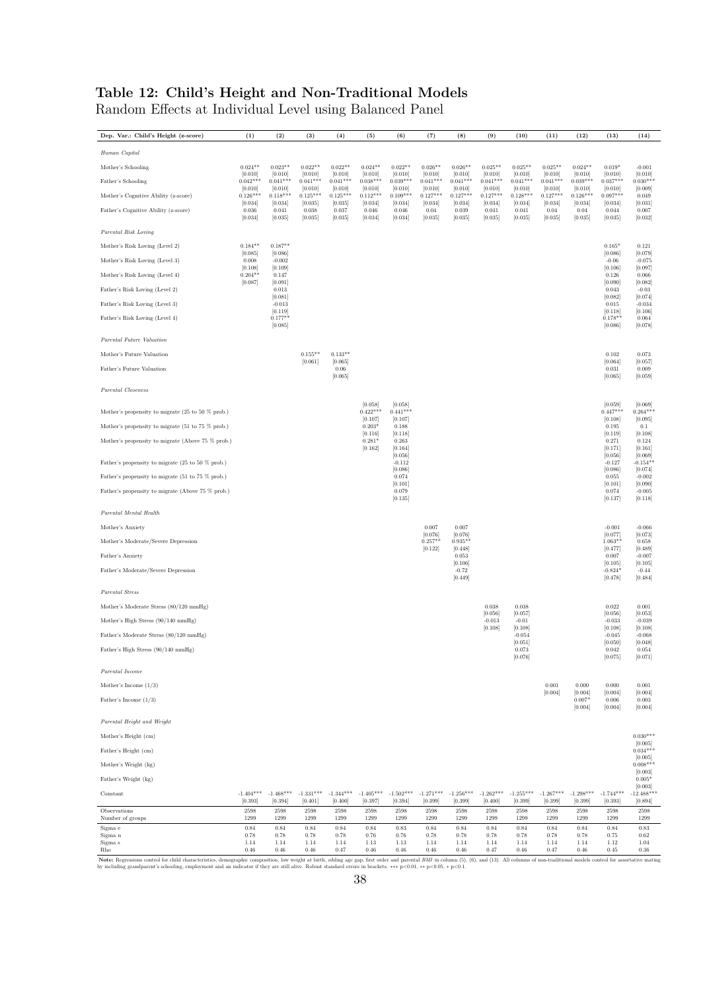## **Table 12: Child's Height and Non-Traditional Models**

Random Effects at Individual Level using Balanced Panel

| Dep. Var.: Child's Height (z-score)               | (1)                    | (2)                    | (3)                    | (4)                    | (5)                    | (6)                    | (7)                    | (8)                    | (9)                    | (10)                   | (11)                   | (12)                   | (13)                   | (14)                    |
|---------------------------------------------------|------------------------|------------------------|------------------------|------------------------|------------------------|------------------------|------------------------|------------------------|------------------------|------------------------|------------------------|------------------------|------------------------|-------------------------|
| Human Capital                                     |                        |                        |                        |                        |                        |                        |                        |                        |                        |                        |                        |                        |                        |                         |
| Mother's Schooling                                | $0.024**$              | $0.023**$              | $0.022**$              | $0.022**$              | $0.024**$              | $0.022**$              | $0.026**$              | $0.026**$              | $0.025**$              | $0.025**$              | $0.025**$              | $0.024**$              | $0.019*$               | $-0.001$                |
| Father's Schooling                                | [0.010]<br>$0.042***$  | [0.010]<br>$0.041***$  | [0.010]<br>$0.041***$  | [0.010]<br>$0.041***$  | [0.010]<br>$0.038***$  | [0.010]<br>$0.039***$  | [0.010]<br>$0.041***$  | [0.010]<br>$0.041***$  | [0.010]<br>$0.041***$  | [0.010]<br>$0.041***$  | [0.010]<br>$0.041***$  | [0.010]<br>$0.039***$  | [0.010]<br>$0.037***$  | [0.010]<br>$0.030***$   |
| Mother's Cognitive Ability (z-score)              | [0.010]<br>$0.126***$  | [0.010]<br>$0.118***$  | [0.010]<br>$0.125***$  | [0.010]<br>$0.125***$  | [0.010]<br>$0.112***$  | [0.010]<br>$0.109***$  | [0.010]<br>$0.127***$  | [0.010]<br>$0.127***$  | [0.010]<br>$0.127***$  | [0.010]<br>$0.128***$  | [0.010]<br>$0.127***$  | [0.010]<br>$0.126***$  | [0.010]<br>$0.097***$  | [0.009]<br>0.049        |
| Father's Cognitive Ability (z-score)              | [0.034]<br>0.036       | [0.034]<br>0.041       | [0.035]<br>0.038       | [0.035]<br>0.037       | [0.034]<br>0.046       | [0.034]<br>0.046       | [0.034]<br>0.04        | [0.034]<br>0.039       | [0.034]<br>0.041       | [0.034]<br>0.041       | [0.034]<br>0.04        | [0.034]<br>0.04        | [0.034]<br>0.044       | [0.031]<br>0.007        |
|                                                   | [0.034]                | [0.035]                | [0.035]                | [0.035]                | [0.034]                | [0.034]                | [0.035]                | [0.035]                | [0.035]                | [0.035]                | [0.035]                | [0.035]                | [0.035]                | [0.032]                 |
| Parental Risk Loving                              |                        |                        |                        |                        |                        |                        |                        |                        |                        |                        |                        |                        |                        |                         |
| Mother's Risk Loving (Level 2)                    | $0.184**$<br>[0.085]   | $0.187**$<br>[0.086]   |                        |                        |                        |                        |                        |                        |                        |                        |                        |                        | $0.165*$<br>[0.086]    | 0.121<br>[0.079]        |
| Mother's Risk Loving (Level 3)                    | 0.008<br>[0.108]       | $-0.002$<br>[0.109]    |                        |                        |                        |                        |                        |                        |                        |                        |                        |                        | $-0.06$<br>[0.106]     | $-0.075$<br>[0.097]     |
| Mother's Risk Loving (Level 4)                    | $0.204**$<br>[0.087]   | 0.147<br>[0.091]       |                        |                        |                        |                        |                        |                        |                        |                        |                        |                        | 0.126<br>[0.090]       | 0.066<br>[0.082]        |
| Father's Risk Loving (Level 2)                    |                        | 0.013<br>[0.081]       |                        |                        |                        |                        |                        |                        |                        |                        |                        |                        | 0.043<br>[0.082]       | $-0.03$<br>[0.074]      |
| Father's Risk Loving (Level 3)                    |                        | $-0.013$<br>[0.119]    |                        |                        |                        |                        |                        |                        |                        |                        |                        |                        | 0.015<br>[0.118]       | $-0.034$<br>[0.106]     |
| Father's Risk Loving (Level 4)                    |                        | $0.177**$<br>[0.085]   |                        |                        |                        |                        |                        |                        |                        |                        |                        |                        | $0.178**$<br>[0.086]   | 0.064<br>[0.078]        |
| Parental Future Valuation                         |                        |                        |                        |                        |                        |                        |                        |                        |                        |                        |                        |                        |                        |                         |
| Mother's Future Valuation                         |                        |                        | $0.155**$              | $0.133**$              |                        |                        |                        |                        |                        |                        |                        |                        | 0.102                  | 0.073                   |
| Father's Future Valuation                         |                        |                        | [0.061]                | [0.065]<br>0.06        |                        |                        |                        |                        |                        |                        |                        |                        | [0.064]<br>0.031       | [0.057]<br>0.009        |
|                                                   |                        |                        |                        | [0.065]                |                        |                        |                        |                        |                        |                        |                        |                        | [0.065]                | [0.059]                 |
| Parental Closeness                                |                        |                        |                        |                        |                        |                        |                        |                        |                        |                        |                        |                        |                        |                         |
| Mother's propensity to migrate (25 to 50 % prob.) |                        |                        |                        |                        | [0.058]<br>$0.422***$  | [0.058]<br>$0.441***$  |                        |                        |                        |                        |                        |                        | [0.059]<br>$0.447***$  | [0.069]<br>$0.264***$   |
| Mother's propensity to migrate (51 to 75 % prob.) |                        |                        |                        |                        | [0.107]<br>$0.203*$    | [0.107]<br>0.188       |                        |                        |                        |                        |                        |                        | [0.108]<br>0.195       | [0.095]<br>0.1          |
| Mother's propensity to migrate (Above 75 % prob.) |                        |                        |                        |                        | [0.116]<br>$0.281*$    | [0.118]<br>0.263       |                        |                        |                        |                        |                        |                        | [0.119]<br>0.271       | [0.108]<br>0.124        |
|                                                   |                        |                        |                        |                        | [0.162]                | [0.164]<br>[0.056]     |                        |                        |                        |                        |                        |                        | [0.171]<br>[0.056]     | [0.161]<br>[0.069]      |
| Father's propensity to migrate (25 to 50 % prob.) |                        |                        |                        |                        |                        | $-0.112$<br>[0.086]    |                        |                        |                        |                        |                        |                        | $-0.127$<br>[0.086]    | $-0.154**$<br>[0.074]   |
| Father's propensity to migrate (51 to 75 % prob.) |                        |                        |                        |                        |                        | 0.074<br>[0.101]       |                        |                        |                        |                        |                        |                        | 0.055<br>[0.101]       | $-0.002$<br>[0.090]     |
| Father's propensity to migrate (Above 75 % prob.) |                        |                        |                        |                        |                        | 0.079<br>[0.135]       |                        |                        |                        |                        |                        |                        | 0.074<br>[0.137]       | $-0.005$<br>[0.118]     |
| Parental Mental Health                            |                        |                        |                        |                        |                        |                        |                        |                        |                        |                        |                        |                        |                        |                         |
| Mother's Anxiety                                  |                        |                        |                        |                        |                        |                        | 0.007                  | 0.007                  |                        |                        |                        |                        | $-0.001$               | $-0.066$                |
| Mother's Moderate/Severe Depression               |                        |                        |                        |                        |                        |                        | [0.076]<br>$0.257**$   | [0.076]<br>$0.935**$   |                        |                        |                        |                        | [0.077]<br>$1.063**$   | [0.073]<br>0.658        |
| Father's Anxiety                                  |                        |                        |                        |                        |                        |                        | [0.122]                | [0.448]<br>0.053       |                        |                        |                        |                        | [0.477]<br>0.007       | [0.489]<br>$-0.007$     |
| Father's Moderate/Severe Depression               |                        |                        |                        |                        |                        |                        |                        | [0.106]<br>$-0.72$     |                        |                        |                        |                        | [0.105]<br>$-0.824*$   | [0.105]<br>$-0.44$      |
|                                                   |                        |                        |                        |                        |                        |                        |                        | [0.449]                |                        |                        |                        |                        | [0.478]                | [0.484]                 |
| Parental Stress                                   |                        |                        |                        |                        |                        |                        |                        |                        |                        |                        |                        |                        |                        |                         |
| Mother's Moderate Stress (80/120 mmHg)            |                        |                        |                        |                        |                        |                        |                        |                        | $\,0.038\,$<br>[0.056] | 0.038<br>[0.057]       |                        |                        | $\,0.022\,$<br>[0.056] | 0.001<br>[0.053]        |
| Mother's High Stress (90/140 mmHg)                |                        |                        |                        |                        |                        |                        |                        |                        | $-0.013$<br>[0.108]    | $-0.01$<br>[0.108]     |                        |                        | $-0.033$<br>[0.108]    | $-0.039$<br>[0.108]     |
| Father's Moderate Stress (80/120 mmHg)            |                        |                        |                        |                        |                        |                        |                        |                        |                        | $-0.054$<br>[0.051]    |                        |                        | $-0.045$<br>[0.050]    | $-0.068$<br>[0.048]     |
| Father's High Stress (90/140 mmHg)                |                        |                        |                        |                        |                        |                        |                        |                        |                        | 0.073<br>[0.076]       |                        |                        | 0.042<br>[0.075]       | 0.054<br>[0.071]        |
| Parental Income                                   |                        |                        |                        |                        |                        |                        |                        |                        |                        |                        |                        |                        |                        |                         |
| Mother's Income $(1/3)$                           |                        |                        |                        |                        |                        |                        |                        |                        |                        |                        | $\rm 0.001$            | $0.000\,$              | 0.000                  | 0.001                   |
| Father's Income $(1/3)$                           |                        |                        |                        |                        |                        |                        |                        |                        |                        |                        | [0.004]                | [0.004]<br>$0.007*$    | [0.004]<br>0.006       | [0.004]<br>0.003        |
|                                                   |                        |                        |                        |                        |                        |                        |                        |                        |                        |                        |                        | [0.004]                | [0.004]                | [0.004]                 |
| Parental Height and Weight                        |                        |                        |                        |                        |                        |                        |                        |                        |                        |                        |                        |                        |                        |                         |
| Mother's Height (cm)                              |                        |                        |                        |                        |                        |                        |                        |                        |                        |                        |                        |                        |                        | $0.030***$<br>[0.005]   |
| Father's Height (cm)                              |                        |                        |                        |                        |                        |                        |                        |                        |                        |                        |                        |                        |                        | $0.034***$<br>[0.005]   |
| Mother's Weight (kg)                              |                        |                        |                        |                        |                        |                        |                        |                        |                        |                        |                        |                        |                        | $0.008***$<br>[0.003]   |
| Father's Weight (kg)                              |                        |                        |                        |                        |                        |                        |                        |                        |                        |                        |                        |                        |                        | $0.005*$<br>[0.003]     |
| $\mbox{Constant}$                                 | $-1.404***$<br>[0.393] | $-1.468***$<br>[0.394] | $-1.331***$<br>[0.401] | $-1.344***$<br>[0.400] | $-1.405***$<br>[0.397] | $-1.502***$<br>[0.394] | $-1.271***$<br>[0.399] | $-1.256***$<br>[0.399] | $-1.262***$<br>[0.400] | $-1.255***$<br>[0.399] | $-1.267***$<br>[0.399] | $-1.298***$<br>[0.399] | $-1.744***$<br>[0.393] | $-12.488***$<br>[0.894] |
| $\hbox{Observations}$                             | 2598                   | 2598                   | 2598                   | 2598                   | 2598                   | 2598                   | 2598                   | 2598                   | 2598                   | 2598                   | 2598                   | 2598                   | 2598                   | 2598                    |
| Number of groups<br>$\hbox{Sigma}$ e              | 1299<br>0.84           | 1299<br>0.84           | 1299<br>0.84           | 1299<br>0.84           | 1299<br>0.84           | 1299<br>0.83           | 1299<br>0.84           | 1299<br>0.84           | 1299<br>0.84           | 1299<br>0.84           | 1299<br>0.84           | 1299<br>0.84           | 1299<br>0.84           | 1299<br>0.83            |
| Sigma u<br>Sigma s                                | 0.78<br>1.14           | 0.78<br>1.14           | 0.78<br>1.14           | 0.78<br>1.14           | 0.76<br>$1.13\,$       | 0.76<br>1.13           | 0.78<br>1.14           | 0.78<br>1.14           | 0.78<br>1.14           | 0.78<br>1.14           | 0.78<br>1.14           | 0.78<br>1.14           | 0.75<br>1.12           | 0.62<br>1.04            |
| Rho                                               | 0.46                   | $\,0.46$               | $\,0.46$               | 0.47                   | $\,0.46$               | $\,0.46$               | $\,0.46$               | $\,0.46$               | 0.47                   | $\,0.46$               | 0.47                   | 0.46                   | $\rm 0.45$             | $\rm 0.36$              |

Note: Regressions control for child characteristics, demographic composition, low weight at birth, sibling age gap, first order and parental *BMI* in colum (5), (6), and (13). All columns of non-traditional models control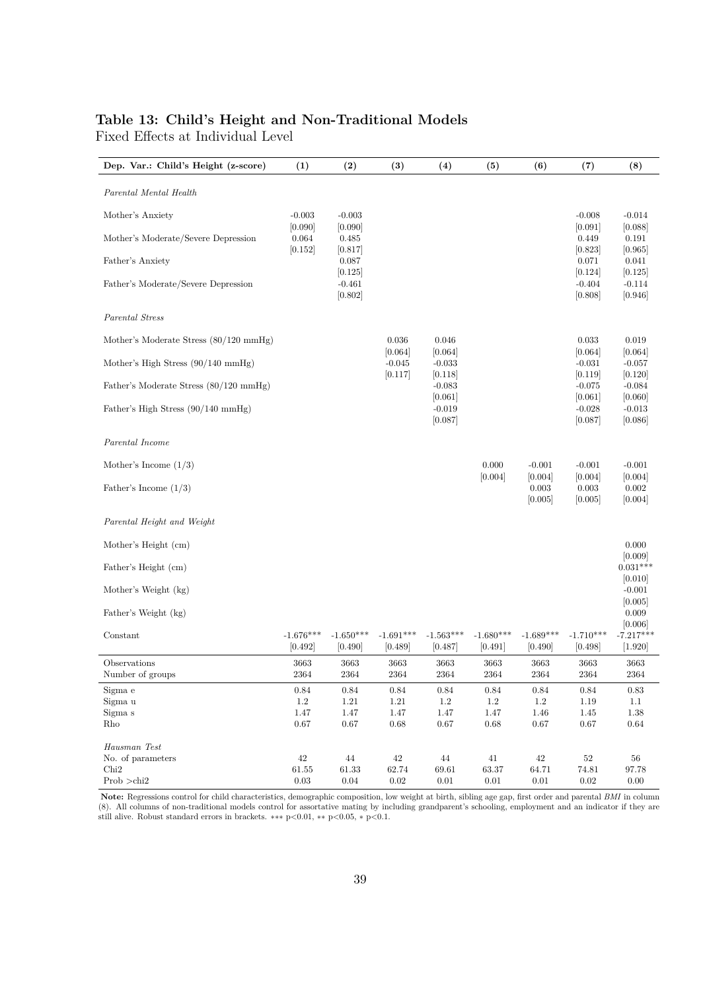## **Table 13: Child's Height and Non-Traditional Models**

Fixed Effects at Individual Level

| Dep. Var.: Child's Height (z-score)          | (1)                    | (2)                    | (3)                    | (4)                    | (5)                    | (6)                    | (7)                    | (8)                    |
|----------------------------------------------|------------------------|------------------------|------------------------|------------------------|------------------------|------------------------|------------------------|------------------------|
| Parental Mental Health                       |                        |                        |                        |                        |                        |                        |                        |                        |
| Mother's Anxiety                             | $-0.003$               | $-0.003$               |                        |                        |                        |                        | $-0.008$               | $-0.014$               |
|                                              | [0.090]                | [0.090]                |                        |                        |                        |                        | [0.091]                | [0.088]                |
| Mother's Moderate/Severe Depression          | 0.064                  | 0.485                  |                        |                        |                        |                        | 0.449                  | 0.191                  |
| Father's Anxiety                             | [0.152]                | [0.817]<br>0.087       |                        |                        |                        |                        | [0.823]<br>0.071       | [0.965]<br>0.041       |
|                                              |                        | [0.125]                |                        |                        |                        |                        | [0.124]                | [0.125]                |
| Father's Moderate/Severe Depression          |                        | $-0.461$               |                        |                        |                        |                        | $-0.404$               | $-0.114$               |
|                                              |                        | [0.802]                |                        |                        |                        |                        | [0.808]                | [0.946]                |
| Parental Stress                              |                        |                        |                        |                        |                        |                        |                        |                        |
| Mother's Moderate Stress (80/120 mmHg)       |                        |                        | 0.036                  | 0.046                  |                        |                        | 0.033                  | 0.019                  |
| Mother's High Stress $(90/140 \text{ mmHg})$ |                        |                        | [0.064]<br>$-0.045$    | [0.064]<br>$-0.033$    |                        |                        | [0.064]<br>$-0.031$    | [0.064]<br>$-0.057$    |
|                                              |                        |                        | [0.117]                | [0.118]                |                        |                        | [0.119]                | [0.120]                |
| Father's Moderate Stress (80/120 mmHg)       |                        |                        |                        | $-0.083$               |                        |                        | $-0.075$               | $-0.084$               |
|                                              |                        |                        |                        | [0.061]                |                        |                        | [0.061]                | [0.060]                |
| Father's High Stress (90/140 mmHg)           |                        |                        |                        | $-0.019$<br>[0.087]    |                        |                        | $-0.028$<br>[0.087]    | $-0.013$<br>[0.086]    |
|                                              |                        |                        |                        |                        |                        |                        |                        |                        |
| Parental Income                              |                        |                        |                        |                        |                        |                        |                        |                        |
| Mother's Income $(1/3)$                      |                        |                        |                        |                        | 0.000                  | $-0.001$               | $-0.001$               | $-0.001$               |
|                                              |                        |                        |                        |                        | [0.004]                | [0.004]                | [0.004]                | [0.004]                |
| Father's Income $(1/3)$                      |                        |                        |                        |                        |                        | 0.003                  | 0.003                  | 0.002                  |
|                                              |                        |                        |                        |                        |                        | [0.005]                | [0.005]                | [0.004]                |
| Parental Height and Weight                   |                        |                        |                        |                        |                        |                        |                        |                        |
|                                              |                        |                        |                        |                        |                        |                        |                        |                        |
| Mother's Height (cm)                         |                        |                        |                        |                        |                        |                        |                        | 0.000<br>[0.009]       |
| Father's Height (cm)                         |                        |                        |                        |                        |                        |                        |                        | $0.031***$             |
|                                              |                        |                        |                        |                        |                        |                        |                        | [0.010]                |
| Mother's Weight (kg)                         |                        |                        |                        |                        |                        |                        |                        | $-0.001$<br>[0.005]    |
| Father's Weight (kg)                         |                        |                        |                        |                        |                        |                        |                        | 0.009                  |
|                                              |                        |                        |                        |                        |                        |                        |                        | [0.006]                |
| Constant                                     | $-1.676***$<br>[0.492] | $-1.650***$<br>[0.490] | $-1.691***$<br>[0.489] | $-1.563***$<br>[0.487] | $-1.680***$<br>[0.491] | $-1.689***$<br>[0.490] | $-1.710***$<br>[0.498] | $-7.217***$<br>[1.920] |
| Observations                                 | 3663                   | 3663                   | 3663                   | 3663                   | 3663                   | 3663                   | 3663                   | 3663                   |
| Number of groups                             | 2364                   | 2364                   | 2364                   | 2364                   | 2364                   | 2364                   | 2364                   | 2364                   |
| Sigma e                                      | $\rm 0.84$             | $0.84\,$               | $0.84\,$               | $0.84\,$               | 0.84                   | $0.84\,$               | $0.84\,$               | $\rm 0.83$             |
| Sigma u                                      | $1.2\,$                | $1.21\,$               | $1.21\,$               | $1.2\,$                | $1.2\,$                | $1.2\,$                | $1.19\,$               | $1.1\,$                |
| Sigma s<br>Rho                               | 1.47<br>$0.67\,$       | $1.47\,$<br>$0.67\,$   | 1.47<br>$0.68\,$       | $1.47\,$<br>$0.67\,$   | 1.47<br>$0.68\,$       | $1.46\,$<br>$0.67\,$   | $1.45\,$<br>$0.67\,$   | 1.38<br>0.64           |
|                                              |                        |                        |                        |                        |                        |                        |                        |                        |
| Hausman Test                                 |                        |                        |                        |                        |                        |                        |                        |                        |
| No. of parameters<br>Chi <sub>2</sub>        | $42\,$<br>61.55        | $44\,$<br>61.33        | $42\,$<br>62.74        | 44<br>69.61            | 41<br>63.37            | $42\,$<br>64.71        | $52\,$<br>74.81        | 56<br>97.78            |
| Prob >chi2                                   | $0.03\,$               | $0.04\,$               | $0.02\,$               | $0.01\,$               | $0.01\,$               | $0.01\,$               | $0.02\,$               | $0.00\,$               |

**Note:** Regressions control for child characteristics, demographic composition, low weight at birth, sibling age gap, first order and parental *BMI* in column (8). All columns of non-traditional models control for assortative mating by including grandparent's schooling, employment and an indicator if they are still alive. Robust standard errors in brackets. ∗∗∗ p*<*0.01, ∗∗ p*<*0.05, ∗ p*<*0.1.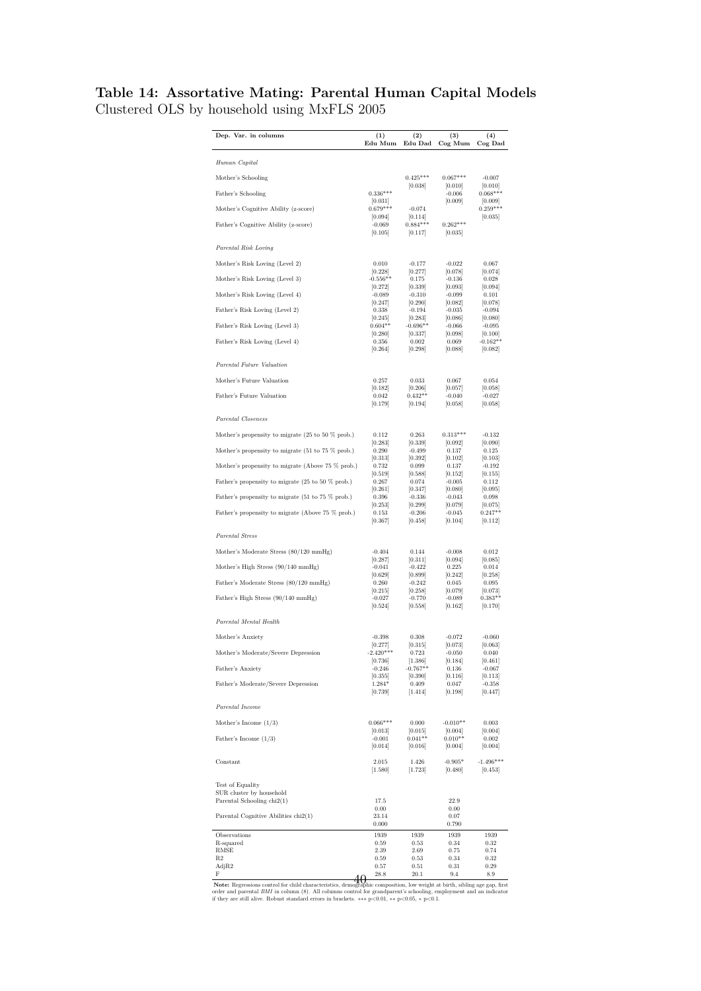## **Table 14: Assortative Mating: Parental Human Capital Models** Clustered OLS by household using MxFLS 2005

| Dep. Var. in columns                                                                                                      | $_{(1)}$<br>Edu Mum            | (2)<br>Edu Dad                  | (3)<br>Cog Mum                  | (4)<br>Cog Dad                 |
|---------------------------------------------------------------------------------------------------------------------------|--------------------------------|---------------------------------|---------------------------------|--------------------------------|
| Human Capital                                                                                                             |                                |                                 |                                 |                                |
| Mother's Schooling                                                                                                        |                                | $0.425***$                      | $0.067***$                      | -0.007                         |
| Father's Schooling                                                                                                        | $0.336***$                     | [0.038]                         | [0.010]<br>$-0.006$             | [0.010]<br>$0.068***$          |
|                                                                                                                           | [0.031]                        |                                 | [0.009]                         | 0.009                          |
| Mother's Cognitive Ability (z-score)                                                                                      | $0.679***$<br> 0.094           | $-0.074$<br>[0.114]             |                                 | $0.259***$<br> 0.035           |
| Father's Cognitive Ability (z-score)                                                                                      | $-0.069$<br>[0.105]            | $0.884***$<br>[0.117]           | $0.262***$<br> 0.035            |                                |
| Parental Risk Loving                                                                                                      |                                |                                 |                                 |                                |
| Mother's Risk Loving (Level 2)                                                                                            | 0.010<br>[0.228]               | $-0.177$                        | $-0.022$                        | 0.067<br>[0.074]               |
| Mother's Risk Loving (Level 3)                                                                                            | $-0.556**$<br>[0.272]          | [0.277]<br>0.175<br>[0.339]     | [0.078]<br>$-0.136$<br>[0.093]  | 0.028<br>[0.094]               |
| Mother's Risk Loving (Level 4)                                                                                            | $-0.089$<br>[0.247]            | $-0.310$<br>[0.290]             | $-0.099$<br>[0.082]             | 0.101<br>[0.078]               |
| Father's Risk Loving (Level 2)                                                                                            | 0.338<br>[0.245]               | $-0.194$<br>[0.283]             | $-0.035$<br>[0.086]             | $-0.094$<br>[0.080]            |
| Father's Risk Loving (Level 3)                                                                                            | $0.604**$<br> 0.280            | $-0.696**$<br> 0.337            | $-0.066$<br> 0.098              | $-0.095$<br> 0.100             |
| Father's Risk Loving (Level 4)                                                                                            | 0.356<br>[0.264]               | 0.002<br>[0.298]                | 0.069<br>[0.088]                | $-0.162**$<br>[0.082]          |
| Parental Future Valuation                                                                                                 |                                |                                 |                                 |                                |
| Mother's Future Valuation                                                                                                 | 0.257                          | 0.033                           | 0.067                           | 0.054                          |
| Father's Future Valuation                                                                                                 | [0.182]<br>0.042               | [0.206]<br>$0.432**$            | 0.057 <br>$-0.040$              | 0.058 <br>$-0.027$             |
|                                                                                                                           | [0.179]                        | [0.194]                         | [0.058]                         | [0.058]                        |
| Parental Closeness                                                                                                        |                                |                                 |                                 |                                |
| Mother's propensity to migrate $(25 \text{ to } 50 \text{ % prob.})$                                                      | 0.112<br>[0.283]               | 0.263<br>[0.339]                | $0.313***$<br> 0.092            | $-0.132$<br>[0.090]            |
| Mother's propensity to migrate $(51 \text{ to } 75 \% \text{ prob.})$                                                     | 0.290<br>[0.313]               | $-0.499$<br>[0.392]             | 0.137<br>[0.102]                | 0.125<br>[0.103]               |
| Mother's propensity to migrate (Above 75 % prob.)                                                                         | 0.732<br>[0.519]               | 0.099<br>[0.588]                | 0.137<br>[0.152]                | $-0.192$<br>[0.155]            |
| Father's propensity to migrate $(25 \text{ to } 50 \text{ % prob.})$<br>Father's propensity to migrate (51 to 75 % prob.) | 0.267<br>[0.261]<br>0.396      | 0.074<br>[0.347]<br>$-0.336$    | $-0.005$<br>[0.080]<br>$-0.043$ | 0.112<br>[0.095]<br>0.098      |
| Father's propensity to migrate (Above 75 % prob.)                                                                         | 0.253 <br>0.153<br> 0.367      | 0.299 <br>$-0.206$<br>[0.458]   | 0.079 <br>$-0.045$<br>[0.104]   | 0.075 <br>$0.247**$<br>[0.112] |
| Parental Stress                                                                                                           |                                |                                 |                                 |                                |
| Mother's Moderate Stress (80/120 mmHg)                                                                                    | $-0.404$                       | 0.144                           | $-0.008$                        | 0.012                          |
| Mother's High Stress $(90/140 \text{ mmHg})$                                                                              | 0.287 <br>$-0.041$             | [0.311]<br>$-0.422$             | 0.094 <br>0.225                 | 0.085 <br>0.014                |
| Father's Moderate Stress (80/120 mmHg)                                                                                    | [0.629]<br>0.260<br>[0.215]    | [0.899]<br>$-0.242$<br>[0.258]  | [0.242]<br>0.045<br>[0.079]     | [0.258]<br>0.095<br>[0.073]    |
| Father's High Stress (90/140 mmHg)                                                                                        | $-0.027$<br>[0.524]            | $-0.770$<br>[0.558]             | $-0.089$<br>[0.162]             | $0.383**$<br>[0.170]           |
| Parental Mental Health                                                                                                    |                                |                                 |                                 |                                |
| Mother's Anxiety                                                                                                          | $-0.398$                       | 0.308                           | $-0.072$                        | $-0.060$                       |
| Mother's Moderate/Severe Depression                                                                                       | [0.277]<br>$-2.420***$         | [0.315]<br>0.723                | [0.073]<br>$-0.050$             | [0.063]<br>0.040               |
| Father's Anxiety                                                                                                          | [0.736]<br>$-0.246$            | 1.386 <br>$-0.767**$            | 0.184 <br>0.136                 | [0.461]<br>$-0.067$            |
| Father's Moderate/Severe Depression                                                                                       | 0.355 <br>$1.284*$<br>[0.739]  | 0.390 <br>0.409<br>[1.414]      | [0.116]<br>0.047<br> 0.198      | 0.113 <br>$-0.358$<br>[0.447]  |
| Parental Income                                                                                                           |                                |                                 |                                 |                                |
| Mother's Income $(1/3)$                                                                                                   | $0.066***$                     | 0.000                           | $-0.010**$                      | 0.003                          |
| Father's Income $(1/3)$                                                                                                   | [0.013]<br>$-0.001$<br>[0.014] | [0.015]<br>$0.041**$<br>[0.016] | [0.004]<br>$0.010**$<br>[0.004] | [0.004]<br>0.002<br>[0.004]    |
| Constant                                                                                                                  | 2.015<br>[1.580]               | 1.426<br> 1.723                 | $-0.905*$<br> 0.480             | $-1.496***$<br>[0.453]         |
| Test of Equality<br>SUR cluster by household                                                                              |                                |                                 |                                 |                                |
| Parental Schooling chi2(1)                                                                                                | 17.5                           |                                 | 22.9                            |                                |
| Parental Cognitive Abilities chi2(1)                                                                                      | 0.00<br>23.14<br>0.000         |                                 | 0.00<br>0.07<br>0.790           |                                |
| Observations                                                                                                              | 1939                           | 1939                            | 1939                            | 1939                           |
| R-squared<br><b>RMSE</b>                                                                                                  | 0.59<br>2.39                   | 0.53<br>2.69                    | 0.34<br>0.75                    | 0.32<br>0.74                   |
| R <sub>2</sub><br>AdjR2                                                                                                   | 0.59<br>0.57                   | $_{0.53}$<br>$_{0.51}$          | 0.34<br>$_{0.31}$               | 0.32<br>0.29                   |
| F                                                                                                                         | 28.8<br>1 C                    | 20.1                            | 9.4                             | 8.9                            |

**Note:** Regressions control for child characteristics, demographic composition, low weight at birth, sibling age gap, first order and parental *BMI* in column (8). All columns control for grandparent's schooling, employme  $40$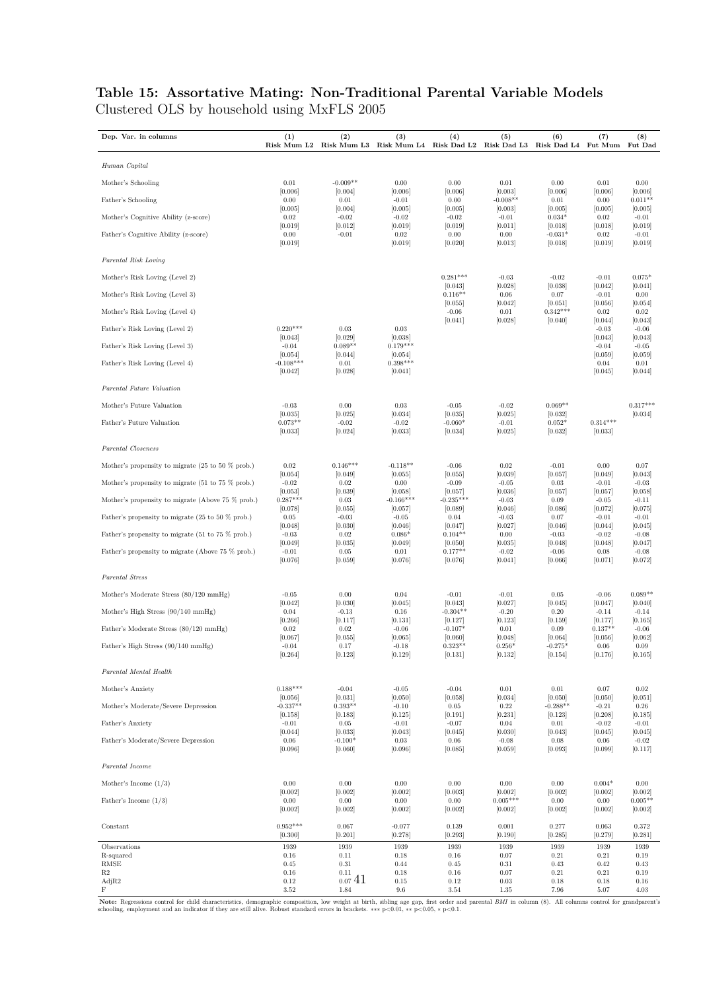## **Table 15: Assortative Mating: Non-Traditional Parental Variable Models** Clustered OLS by household using MxFLS 2005

| Dep. Var. in columns                                                  | (1)                               | (2)<br>Risk Mum L2 Risk Mum L3 Risk Mum L4 Risk Dad L2 Risk Dad L3 Risk Dad L4 Fut Mum | (3)                              | (4)                             | (5)                              | (6)                             | (7)                            | (8)<br>Fut Dad                  |
|-----------------------------------------------------------------------|-----------------------------------|----------------------------------------------------------------------------------------|----------------------------------|---------------------------------|----------------------------------|---------------------------------|--------------------------------|---------------------------------|
| Human Capital                                                         |                                   |                                                                                        |                                  |                                 |                                  |                                 |                                |                                 |
| Mother's Schooling                                                    | 0.01                              | $-0.009**$                                                                             | 0.00                             | 0.00                            | 0.01                             | 0.00                            | 0.01                           | 0.00                            |
| Father's Schooling                                                    | [0.006]<br>0.00                   | [0.004]<br>$\rm 0.01$                                                                  | [0.006]<br>$-0.01$               | [0.006]<br>0.00                 | [0.003]<br>$-0.008**$            | [0.006]<br>0.01                 | [0.006]<br>0.00                | [0.006]<br>$0.011**$            |
| Mother's Cognitive Ability (z-score)                                  | [0.005]<br>0.02                   | [0.004]<br>$-0.02$                                                                     | [0.005]<br>$-0.02$               | [0.005]<br>$-0.02$              | [0.003]<br>$-0.01$               | [0.005]<br>$0.034*$             | [0.005]<br>0.02                | [0.005]<br>$-0.01$              |
| Father's Cognitive Ability (z-score)                                  | [0.019]<br>0.00<br>[0.019]        | [0.012]<br>$-0.01$                                                                     | [0.019]<br>0.02<br>[0.019]       | [0.019]<br>0.00<br>[0.020]      | [0.011]<br>0.00<br>[0.013]       | [0.018]<br>$-0.031*$<br>[0.018] | [0.018]<br>0.02<br>[0.019]     | [0.019]<br>$-0.01$<br>[0.019]   |
| Parental Risk Loving                                                  |                                   |                                                                                        |                                  |                                 |                                  |                                 |                                |                                 |
| Mother's Risk Loving (Level 2)                                        |                                   |                                                                                        |                                  | $0.281***$                      | $-0.03$                          | $-0.02$                         | $-0.01$                        | $0.075*$                        |
| Mother's Risk Loving (Level 3)                                        |                                   |                                                                                        |                                  | [0.043]<br>$0.116**$            | [0.028]<br>0.06                  | [0.038]<br>0.07                 | [0.042]<br>$-0.01$             | [0.041]<br>0.00                 |
| Mother's Risk Loving (Level 4)                                        |                                   |                                                                                        |                                  | [0.055]<br>$-0.06$              | [0.042]<br>0.01                  | [0.051]<br>$0.342***$           | [0.056]<br>0.02                | [0.054]<br>0.02                 |
| Father's Risk Loving (Level 2)                                        | $0.220***$                        | $\rm 0.03$                                                                             | $\rm 0.03$                       | [0.041]                         | [0.028]                          | [0.040]                         | [0.044]<br>$-0.03$             | [0.043]<br>$-0.06$              |
| Father's Risk Loving (Level 3)                                        | [0.043]<br>$-0.04$                | [0.029]<br>$0.089**$                                                                   | [0.038]<br>$0.179***$            |                                 |                                  |                                 | [0.043]<br>$-0.04$             | [0.043]<br>$-0.05$              |
| Father's Risk Loving (Level 4)                                        | [0.054]<br>$-0.108***$<br>[0.042] | [0.044]<br>$\rm 0.01$<br>[0.028]                                                       | [0.054]<br>$0.398***$<br>[0.041] |                                 |                                  |                                 | [0.059]<br>0.04<br>[0.045]     | [0.059]<br>0.01<br>[0.044]      |
| Parental Future Valuation                                             |                                   |                                                                                        |                                  |                                 |                                  |                                 |                                |                                 |
| Mother's Future Valuation                                             | $-0.03$                           | 0.00                                                                                   | 0.03                             | $-0.05$                         | $-0.02$                          | $0.069**$                       |                                | $0.317***$                      |
| Father's Future Valuation                                             | [0.035]<br>$0.073**$<br>[0.033]   | [0.025]<br>$-0.02$<br>[0.024]                                                          | [0.034]<br>$-0.02$<br>[0.033]    | [0.035]<br>$-0.060*$<br>[0.034] | [0.025]<br>$-0.01$<br>[0.025]    | [0.032]<br>$0.052*$<br>[0.032]  | $0.314***$<br>[0.033]          | [0.034]                         |
| Parental Closeness                                                    |                                   |                                                                                        |                                  |                                 |                                  |                                 |                                |                                 |
| Mother's propensity to migrate $(25 \text{ to } 50 \text{ % prob.})$  | 0.02                              | $0.146***$                                                                             | $-0.118**$                       | $-0.06$                         | 0.02                             | $-0.01$                         | 0.00                           | 0.07                            |
| Mother's propensity to migrate $(51 \text{ to } 75 \% \text{ prob.})$ | [0.054]<br>$-0.02$                | [0.049]<br>0.02                                                                        | [0.055]<br>0.00                  | [0.055]<br>$-0.09$              | [0.039]<br>$-0.05$               | [0.057]<br>0.03                 | [0.049]<br>$-0.01$             | [0.043]<br>$-0.03$              |
| Mother's propensity to migrate (Above 75 % prob.)                     | [0.053]<br>$0.287***$             | [0.039]<br>$0.03\,$                                                                    | [0.058]<br>$-0.166***$           | [0.057]<br>$-0.235***$          | [0.036]<br>$-0.03$               | [0.057]<br>0.09                 | [0.057]<br>$-0.05$             | [0.058]<br>$-0.11$              |
| Father's propensity to migrate $(25 \text{ to } 50 \text{ % prob.})$  | [0.078]<br>0.05                   | [0.055]<br>$-0.03$                                                                     | [0.057]<br>$-0.05$               | [0.089]<br>0.04                 | [0.046]<br>$-0.03$               | [0.086]<br>0.07                 | [0.072]<br>$-0.01$             | [0.075]<br>$-0.01$              |
| Father's propensity to migrate $(51 \text{ to } 75 \% \text{ prob.})$ | [0.048]<br>$-0.03$                | [0.030]<br>0.02                                                                        | [0.046]<br>$0.086*$              | [0.047]<br>$0.104**$            | [0.027]<br>0.00                  | [0.046]<br>$-0.03$              | [0.044]<br>$-0.02$             | [0.045]<br>$-0.08$              |
| Father's propensity to migrate (Above 75 % prob.)                     | [0.049]<br>$-0.01$<br>[0.076]     | [0.035]<br>0.05<br>[0.059]                                                             | [0.049]<br>0.01<br>[0.076]       | [0.050]<br>$0.177**$<br>[0.076] | [0.035]<br>$-0.02$<br>[0.041]    | [0.048]<br>$-0.06$<br>[0.066]   | [0.048]<br>0.08<br>[0.071]     | [0.047]<br>$-0.08$<br>[0.072]   |
| Parental Stress                                                       |                                   |                                                                                        |                                  |                                 |                                  |                                 |                                |                                 |
| Mother's Moderate Stress (80/120 mmHg)                                | $-0.05$                           | 0.00                                                                                   | 0.04                             | $-0.01$                         | $-0.01$                          | 0.05                            | $-0.06$                        | $0.089**$                       |
| Mother's High Stress (90/140 mmHg)                                    | [0.042]<br>0.04                   | [0.030]<br>$-0.13$                                                                     | [0.045]<br>0.16                  | [0.043]<br>$-0.304**$           | [0.027]<br>$-0.20$               | [0.045]<br>0.20                 | [0.047]<br>$-0.14$             | [0.040]<br>$-0.14$              |
| Father's Moderate Stress (80/120 mmHg)                                | [0.266]<br>0.02                   | [0.117]<br>$\rm 0.02$                                                                  | [0.131]<br>$-0.06$               | [0.127]<br>$-0.107*$            | [0.123]<br>0.01                  | [0.159]<br>0.09                 | [0.177]<br>$0.137**$           | [0.165]<br>$-0.06$              |
| Father's High Stress (90/140 mmHg)                                    | [0.067]<br>$-0.04$<br>[0.264]     | [0.055]<br>0.17<br>[0.123]                                                             | [0.065]<br>$-0.18$<br>[0.129]    | [0.060]<br>$0.323**$<br>[0.131] | [0.048]<br>$0.256*$<br>[0.132]   | [0.064]<br>$-0.275*$<br>[0.154] | [0.056]<br>$0.06\,$<br>[0.176] | [0.062]<br>0.09<br>[0.165]      |
| Parental Mental Health                                                |                                   |                                                                                        |                                  |                                 |                                  |                                 |                                |                                 |
| Mother's Anxiety                                                      | $0.188***$                        | $-0.04$                                                                                | $-0.05$                          | $-0.04$                         | $0.01\,$                         | $0.01\,$                        | $0.07\,$                       | $0.02\,$                        |
| Mother's Moderate/Severe Depression                                   | [0.056]<br>$-0.337**$             | [0.031]<br>$0.393**$                                                                   | [0.050]<br>$-0.10$               | [0.058]<br>$0.05\,$             | [0.034]<br>0.22                  | [0.050]<br>$-0.288**$           | [0.050]<br>$-0.21$             | [0.051]<br>$\,0.26$             |
| Father's Anxiety                                                      | [0.158]<br>$-0.01$                | [0.183]<br>$0.05\,$                                                                    | [0.125]<br>$-0.01$               | [0.191]<br>$-0.07$              | [0.231]<br>0.04                  | [0.123]<br>$0.01\,$             | [0.208]<br>$-0.02$             | [0.185]<br>$-0.01$              |
| Father's Moderate/Severe Depression                                   | [0.044]<br>$0.06\,$<br>[0.096]    | [0.033]<br>$-0.100*$<br>[0.060]                                                        | [0.043]<br>$\rm 0.03$<br>[0.096] | [0.045]<br>0.06<br>[0.085]      | [0.030]<br>$-0.08$<br>[0.059]    | [0.043]<br>$0.08\,$<br>[0.093]  | [0.045]<br>$0.06\,$<br>[0.099] | [0.045]<br>$-0.02$<br>[0.117]   |
| Parental Income                                                       |                                   |                                                                                        |                                  |                                 |                                  |                                 |                                |                                 |
| Mother's Income $(1/3)$                                               | 0.00                              | 0.00                                                                                   | $0.00\,$                         | 0.00                            | $0.00\,$                         | 0.00                            | $0.004*$                       | 0.00                            |
| Father's Income $(1/3)$                                               | [0.002]<br>0.00<br>[0.002]        | [0.002]<br>0.00<br>[0.002]                                                             | [0.002]<br>0.00<br>[0.002]       | [0.003]<br>0.00<br>[0.002]      | [0.002]<br>$0.005***$<br>[0.002] | [0.002]<br>0.00<br>[0.002]      | [0.002]<br>0.00<br>[0.002]     | [0.002]<br>$0.005**$<br>[0.002] |
| Constant                                                              | $0.952***$<br>[0.300]             | 0.067<br>[0.201]                                                                       | $-0.077$<br>[0.278]              | 0.139<br>[0.293]                | 0.001<br>[0.190]                 | 0.277<br>[0.285]                | 0.063<br>[0.279]               | 0.372<br>[0.281]                |
| Observations<br>R-squared                                             | 1939<br>0.16                      | 1939<br>0.11                                                                           | 1939<br>0.18                     | 1939<br>0.16                    | 1939<br>0.07                     | 1939<br>0.21                    | 1939<br>0.21                   | 1939<br>0.19                    |
| RMSE<br>R <sub>2</sub>                                                | 0.45<br>$0.16\,$                  | 0.31<br>0.11                                                                           | 0.44<br>0.18                     | 0.45<br>$0.16\,$                | 0.31<br>$0.07\,$                 | 0.43<br>0.21                    | 0.42<br>$\rm 0.21$             | 0.43<br>0.19                    |
| AdjR2<br>F                                                            | 0.12<br>$3.52\,$                  | 0.0741<br>1.84                                                                         | $0.15\,$<br>$9.6\,$              | 0.12<br>$3.54\,$                | $\rm 0.03$<br>1.35               | 0.18<br>7.96                    | $0.18\,$<br>5.07               | 0.16<br>4.03                    |

Note: Regressions control for child characteristics, demographic composition, low weight at birth, sibling age gap, first order and parental *BMI* in column (8). All columns control for grandparent's schooling, employment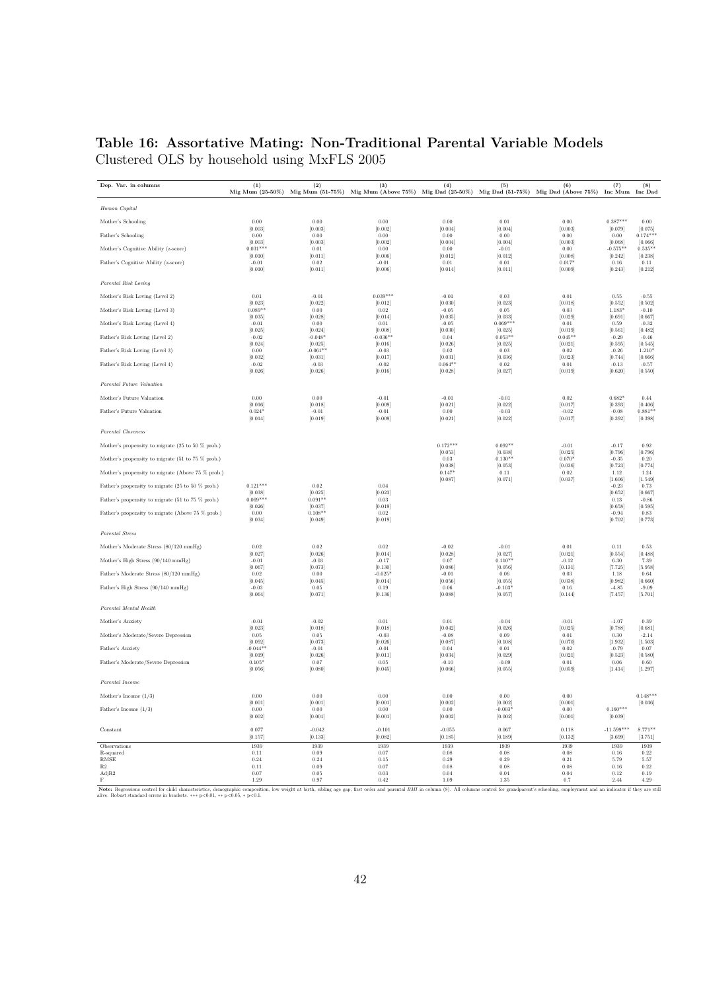## **Table 16: Assortative Mating: Non-Traditional Parental Variable Models** Clustered OLS by household using MxFLS 2005

| Human Capital<br>$0.387***$<br>Mother's Schooling<br>0.00<br>0.00<br>0.00<br>0.00<br>$\rm 0.01$<br>$\rm 0.00$<br>0.00<br>[0.003]<br>[0.003]<br>[0.002]<br>[0.004]<br>[0.004]<br>[0.003]<br>[0.079]<br>[0.075]<br>Father's Schooling<br>0.00<br>$0.174***$<br>0.00<br>0.00<br>0.00<br>0.00<br>0.00<br>0.00<br>[0.003]<br>[0.003]<br>[0.002]<br>[0.004]<br>[0.004]<br>[0.003]<br>[0.068]<br>[0.066]<br>$0.031***$<br>Mother's Cognitive Ability (z-score)<br>0.01<br>0.00<br>0.00<br>$-0.01$<br>0.00<br>$-0.575**$<br>$0.535**$<br>[0.008]<br>[0.242]<br>[0.010]<br>[0.011]<br>[0.006]<br>[0.012]<br>[0.012]<br>[0.238]<br>Father's Cognitive Ability (z-score)<br>$0.017*$<br>$-0.01$<br>0.02<br>$-0.01$<br>0.01<br>0.01<br>0.16<br>0.11<br>[0.010]<br>[0.011]<br>[0.006]<br>[0.014]<br>[0.011]<br>[0.009]<br>[0.243]<br>[0.212]<br>Parental Risk Loving<br>$0.039***$<br>0.01<br>0.01<br>$-0.55$<br>Mother's Risk Loving (Level 2)<br>$-0.01$<br>$-0.01$<br>0.03<br>0.55<br>[0.023]<br>[0.023]<br>[0.018]<br>[0.502]<br>[0.022]<br>[0.012]<br>[0.030]<br>[0.552]<br>Mother's Risk Loving (Level 3)<br>$0.089**$<br>$1.183*$<br>$-0.10$<br>0.00<br>$0.02\,$<br>$-0.05$<br>0.05<br>$\,0.03$<br>[0.035]<br>[0.028]<br>[0.014]<br>[0.035]<br>[0.033]<br>[0.029]<br>[0.691]<br>[0.667]<br>Mother's Risk Loving (Level 4)<br>$0.069***$<br>$-0.01$<br>0.00<br>0.01<br>$-0.05$<br>0.01<br>0.59<br>$-0.32$<br>[0.025]<br>[0.024]<br>[0.008]<br>[0.030]<br>[0.025]<br>[0.019]<br>[0.561]<br>[0.482]<br>Father's Risk Loving (Level 2)<br>$-0.02$<br>$-0.048*$<br>$-0.036**$<br>$0.053**$<br>$0.045**$<br>$-0.29$<br>$-0.46$<br>0.04<br>[0.024]<br>[0.025]<br>[0.016]<br>[0.026]<br>[0.025]<br>[0.021]<br>[0.595]<br>[0.545]<br>Father's Risk Loving (Level 3)<br>$-0.061**$<br>$-0.03$<br>1.210*<br>0.00<br>0.02<br>0.03<br>0.02<br>$-0.26$<br>[0.032]<br>[0.031]<br>[0.036]<br>[0.023]<br>[0.017]<br>[0.031]<br>[0.744]<br>[0.666]<br>Father's Risk Loving (Level 4)<br>$-0.02$<br>$-0.03$<br>$0.064**$<br>$-0.02$<br>0.02<br>0.01<br>$-0.13$<br>$-0.57$<br>[0.026]<br>[0.026]<br>[0.016]<br>[0.028]<br>[0.027]<br>[0.019]<br>[0.620]<br>[0.550]<br>Parental Future Valuation<br>Mother's Future Valuation<br>0.00<br>0.00<br>$-0.01$<br>$\rm 0.02$<br>$0.682*$<br>$-0.01$<br>$-0.01$<br>0.44<br>[0.016]<br>[0.018]<br>[0.009]<br>[0.021]<br>[0.022]<br>[0.017]<br>[0.393]<br>[0.406]<br>Father's Future Valuation<br>$0.024*$<br>$-0.01$<br>$-0.01$<br>0.00<br>$-0.03$<br>$-0.02$<br>$-0.08$<br>$0.881**$<br>[0.014]<br>[0.019]<br>[0.009]<br>[0.021]<br>[0.022]<br>[0.017]<br>[0.392]<br>[0.398]<br>Parental Closeness<br>Mother's propensity to migrate (25 to 50 % prob.)<br>$0.172***$<br>$0.092**$<br>$-0.01$<br>$-0.17$<br>0.92<br>[0.053]<br>[0.038]<br>[0.025]<br>[0.796]<br>[0.796]<br>Mother's propensity to migrate (51 to 75 % prob.)<br>0.03<br>$0.130**$<br>$0.070*$<br>$-0.35$<br>0.20<br>[0.038]<br>[0.053]<br>[0.036]<br>[0.723]<br>[0.774]<br>$0.147*$<br>Mother's propensity to migrate (Above 75 % prob.)<br>0.11<br>$0.02\,$<br>1.12<br>1.24<br>[0.087]<br>[0.071]<br>[0.037]<br>[1.606]<br>[1.549]<br>Father's propensity to migrate (25 to 50 % prob.)<br>$0.121***$<br>0.02<br>0.04<br>$-0.23$<br>0.73<br>[0.038]<br>[0.025]<br>[0.023]<br>[0.652]<br>[0.667]<br>$0.069***$<br>Father's propensity to migrate (51 to 75 % prob.)<br>$0.091**$<br>$\,0.03\,$<br>0.13<br>$-0.86$<br>[0.026]<br>[0.037]<br>[0.019]<br>[0.658]<br>[0.595]<br>$0.108**$<br>$-0.94$<br>Father's propensity to migrate (Above 75 % prob.)<br>0.00<br>0.02<br>0.83<br>[0.034]<br>[0.049]<br>[0.019]<br>[0.702]<br>[0.773]<br>Parental Stress<br>$\rm 0.02$<br>$\rm 0.02$<br>$-0.01$<br>0.01<br>$0.11\,$<br>Mother's Moderate Stress (80/120 mmHg)<br>$\rm 0.02$<br>$-0.02$<br>0.53<br>[0.026]<br>[0.028]<br>[0.021]<br>[0.027]<br>[0.014]<br>[0.027]<br>[0.554]<br>[0.488]<br>Mother's High Stress (90/140 mmHg)<br>$0.110**$<br>$-0.01$<br>$-0.03$<br>$-0.17$<br>0.07<br>$-0.12$<br>6.30<br>7.39<br>[0.067]<br>[0.073]<br>[0.130]<br>[0.086]<br>[0.056]<br>[0.131]<br>[7.725]<br>[5.958]<br>Father's Moderate Stress (80/120 mmHg)<br>0.02<br>0.00<br>$-0.025*$<br>$-0.01$<br>0.06<br>$\rm 0.03$<br>1.18<br>0.64<br>[0.045]<br>[0.045]<br>[0.014]<br>[0.056]<br>[0.055]<br>[0.038]<br>[0.982]<br>[0.660]<br>Father's High Stress (90/140 mmHg)<br>$-0.103*$<br>$-0.03$<br>0.05<br>0.19<br>0.06<br>0.16<br>$-4.85$<br>$-9.09$<br>[0.064]<br>[0.071]<br>[0.136]<br>[0.088]<br>[0.057]<br>[0.144]<br>[7.457]<br>[5.701]<br>Parental Mental Health<br>Mother's Anxiety<br>$-0.01$<br>$-0.02$<br>0.01<br>0.01<br>$-0.04$<br>$-0.01$<br>$-1.07$<br>0.39<br>[0.023]<br>[0.018]<br>[0.018]<br>[0.042]<br>[0.026]<br>[0.025]<br>[0.788]<br>[0.681]<br>Mother's Moderate/Severe Depression<br>0.05<br>0.05<br>$-0.03$<br>0.09<br>0.01<br>0.30<br>$-2.14$<br>$-0.08$<br>[0.092]<br>[0.026]<br>[0.070]<br>[1.932]<br>[1.503]<br>[0.073]<br>[0.087]<br>[0.108]<br>$-0.044**$<br>Father's Anxiety<br>$-0.01$<br>$-0.01$<br>0.04<br>0.01<br>$\,0.02\,$<br>$-0.79$<br>0.07<br>[0.034]<br>[0.021]<br>[0.523]<br>[0.019]<br>[0.026]<br>[0.011]<br>[0.029]<br>[0.580]<br>Father's Moderate/Severe Depression<br>$0.105*$<br>0.07<br>0.05<br>$-0.10$<br>$-0.09$<br>0.01<br>0.06<br>0.60<br>[0.056]<br>[0.080]<br>[0.045]<br>[0.066]<br>[0.055]<br>[0.059]<br>[1.414]<br>[1.297]<br>Parental Income<br>0.00<br>0.00<br>$0.00\,$<br>0.00<br>0.00<br>0.00<br>$0.148***$<br>Mother's Income $(1/3)$<br>[0.036]<br>[0.001]<br>[0.001]<br>[0.001]<br>[0.002]<br>[0.002]<br>[0.001]<br>Father's Income $(1/3)$<br>0.00<br>0.00<br>0.00<br>0.00<br>$-0.003*$<br>0.00<br>$0.160***$<br>[0.002]<br>[0.001]<br>[0.002]<br>[0.001]<br>[0.039]<br>[0.001]<br>[0.002]<br>$-11.599***$<br>Constant<br>0.077<br>$-0.042$<br>$-0.101$<br>$-0.055$<br>0.067<br>0.118<br>$8.771**$<br>[0.157]<br>[0.133]<br>[0.082]<br>[0.132]<br>[0.185]<br>[0.189]<br>[3.699]<br>[3.751]<br>1939<br>1939<br>1939<br>1939<br>1939<br>1939<br>1939<br>Observations<br>1939<br>R-squared<br>0.11<br>0.09<br>0.07<br>0.08<br>0.08<br>0.08<br>0.16<br>0.22<br><b>RMSE</b><br>0.24<br>0.24<br>0.15<br>0.29<br>0.29<br>0.21<br>5.79<br>5.57<br>$\mathbf{R}2$<br>0.11<br>0.09<br>0.07<br>0.08<br>$\rm 0.08$<br>0.08<br>$0.16\,$<br>0.22<br>AdjR2<br>0.07<br>0.05<br>0.03<br>0.04<br>0.04<br>0.04<br>0.12<br>0.19<br>$\mathbf F$<br>1.29<br>0.97<br>0.42<br>1.09<br>1.35<br>0.7<br>2.44<br>4.29<br>Note: Regressions control for child characteristics, demographic composition, low weight at birth, sibling age gap, first order and parental BMI in column (8). All columns control for grandparent's schooling, employment an | Dep. Var. in columns | (1) | (2) | (3)<br>Mig Mum (25-50%) Mig Mum (51-75%) Mig Mum (Above 75%) Mig Dad (25-50%) Mig Dad (51-75%) Mig Dad (Above 75%) Inc Mum Inc Dad | (4) | (5) | (6) | (7) | (8) |
|---------------------------------------------------------------------------------------------------------------------------------------------------------------------------------------------------------------------------------------------------------------------------------------------------------------------------------------------------------------------------------------------------------------------------------------------------------------------------------------------------------------------------------------------------------------------------------------------------------------------------------------------------------------------------------------------------------------------------------------------------------------------------------------------------------------------------------------------------------------------------------------------------------------------------------------------------------------------------------------------------------------------------------------------------------------------------------------------------------------------------------------------------------------------------------------------------------------------------------------------------------------------------------------------------------------------------------------------------------------------------------------------------------------------------------------------------------------------------------------------------------------------------------------------------------------------------------------------------------------------------------------------------------------------------------------------------------------------------------------------------------------------------------------------------------------------------------------------------------------------------------------------------------------------------------------------------------------------------------------------------------------------------------------------------------------------------------------------------------------------------------------------------------------------------------------------------------------------------------------------------------------------------------------------------------------------------------------------------------------------------------------------------------------------------------------------------------------------------------------------------------------------------------------------------------------------------------------------------------------------------------------------------------------------------------------------------------------------------------------------------------------------------------------------------------------------------------------------------------------------------------------------------------------------------------------------------------------------------------------------------------------------------------------------------------------------------------------------------------------------------------------------------------------------------------------------------------------------------------------------------------------------------------------------------------------------------------------------------------------------------------------------------------------------------------------------------------------------------------------------------------------------------------------------------------------------------------------------------------------------------------------------------------------------------------------------------------------------------------------------------------------------------------------------------------------------------------------------------------------------------------------------------------------------------------------------------------------------------------------------------------------------------------------------------------------------------------------------------------------------------------------------------------------------------------------------------------------------------------------------------------------------------------------------------------------------------------------------------------------------------------------------------------------------------------------------------------------------------------------------------------------------------------------------------------------------------------------------------------------------------------------------------------------------------------------------------------------------------------------------------------------------------------------------------------------------------------------------------------------------------------------------------------------------------------------------------------------------------------------------------------------------------------------------------------------------------------------------------------------------------------------------------------------------------------------------------------------------------------------------------------------------------------------------------------------------------------------------------------------------------------------------------------------------------------------------------------------------------------------------------------------------------------------------------------------------------------------------------------------------------------------------------------------------------------------------------------------------------------------------------------------------------------------------------------------------------------------------------------------------------------------------------------------------------------------------------------------------------------------------------------------------------------------------------------------------------------------------------------------------------------------------------------------------------------------------------------------------------------------------------------------------------------------------------------------------------------------------------------------------------------------------------------------------------------------------------------------------------------------------------------------------------------------------------------------------------------------------------------------------------------------------------------------|----------------------|-----|-----|------------------------------------------------------------------------------------------------------------------------------------|-----|-----|-----|-----|-----|
|                                                                                                                                                                                                                                                                                                                                                                                                                                                                                                                                                                                                                                                                                                                                                                                                                                                                                                                                                                                                                                                                                                                                                                                                                                                                                                                                                                                                                                                                                                                                                                                                                                                                                                                                                                                                                                                                                                                                                                                                                                                                                                                                                                                                                                                                                                                                                                                                                                                                                                                                                                                                                                                                                                                                                                                                                                                                                                                                                                                                                                                                                                                                                                                                                                                                                                                                                                                                                                                                                                                                                                                                                                                                                                                                                                                                                                                                                                                                                                                                                                                                                                                                                                                                                                                                                                                                                                                                                                                                                                                                                                                                                                                                                                                                                                                                                                                                                                                                                                                                                                                                                                                                                                                                                                                                                                                                                                                                                                                                                                                                                                                                                                                                                                                                                                                                                                                                                                                                                                                                                                                                                                                                                                                                                                                                                                                                                                                                                                                                                                                                                                                                                                                               |                      |     |     |                                                                                                                                    |     |     |     |     |     |
|                                                                                                                                                                                                                                                                                                                                                                                                                                                                                                                                                                                                                                                                                                                                                                                                                                                                                                                                                                                                                                                                                                                                                                                                                                                                                                                                                                                                                                                                                                                                                                                                                                                                                                                                                                                                                                                                                                                                                                                                                                                                                                                                                                                                                                                                                                                                                                                                                                                                                                                                                                                                                                                                                                                                                                                                                                                                                                                                                                                                                                                                                                                                                                                                                                                                                                                                                                                                                                                                                                                                                                                                                                                                                                                                                                                                                                                                                                                                                                                                                                                                                                                                                                                                                                                                                                                                                                                                                                                                                                                                                                                                                                                                                                                                                                                                                                                                                                                                                                                                                                                                                                                                                                                                                                                                                                                                                                                                                                                                                                                                                                                                                                                                                                                                                                                                                                                                                                                                                                                                                                                                                                                                                                                                                                                                                                                                                                                                                                                                                                                                                                                                                                                               |                      |     |     |                                                                                                                                    |     |     |     |     |     |
|                                                                                                                                                                                                                                                                                                                                                                                                                                                                                                                                                                                                                                                                                                                                                                                                                                                                                                                                                                                                                                                                                                                                                                                                                                                                                                                                                                                                                                                                                                                                                                                                                                                                                                                                                                                                                                                                                                                                                                                                                                                                                                                                                                                                                                                                                                                                                                                                                                                                                                                                                                                                                                                                                                                                                                                                                                                                                                                                                                                                                                                                                                                                                                                                                                                                                                                                                                                                                                                                                                                                                                                                                                                                                                                                                                                                                                                                                                                                                                                                                                                                                                                                                                                                                                                                                                                                                                                                                                                                                                                                                                                                                                                                                                                                                                                                                                                                                                                                                                                                                                                                                                                                                                                                                                                                                                                                                                                                                                                                                                                                                                                                                                                                                                                                                                                                                                                                                                                                                                                                                                                                                                                                                                                                                                                                                                                                                                                                                                                                                                                                                                                                                                                               |                      |     |     |                                                                                                                                    |     |     |     |     |     |
|                                                                                                                                                                                                                                                                                                                                                                                                                                                                                                                                                                                                                                                                                                                                                                                                                                                                                                                                                                                                                                                                                                                                                                                                                                                                                                                                                                                                                                                                                                                                                                                                                                                                                                                                                                                                                                                                                                                                                                                                                                                                                                                                                                                                                                                                                                                                                                                                                                                                                                                                                                                                                                                                                                                                                                                                                                                                                                                                                                                                                                                                                                                                                                                                                                                                                                                                                                                                                                                                                                                                                                                                                                                                                                                                                                                                                                                                                                                                                                                                                                                                                                                                                                                                                                                                                                                                                                                                                                                                                                                                                                                                                                                                                                                                                                                                                                                                                                                                                                                                                                                                                                                                                                                                                                                                                                                                                                                                                                                                                                                                                                                                                                                                                                                                                                                                                                                                                                                                                                                                                                                                                                                                                                                                                                                                                                                                                                                                                                                                                                                                                                                                                                                               |                      |     |     |                                                                                                                                    |     |     |     |     |     |
|                                                                                                                                                                                                                                                                                                                                                                                                                                                                                                                                                                                                                                                                                                                                                                                                                                                                                                                                                                                                                                                                                                                                                                                                                                                                                                                                                                                                                                                                                                                                                                                                                                                                                                                                                                                                                                                                                                                                                                                                                                                                                                                                                                                                                                                                                                                                                                                                                                                                                                                                                                                                                                                                                                                                                                                                                                                                                                                                                                                                                                                                                                                                                                                                                                                                                                                                                                                                                                                                                                                                                                                                                                                                                                                                                                                                                                                                                                                                                                                                                                                                                                                                                                                                                                                                                                                                                                                                                                                                                                                                                                                                                                                                                                                                                                                                                                                                                                                                                                                                                                                                                                                                                                                                                                                                                                                                                                                                                                                                                                                                                                                                                                                                                                                                                                                                                                                                                                                                                                                                                                                                                                                                                                                                                                                                                                                                                                                                                                                                                                                                                                                                                                                               |                      |     |     |                                                                                                                                    |     |     |     |     |     |
|                                                                                                                                                                                                                                                                                                                                                                                                                                                                                                                                                                                                                                                                                                                                                                                                                                                                                                                                                                                                                                                                                                                                                                                                                                                                                                                                                                                                                                                                                                                                                                                                                                                                                                                                                                                                                                                                                                                                                                                                                                                                                                                                                                                                                                                                                                                                                                                                                                                                                                                                                                                                                                                                                                                                                                                                                                                                                                                                                                                                                                                                                                                                                                                                                                                                                                                                                                                                                                                                                                                                                                                                                                                                                                                                                                                                                                                                                                                                                                                                                                                                                                                                                                                                                                                                                                                                                                                                                                                                                                                                                                                                                                                                                                                                                                                                                                                                                                                                                                                                                                                                                                                                                                                                                                                                                                                                                                                                                                                                                                                                                                                                                                                                                                                                                                                                                                                                                                                                                                                                                                                                                                                                                                                                                                                                                                                                                                                                                                                                                                                                                                                                                                                               |                      |     |     |                                                                                                                                    |     |     |     |     |     |
|                                                                                                                                                                                                                                                                                                                                                                                                                                                                                                                                                                                                                                                                                                                                                                                                                                                                                                                                                                                                                                                                                                                                                                                                                                                                                                                                                                                                                                                                                                                                                                                                                                                                                                                                                                                                                                                                                                                                                                                                                                                                                                                                                                                                                                                                                                                                                                                                                                                                                                                                                                                                                                                                                                                                                                                                                                                                                                                                                                                                                                                                                                                                                                                                                                                                                                                                                                                                                                                                                                                                                                                                                                                                                                                                                                                                                                                                                                                                                                                                                                                                                                                                                                                                                                                                                                                                                                                                                                                                                                                                                                                                                                                                                                                                                                                                                                                                                                                                                                                                                                                                                                                                                                                                                                                                                                                                                                                                                                                                                                                                                                                                                                                                                                                                                                                                                                                                                                                                                                                                                                                                                                                                                                                                                                                                                                                                                                                                                                                                                                                                                                                                                                                               |                      |     |     |                                                                                                                                    |     |     |     |     |     |
|                                                                                                                                                                                                                                                                                                                                                                                                                                                                                                                                                                                                                                                                                                                                                                                                                                                                                                                                                                                                                                                                                                                                                                                                                                                                                                                                                                                                                                                                                                                                                                                                                                                                                                                                                                                                                                                                                                                                                                                                                                                                                                                                                                                                                                                                                                                                                                                                                                                                                                                                                                                                                                                                                                                                                                                                                                                                                                                                                                                                                                                                                                                                                                                                                                                                                                                                                                                                                                                                                                                                                                                                                                                                                                                                                                                                                                                                                                                                                                                                                                                                                                                                                                                                                                                                                                                                                                                                                                                                                                                                                                                                                                                                                                                                                                                                                                                                                                                                                                                                                                                                                                                                                                                                                                                                                                                                                                                                                                                                                                                                                                                                                                                                                                                                                                                                                                                                                                                                                                                                                                                                                                                                                                                                                                                                                                                                                                                                                                                                                                                                                                                                                                                               |                      |     |     |                                                                                                                                    |     |     |     |     |     |
|                                                                                                                                                                                                                                                                                                                                                                                                                                                                                                                                                                                                                                                                                                                                                                                                                                                                                                                                                                                                                                                                                                                                                                                                                                                                                                                                                                                                                                                                                                                                                                                                                                                                                                                                                                                                                                                                                                                                                                                                                                                                                                                                                                                                                                                                                                                                                                                                                                                                                                                                                                                                                                                                                                                                                                                                                                                                                                                                                                                                                                                                                                                                                                                                                                                                                                                                                                                                                                                                                                                                                                                                                                                                                                                                                                                                                                                                                                                                                                                                                                                                                                                                                                                                                                                                                                                                                                                                                                                                                                                                                                                                                                                                                                                                                                                                                                                                                                                                                                                                                                                                                                                                                                                                                                                                                                                                                                                                                                                                                                                                                                                                                                                                                                                                                                                                                                                                                                                                                                                                                                                                                                                                                                                                                                                                                                                                                                                                                                                                                                                                                                                                                                                               |                      |     |     |                                                                                                                                    |     |     |     |     |     |
|                                                                                                                                                                                                                                                                                                                                                                                                                                                                                                                                                                                                                                                                                                                                                                                                                                                                                                                                                                                                                                                                                                                                                                                                                                                                                                                                                                                                                                                                                                                                                                                                                                                                                                                                                                                                                                                                                                                                                                                                                                                                                                                                                                                                                                                                                                                                                                                                                                                                                                                                                                                                                                                                                                                                                                                                                                                                                                                                                                                                                                                                                                                                                                                                                                                                                                                                                                                                                                                                                                                                                                                                                                                                                                                                                                                                                                                                                                                                                                                                                                                                                                                                                                                                                                                                                                                                                                                                                                                                                                                                                                                                                                                                                                                                                                                                                                                                                                                                                                                                                                                                                                                                                                                                                                                                                                                                                                                                                                                                                                                                                                                                                                                                                                                                                                                                                                                                                                                                                                                                                                                                                                                                                                                                                                                                                                                                                                                                                                                                                                                                                                                                                                                               |                      |     |     |                                                                                                                                    |     |     |     |     |     |
|                                                                                                                                                                                                                                                                                                                                                                                                                                                                                                                                                                                                                                                                                                                                                                                                                                                                                                                                                                                                                                                                                                                                                                                                                                                                                                                                                                                                                                                                                                                                                                                                                                                                                                                                                                                                                                                                                                                                                                                                                                                                                                                                                                                                                                                                                                                                                                                                                                                                                                                                                                                                                                                                                                                                                                                                                                                                                                                                                                                                                                                                                                                                                                                                                                                                                                                                                                                                                                                                                                                                                                                                                                                                                                                                                                                                                                                                                                                                                                                                                                                                                                                                                                                                                                                                                                                                                                                                                                                                                                                                                                                                                                                                                                                                                                                                                                                                                                                                                                                                                                                                                                                                                                                                                                                                                                                                                                                                                                                                                                                                                                                                                                                                                                                                                                                                                                                                                                                                                                                                                                                                                                                                                                                                                                                                                                                                                                                                                                                                                                                                                                                                                                                               |                      |     |     |                                                                                                                                    |     |     |     |     |     |
|                                                                                                                                                                                                                                                                                                                                                                                                                                                                                                                                                                                                                                                                                                                                                                                                                                                                                                                                                                                                                                                                                                                                                                                                                                                                                                                                                                                                                                                                                                                                                                                                                                                                                                                                                                                                                                                                                                                                                                                                                                                                                                                                                                                                                                                                                                                                                                                                                                                                                                                                                                                                                                                                                                                                                                                                                                                                                                                                                                                                                                                                                                                                                                                                                                                                                                                                                                                                                                                                                                                                                                                                                                                                                                                                                                                                                                                                                                                                                                                                                                                                                                                                                                                                                                                                                                                                                                                                                                                                                                                                                                                                                                                                                                                                                                                                                                                                                                                                                                                                                                                                                                                                                                                                                                                                                                                                                                                                                                                                                                                                                                                                                                                                                                                                                                                                                                                                                                                                                                                                                                                                                                                                                                                                                                                                                                                                                                                                                                                                                                                                                                                                                                                               |                      |     |     |                                                                                                                                    |     |     |     |     |     |
|                                                                                                                                                                                                                                                                                                                                                                                                                                                                                                                                                                                                                                                                                                                                                                                                                                                                                                                                                                                                                                                                                                                                                                                                                                                                                                                                                                                                                                                                                                                                                                                                                                                                                                                                                                                                                                                                                                                                                                                                                                                                                                                                                                                                                                                                                                                                                                                                                                                                                                                                                                                                                                                                                                                                                                                                                                                                                                                                                                                                                                                                                                                                                                                                                                                                                                                                                                                                                                                                                                                                                                                                                                                                                                                                                                                                                                                                                                                                                                                                                                                                                                                                                                                                                                                                                                                                                                                                                                                                                                                                                                                                                                                                                                                                                                                                                                                                                                                                                                                                                                                                                                                                                                                                                                                                                                                                                                                                                                                                                                                                                                                                                                                                                                                                                                                                                                                                                                                                                                                                                                                                                                                                                                                                                                                                                                                                                                                                                                                                                                                                                                                                                                                               |                      |     |     |                                                                                                                                    |     |     |     |     |     |
|                                                                                                                                                                                                                                                                                                                                                                                                                                                                                                                                                                                                                                                                                                                                                                                                                                                                                                                                                                                                                                                                                                                                                                                                                                                                                                                                                                                                                                                                                                                                                                                                                                                                                                                                                                                                                                                                                                                                                                                                                                                                                                                                                                                                                                                                                                                                                                                                                                                                                                                                                                                                                                                                                                                                                                                                                                                                                                                                                                                                                                                                                                                                                                                                                                                                                                                                                                                                                                                                                                                                                                                                                                                                                                                                                                                                                                                                                                                                                                                                                                                                                                                                                                                                                                                                                                                                                                                                                                                                                                                                                                                                                                                                                                                                                                                                                                                                                                                                                                                                                                                                                                                                                                                                                                                                                                                                                                                                                                                                                                                                                                                                                                                                                                                                                                                                                                                                                                                                                                                                                                                                                                                                                                                                                                                                                                                                                                                                                                                                                                                                                                                                                                                               |                      |     |     |                                                                                                                                    |     |     |     |     |     |
|                                                                                                                                                                                                                                                                                                                                                                                                                                                                                                                                                                                                                                                                                                                                                                                                                                                                                                                                                                                                                                                                                                                                                                                                                                                                                                                                                                                                                                                                                                                                                                                                                                                                                                                                                                                                                                                                                                                                                                                                                                                                                                                                                                                                                                                                                                                                                                                                                                                                                                                                                                                                                                                                                                                                                                                                                                                                                                                                                                                                                                                                                                                                                                                                                                                                                                                                                                                                                                                                                                                                                                                                                                                                                                                                                                                                                                                                                                                                                                                                                                                                                                                                                                                                                                                                                                                                                                                                                                                                                                                                                                                                                                                                                                                                                                                                                                                                                                                                                                                                                                                                                                                                                                                                                                                                                                                                                                                                                                                                                                                                                                                                                                                                                                                                                                                                                                                                                                                                                                                                                                                                                                                                                                                                                                                                                                                                                                                                                                                                                                                                                                                                                                                               |                      |     |     |                                                                                                                                    |     |     |     |     |     |
|                                                                                                                                                                                                                                                                                                                                                                                                                                                                                                                                                                                                                                                                                                                                                                                                                                                                                                                                                                                                                                                                                                                                                                                                                                                                                                                                                                                                                                                                                                                                                                                                                                                                                                                                                                                                                                                                                                                                                                                                                                                                                                                                                                                                                                                                                                                                                                                                                                                                                                                                                                                                                                                                                                                                                                                                                                                                                                                                                                                                                                                                                                                                                                                                                                                                                                                                                                                                                                                                                                                                                                                                                                                                                                                                                                                                                                                                                                                                                                                                                                                                                                                                                                                                                                                                                                                                                                                                                                                                                                                                                                                                                                                                                                                                                                                                                                                                                                                                                                                                                                                                                                                                                                                                                                                                                                                                                                                                                                                                                                                                                                                                                                                                                                                                                                                                                                                                                                                                                                                                                                                                                                                                                                                                                                                                                                                                                                                                                                                                                                                                                                                                                                                               |                      |     |     |                                                                                                                                    |     |     |     |     |     |
|                                                                                                                                                                                                                                                                                                                                                                                                                                                                                                                                                                                                                                                                                                                                                                                                                                                                                                                                                                                                                                                                                                                                                                                                                                                                                                                                                                                                                                                                                                                                                                                                                                                                                                                                                                                                                                                                                                                                                                                                                                                                                                                                                                                                                                                                                                                                                                                                                                                                                                                                                                                                                                                                                                                                                                                                                                                                                                                                                                                                                                                                                                                                                                                                                                                                                                                                                                                                                                                                                                                                                                                                                                                                                                                                                                                                                                                                                                                                                                                                                                                                                                                                                                                                                                                                                                                                                                                                                                                                                                                                                                                                                                                                                                                                                                                                                                                                                                                                                                                                                                                                                                                                                                                                                                                                                                                                                                                                                                                                                                                                                                                                                                                                                                                                                                                                                                                                                                                                                                                                                                                                                                                                                                                                                                                                                                                                                                                                                                                                                                                                                                                                                                                               |                      |     |     |                                                                                                                                    |     |     |     |     |     |
|                                                                                                                                                                                                                                                                                                                                                                                                                                                                                                                                                                                                                                                                                                                                                                                                                                                                                                                                                                                                                                                                                                                                                                                                                                                                                                                                                                                                                                                                                                                                                                                                                                                                                                                                                                                                                                                                                                                                                                                                                                                                                                                                                                                                                                                                                                                                                                                                                                                                                                                                                                                                                                                                                                                                                                                                                                                                                                                                                                                                                                                                                                                                                                                                                                                                                                                                                                                                                                                                                                                                                                                                                                                                                                                                                                                                                                                                                                                                                                                                                                                                                                                                                                                                                                                                                                                                                                                                                                                                                                                                                                                                                                                                                                                                                                                                                                                                                                                                                                                                                                                                                                                                                                                                                                                                                                                                                                                                                                                                                                                                                                                                                                                                                                                                                                                                                                                                                                                                                                                                                                                                                                                                                                                                                                                                                                                                                                                                                                                                                                                                                                                                                                                               |                      |     |     |                                                                                                                                    |     |     |     |     |     |
|                                                                                                                                                                                                                                                                                                                                                                                                                                                                                                                                                                                                                                                                                                                                                                                                                                                                                                                                                                                                                                                                                                                                                                                                                                                                                                                                                                                                                                                                                                                                                                                                                                                                                                                                                                                                                                                                                                                                                                                                                                                                                                                                                                                                                                                                                                                                                                                                                                                                                                                                                                                                                                                                                                                                                                                                                                                                                                                                                                                                                                                                                                                                                                                                                                                                                                                                                                                                                                                                                                                                                                                                                                                                                                                                                                                                                                                                                                                                                                                                                                                                                                                                                                                                                                                                                                                                                                                                                                                                                                                                                                                                                                                                                                                                                                                                                                                                                                                                                                                                                                                                                                                                                                                                                                                                                                                                                                                                                                                                                                                                                                                                                                                                                                                                                                                                                                                                                                                                                                                                                                                                                                                                                                                                                                                                                                                                                                                                                                                                                                                                                                                                                                                               |                      |     |     |                                                                                                                                    |     |     |     |     |     |
|                                                                                                                                                                                                                                                                                                                                                                                                                                                                                                                                                                                                                                                                                                                                                                                                                                                                                                                                                                                                                                                                                                                                                                                                                                                                                                                                                                                                                                                                                                                                                                                                                                                                                                                                                                                                                                                                                                                                                                                                                                                                                                                                                                                                                                                                                                                                                                                                                                                                                                                                                                                                                                                                                                                                                                                                                                                                                                                                                                                                                                                                                                                                                                                                                                                                                                                                                                                                                                                                                                                                                                                                                                                                                                                                                                                                                                                                                                                                                                                                                                                                                                                                                                                                                                                                                                                                                                                                                                                                                                                                                                                                                                                                                                                                                                                                                                                                                                                                                                                                                                                                                                                                                                                                                                                                                                                                                                                                                                                                                                                                                                                                                                                                                                                                                                                                                                                                                                                                                                                                                                                                                                                                                                                                                                                                                                                                                                                                                                                                                                                                                                                                                                                               |                      |     |     |                                                                                                                                    |     |     |     |     |     |
|                                                                                                                                                                                                                                                                                                                                                                                                                                                                                                                                                                                                                                                                                                                                                                                                                                                                                                                                                                                                                                                                                                                                                                                                                                                                                                                                                                                                                                                                                                                                                                                                                                                                                                                                                                                                                                                                                                                                                                                                                                                                                                                                                                                                                                                                                                                                                                                                                                                                                                                                                                                                                                                                                                                                                                                                                                                                                                                                                                                                                                                                                                                                                                                                                                                                                                                                                                                                                                                                                                                                                                                                                                                                                                                                                                                                                                                                                                                                                                                                                                                                                                                                                                                                                                                                                                                                                                                                                                                                                                                                                                                                                                                                                                                                                                                                                                                                                                                                                                                                                                                                                                                                                                                                                                                                                                                                                                                                                                                                                                                                                                                                                                                                                                                                                                                                                                                                                                                                                                                                                                                                                                                                                                                                                                                                                                                                                                                                                                                                                                                                                                                                                                                               |                      |     |     |                                                                                                                                    |     |     |     |     |     |
|                                                                                                                                                                                                                                                                                                                                                                                                                                                                                                                                                                                                                                                                                                                                                                                                                                                                                                                                                                                                                                                                                                                                                                                                                                                                                                                                                                                                                                                                                                                                                                                                                                                                                                                                                                                                                                                                                                                                                                                                                                                                                                                                                                                                                                                                                                                                                                                                                                                                                                                                                                                                                                                                                                                                                                                                                                                                                                                                                                                                                                                                                                                                                                                                                                                                                                                                                                                                                                                                                                                                                                                                                                                                                                                                                                                                                                                                                                                                                                                                                                                                                                                                                                                                                                                                                                                                                                                                                                                                                                                                                                                                                                                                                                                                                                                                                                                                                                                                                                                                                                                                                                                                                                                                                                                                                                                                                                                                                                                                                                                                                                                                                                                                                                                                                                                                                                                                                                                                                                                                                                                                                                                                                                                                                                                                                                                                                                                                                                                                                                                                                                                                                                                               |                      |     |     |                                                                                                                                    |     |     |     |     |     |
|                                                                                                                                                                                                                                                                                                                                                                                                                                                                                                                                                                                                                                                                                                                                                                                                                                                                                                                                                                                                                                                                                                                                                                                                                                                                                                                                                                                                                                                                                                                                                                                                                                                                                                                                                                                                                                                                                                                                                                                                                                                                                                                                                                                                                                                                                                                                                                                                                                                                                                                                                                                                                                                                                                                                                                                                                                                                                                                                                                                                                                                                                                                                                                                                                                                                                                                                                                                                                                                                                                                                                                                                                                                                                                                                                                                                                                                                                                                                                                                                                                                                                                                                                                                                                                                                                                                                                                                                                                                                                                                                                                                                                                                                                                                                                                                                                                                                                                                                                                                                                                                                                                                                                                                                                                                                                                                                                                                                                                                                                                                                                                                                                                                                                                                                                                                                                                                                                                                                                                                                                                                                                                                                                                                                                                                                                                                                                                                                                                                                                                                                                                                                                                                               |                      |     |     |                                                                                                                                    |     |     |     |     |     |
|                                                                                                                                                                                                                                                                                                                                                                                                                                                                                                                                                                                                                                                                                                                                                                                                                                                                                                                                                                                                                                                                                                                                                                                                                                                                                                                                                                                                                                                                                                                                                                                                                                                                                                                                                                                                                                                                                                                                                                                                                                                                                                                                                                                                                                                                                                                                                                                                                                                                                                                                                                                                                                                                                                                                                                                                                                                                                                                                                                                                                                                                                                                                                                                                                                                                                                                                                                                                                                                                                                                                                                                                                                                                                                                                                                                                                                                                                                                                                                                                                                                                                                                                                                                                                                                                                                                                                                                                                                                                                                                                                                                                                                                                                                                                                                                                                                                                                                                                                                                                                                                                                                                                                                                                                                                                                                                                                                                                                                                                                                                                                                                                                                                                                                                                                                                                                                                                                                                                                                                                                                                                                                                                                                                                                                                                                                                                                                                                                                                                                                                                                                                                                                                               |                      |     |     |                                                                                                                                    |     |     |     |     |     |
|                                                                                                                                                                                                                                                                                                                                                                                                                                                                                                                                                                                                                                                                                                                                                                                                                                                                                                                                                                                                                                                                                                                                                                                                                                                                                                                                                                                                                                                                                                                                                                                                                                                                                                                                                                                                                                                                                                                                                                                                                                                                                                                                                                                                                                                                                                                                                                                                                                                                                                                                                                                                                                                                                                                                                                                                                                                                                                                                                                                                                                                                                                                                                                                                                                                                                                                                                                                                                                                                                                                                                                                                                                                                                                                                                                                                                                                                                                                                                                                                                                                                                                                                                                                                                                                                                                                                                                                                                                                                                                                                                                                                                                                                                                                                                                                                                                                                                                                                                                                                                                                                                                                                                                                                                                                                                                                                                                                                                                                                                                                                                                                                                                                                                                                                                                                                                                                                                                                                                                                                                                                                                                                                                                                                                                                                                                                                                                                                                                                                                                                                                                                                                                                               |                      |     |     |                                                                                                                                    |     |     |     |     |     |
|                                                                                                                                                                                                                                                                                                                                                                                                                                                                                                                                                                                                                                                                                                                                                                                                                                                                                                                                                                                                                                                                                                                                                                                                                                                                                                                                                                                                                                                                                                                                                                                                                                                                                                                                                                                                                                                                                                                                                                                                                                                                                                                                                                                                                                                                                                                                                                                                                                                                                                                                                                                                                                                                                                                                                                                                                                                                                                                                                                                                                                                                                                                                                                                                                                                                                                                                                                                                                                                                                                                                                                                                                                                                                                                                                                                                                                                                                                                                                                                                                                                                                                                                                                                                                                                                                                                                                                                                                                                                                                                                                                                                                                                                                                                                                                                                                                                                                                                                                                                                                                                                                                                                                                                                                                                                                                                                                                                                                                                                                                                                                                                                                                                                                                                                                                                                                                                                                                                                                                                                                                                                                                                                                                                                                                                                                                                                                                                                                                                                                                                                                                                                                                                               |                      |     |     |                                                                                                                                    |     |     |     |     |     |
|                                                                                                                                                                                                                                                                                                                                                                                                                                                                                                                                                                                                                                                                                                                                                                                                                                                                                                                                                                                                                                                                                                                                                                                                                                                                                                                                                                                                                                                                                                                                                                                                                                                                                                                                                                                                                                                                                                                                                                                                                                                                                                                                                                                                                                                                                                                                                                                                                                                                                                                                                                                                                                                                                                                                                                                                                                                                                                                                                                                                                                                                                                                                                                                                                                                                                                                                                                                                                                                                                                                                                                                                                                                                                                                                                                                                                                                                                                                                                                                                                                                                                                                                                                                                                                                                                                                                                                                                                                                                                                                                                                                                                                                                                                                                                                                                                                                                                                                                                                                                                                                                                                                                                                                                                                                                                                                                                                                                                                                                                                                                                                                                                                                                                                                                                                                                                                                                                                                                                                                                                                                                                                                                                                                                                                                                                                                                                                                                                                                                                                                                                                                                                                                               |                      |     |     |                                                                                                                                    |     |     |     |     |     |
|                                                                                                                                                                                                                                                                                                                                                                                                                                                                                                                                                                                                                                                                                                                                                                                                                                                                                                                                                                                                                                                                                                                                                                                                                                                                                                                                                                                                                                                                                                                                                                                                                                                                                                                                                                                                                                                                                                                                                                                                                                                                                                                                                                                                                                                                                                                                                                                                                                                                                                                                                                                                                                                                                                                                                                                                                                                                                                                                                                                                                                                                                                                                                                                                                                                                                                                                                                                                                                                                                                                                                                                                                                                                                                                                                                                                                                                                                                                                                                                                                                                                                                                                                                                                                                                                                                                                                                                                                                                                                                                                                                                                                                                                                                                                                                                                                                                                                                                                                                                                                                                                                                                                                                                                                                                                                                                                                                                                                                                                                                                                                                                                                                                                                                                                                                                                                                                                                                                                                                                                                                                                                                                                                                                                                                                                                                                                                                                                                                                                                                                                                                                                                                                               |                      |     |     |                                                                                                                                    |     |     |     |     |     |
|                                                                                                                                                                                                                                                                                                                                                                                                                                                                                                                                                                                                                                                                                                                                                                                                                                                                                                                                                                                                                                                                                                                                                                                                                                                                                                                                                                                                                                                                                                                                                                                                                                                                                                                                                                                                                                                                                                                                                                                                                                                                                                                                                                                                                                                                                                                                                                                                                                                                                                                                                                                                                                                                                                                                                                                                                                                                                                                                                                                                                                                                                                                                                                                                                                                                                                                                                                                                                                                                                                                                                                                                                                                                                                                                                                                                                                                                                                                                                                                                                                                                                                                                                                                                                                                                                                                                                                                                                                                                                                                                                                                                                                                                                                                                                                                                                                                                                                                                                                                                                                                                                                                                                                                                                                                                                                                                                                                                                                                                                                                                                                                                                                                                                                                                                                                                                                                                                                                                                                                                                                                                                                                                                                                                                                                                                                                                                                                                                                                                                                                                                                                                                                                               |                      |     |     |                                                                                                                                    |     |     |     |     |     |
|                                                                                                                                                                                                                                                                                                                                                                                                                                                                                                                                                                                                                                                                                                                                                                                                                                                                                                                                                                                                                                                                                                                                                                                                                                                                                                                                                                                                                                                                                                                                                                                                                                                                                                                                                                                                                                                                                                                                                                                                                                                                                                                                                                                                                                                                                                                                                                                                                                                                                                                                                                                                                                                                                                                                                                                                                                                                                                                                                                                                                                                                                                                                                                                                                                                                                                                                                                                                                                                                                                                                                                                                                                                                                                                                                                                                                                                                                                                                                                                                                                                                                                                                                                                                                                                                                                                                                                                                                                                                                                                                                                                                                                                                                                                                                                                                                                                                                                                                                                                                                                                                                                                                                                                                                                                                                                                                                                                                                                                                                                                                                                                                                                                                                                                                                                                                                                                                                                                                                                                                                                                                                                                                                                                                                                                                                                                                                                                                                                                                                                                                                                                                                                                               |                      |     |     |                                                                                                                                    |     |     |     |     |     |
|                                                                                                                                                                                                                                                                                                                                                                                                                                                                                                                                                                                                                                                                                                                                                                                                                                                                                                                                                                                                                                                                                                                                                                                                                                                                                                                                                                                                                                                                                                                                                                                                                                                                                                                                                                                                                                                                                                                                                                                                                                                                                                                                                                                                                                                                                                                                                                                                                                                                                                                                                                                                                                                                                                                                                                                                                                                                                                                                                                                                                                                                                                                                                                                                                                                                                                                                                                                                                                                                                                                                                                                                                                                                                                                                                                                                                                                                                                                                                                                                                                                                                                                                                                                                                                                                                                                                                                                                                                                                                                                                                                                                                                                                                                                                                                                                                                                                                                                                                                                                                                                                                                                                                                                                                                                                                                                                                                                                                                                                                                                                                                                                                                                                                                                                                                                                                                                                                                                                                                                                                                                                                                                                                                                                                                                                                                                                                                                                                                                                                                                                                                                                                                                               |                      |     |     |                                                                                                                                    |     |     |     |     |     |
|                                                                                                                                                                                                                                                                                                                                                                                                                                                                                                                                                                                                                                                                                                                                                                                                                                                                                                                                                                                                                                                                                                                                                                                                                                                                                                                                                                                                                                                                                                                                                                                                                                                                                                                                                                                                                                                                                                                                                                                                                                                                                                                                                                                                                                                                                                                                                                                                                                                                                                                                                                                                                                                                                                                                                                                                                                                                                                                                                                                                                                                                                                                                                                                                                                                                                                                                                                                                                                                                                                                                                                                                                                                                                                                                                                                                                                                                                                                                                                                                                                                                                                                                                                                                                                                                                                                                                                                                                                                                                                                                                                                                                                                                                                                                                                                                                                                                                                                                                                                                                                                                                                                                                                                                                                                                                                                                                                                                                                                                                                                                                                                                                                                                                                                                                                                                                                                                                                                                                                                                                                                                                                                                                                                                                                                                                                                                                                                                                                                                                                                                                                                                                                                               |                      |     |     |                                                                                                                                    |     |     |     |     |     |
|                                                                                                                                                                                                                                                                                                                                                                                                                                                                                                                                                                                                                                                                                                                                                                                                                                                                                                                                                                                                                                                                                                                                                                                                                                                                                                                                                                                                                                                                                                                                                                                                                                                                                                                                                                                                                                                                                                                                                                                                                                                                                                                                                                                                                                                                                                                                                                                                                                                                                                                                                                                                                                                                                                                                                                                                                                                                                                                                                                                                                                                                                                                                                                                                                                                                                                                                                                                                                                                                                                                                                                                                                                                                                                                                                                                                                                                                                                                                                                                                                                                                                                                                                                                                                                                                                                                                                                                                                                                                                                                                                                                                                                                                                                                                                                                                                                                                                                                                                                                                                                                                                                                                                                                                                                                                                                                                                                                                                                                                                                                                                                                                                                                                                                                                                                                                                                                                                                                                                                                                                                                                                                                                                                                                                                                                                                                                                                                                                                                                                                                                                                                                                                                               |                      |     |     |                                                                                                                                    |     |     |     |     |     |
|                                                                                                                                                                                                                                                                                                                                                                                                                                                                                                                                                                                                                                                                                                                                                                                                                                                                                                                                                                                                                                                                                                                                                                                                                                                                                                                                                                                                                                                                                                                                                                                                                                                                                                                                                                                                                                                                                                                                                                                                                                                                                                                                                                                                                                                                                                                                                                                                                                                                                                                                                                                                                                                                                                                                                                                                                                                                                                                                                                                                                                                                                                                                                                                                                                                                                                                                                                                                                                                                                                                                                                                                                                                                                                                                                                                                                                                                                                                                                                                                                                                                                                                                                                                                                                                                                                                                                                                                                                                                                                                                                                                                                                                                                                                                                                                                                                                                                                                                                                                                                                                                                                                                                                                                                                                                                                                                                                                                                                                                                                                                                                                                                                                                                                                                                                                                                                                                                                                                                                                                                                                                                                                                                                                                                                                                                                                                                                                                                                                                                                                                                                                                                                                               |                      |     |     |                                                                                                                                    |     |     |     |     |     |
|                                                                                                                                                                                                                                                                                                                                                                                                                                                                                                                                                                                                                                                                                                                                                                                                                                                                                                                                                                                                                                                                                                                                                                                                                                                                                                                                                                                                                                                                                                                                                                                                                                                                                                                                                                                                                                                                                                                                                                                                                                                                                                                                                                                                                                                                                                                                                                                                                                                                                                                                                                                                                                                                                                                                                                                                                                                                                                                                                                                                                                                                                                                                                                                                                                                                                                                                                                                                                                                                                                                                                                                                                                                                                                                                                                                                                                                                                                                                                                                                                                                                                                                                                                                                                                                                                                                                                                                                                                                                                                                                                                                                                                                                                                                                                                                                                                                                                                                                                                                                                                                                                                                                                                                                                                                                                                                                                                                                                                                                                                                                                                                                                                                                                                                                                                                                                                                                                                                                                                                                                                                                                                                                                                                                                                                                                                                                                                                                                                                                                                                                                                                                                                                               |                      |     |     |                                                                                                                                    |     |     |     |     |     |
|                                                                                                                                                                                                                                                                                                                                                                                                                                                                                                                                                                                                                                                                                                                                                                                                                                                                                                                                                                                                                                                                                                                                                                                                                                                                                                                                                                                                                                                                                                                                                                                                                                                                                                                                                                                                                                                                                                                                                                                                                                                                                                                                                                                                                                                                                                                                                                                                                                                                                                                                                                                                                                                                                                                                                                                                                                                                                                                                                                                                                                                                                                                                                                                                                                                                                                                                                                                                                                                                                                                                                                                                                                                                                                                                                                                                                                                                                                                                                                                                                                                                                                                                                                                                                                                                                                                                                                                                                                                                                                                                                                                                                                                                                                                                                                                                                                                                                                                                                                                                                                                                                                                                                                                                                                                                                                                                                                                                                                                                                                                                                                                                                                                                                                                                                                                                                                                                                                                                                                                                                                                                                                                                                                                                                                                                                                                                                                                                                                                                                                                                                                                                                                                               |                      |     |     |                                                                                                                                    |     |     |     |     |     |
|                                                                                                                                                                                                                                                                                                                                                                                                                                                                                                                                                                                                                                                                                                                                                                                                                                                                                                                                                                                                                                                                                                                                                                                                                                                                                                                                                                                                                                                                                                                                                                                                                                                                                                                                                                                                                                                                                                                                                                                                                                                                                                                                                                                                                                                                                                                                                                                                                                                                                                                                                                                                                                                                                                                                                                                                                                                                                                                                                                                                                                                                                                                                                                                                                                                                                                                                                                                                                                                                                                                                                                                                                                                                                                                                                                                                                                                                                                                                                                                                                                                                                                                                                                                                                                                                                                                                                                                                                                                                                                                                                                                                                                                                                                                                                                                                                                                                                                                                                                                                                                                                                                                                                                                                                                                                                                                                                                                                                                                                                                                                                                                                                                                                                                                                                                                                                                                                                                                                                                                                                                                                                                                                                                                                                                                                                                                                                                                                                                                                                                                                                                                                                                                               |                      |     |     |                                                                                                                                    |     |     |     |     |     |
|                                                                                                                                                                                                                                                                                                                                                                                                                                                                                                                                                                                                                                                                                                                                                                                                                                                                                                                                                                                                                                                                                                                                                                                                                                                                                                                                                                                                                                                                                                                                                                                                                                                                                                                                                                                                                                                                                                                                                                                                                                                                                                                                                                                                                                                                                                                                                                                                                                                                                                                                                                                                                                                                                                                                                                                                                                                                                                                                                                                                                                                                                                                                                                                                                                                                                                                                                                                                                                                                                                                                                                                                                                                                                                                                                                                                                                                                                                                                                                                                                                                                                                                                                                                                                                                                                                                                                                                                                                                                                                                                                                                                                                                                                                                                                                                                                                                                                                                                                                                                                                                                                                                                                                                                                                                                                                                                                                                                                                                                                                                                                                                                                                                                                                                                                                                                                                                                                                                                                                                                                                                                                                                                                                                                                                                                                                                                                                                                                                                                                                                                                                                                                                                               |                      |     |     |                                                                                                                                    |     |     |     |     |     |
|                                                                                                                                                                                                                                                                                                                                                                                                                                                                                                                                                                                                                                                                                                                                                                                                                                                                                                                                                                                                                                                                                                                                                                                                                                                                                                                                                                                                                                                                                                                                                                                                                                                                                                                                                                                                                                                                                                                                                                                                                                                                                                                                                                                                                                                                                                                                                                                                                                                                                                                                                                                                                                                                                                                                                                                                                                                                                                                                                                                                                                                                                                                                                                                                                                                                                                                                                                                                                                                                                                                                                                                                                                                                                                                                                                                                                                                                                                                                                                                                                                                                                                                                                                                                                                                                                                                                                                                                                                                                                                                                                                                                                                                                                                                                                                                                                                                                                                                                                                                                                                                                                                                                                                                                                                                                                                                                                                                                                                                                                                                                                                                                                                                                                                                                                                                                                                                                                                                                                                                                                                                                                                                                                                                                                                                                                                                                                                                                                                                                                                                                                                                                                                                               |                      |     |     |                                                                                                                                    |     |     |     |     |     |
|                                                                                                                                                                                                                                                                                                                                                                                                                                                                                                                                                                                                                                                                                                                                                                                                                                                                                                                                                                                                                                                                                                                                                                                                                                                                                                                                                                                                                                                                                                                                                                                                                                                                                                                                                                                                                                                                                                                                                                                                                                                                                                                                                                                                                                                                                                                                                                                                                                                                                                                                                                                                                                                                                                                                                                                                                                                                                                                                                                                                                                                                                                                                                                                                                                                                                                                                                                                                                                                                                                                                                                                                                                                                                                                                                                                                                                                                                                                                                                                                                                                                                                                                                                                                                                                                                                                                                                                                                                                                                                                                                                                                                                                                                                                                                                                                                                                                                                                                                                                                                                                                                                                                                                                                                                                                                                                                                                                                                                                                                                                                                                                                                                                                                                                                                                                                                                                                                                                                                                                                                                                                                                                                                                                                                                                                                                                                                                                                                                                                                                                                                                                                                                                               |                      |     |     |                                                                                                                                    |     |     |     |     |     |
|                                                                                                                                                                                                                                                                                                                                                                                                                                                                                                                                                                                                                                                                                                                                                                                                                                                                                                                                                                                                                                                                                                                                                                                                                                                                                                                                                                                                                                                                                                                                                                                                                                                                                                                                                                                                                                                                                                                                                                                                                                                                                                                                                                                                                                                                                                                                                                                                                                                                                                                                                                                                                                                                                                                                                                                                                                                                                                                                                                                                                                                                                                                                                                                                                                                                                                                                                                                                                                                                                                                                                                                                                                                                                                                                                                                                                                                                                                                                                                                                                                                                                                                                                                                                                                                                                                                                                                                                                                                                                                                                                                                                                                                                                                                                                                                                                                                                                                                                                                                                                                                                                                                                                                                                                                                                                                                                                                                                                                                                                                                                                                                                                                                                                                                                                                                                                                                                                                                                                                                                                                                                                                                                                                                                                                                                                                                                                                                                                                                                                                                                                                                                                                                               |                      |     |     |                                                                                                                                    |     |     |     |     |     |
|                                                                                                                                                                                                                                                                                                                                                                                                                                                                                                                                                                                                                                                                                                                                                                                                                                                                                                                                                                                                                                                                                                                                                                                                                                                                                                                                                                                                                                                                                                                                                                                                                                                                                                                                                                                                                                                                                                                                                                                                                                                                                                                                                                                                                                                                                                                                                                                                                                                                                                                                                                                                                                                                                                                                                                                                                                                                                                                                                                                                                                                                                                                                                                                                                                                                                                                                                                                                                                                                                                                                                                                                                                                                                                                                                                                                                                                                                                                                                                                                                                                                                                                                                                                                                                                                                                                                                                                                                                                                                                                                                                                                                                                                                                                                                                                                                                                                                                                                                                                                                                                                                                                                                                                                                                                                                                                                                                                                                                                                                                                                                                                                                                                                                                                                                                                                                                                                                                                                                                                                                                                                                                                                                                                                                                                                                                                                                                                                                                                                                                                                                                                                                                                               |                      |     |     |                                                                                                                                    |     |     |     |     |     |
|                                                                                                                                                                                                                                                                                                                                                                                                                                                                                                                                                                                                                                                                                                                                                                                                                                                                                                                                                                                                                                                                                                                                                                                                                                                                                                                                                                                                                                                                                                                                                                                                                                                                                                                                                                                                                                                                                                                                                                                                                                                                                                                                                                                                                                                                                                                                                                                                                                                                                                                                                                                                                                                                                                                                                                                                                                                                                                                                                                                                                                                                                                                                                                                                                                                                                                                                                                                                                                                                                                                                                                                                                                                                                                                                                                                                                                                                                                                                                                                                                                                                                                                                                                                                                                                                                                                                                                                                                                                                                                                                                                                                                                                                                                                                                                                                                                                                                                                                                                                                                                                                                                                                                                                                                                                                                                                                                                                                                                                                                                                                                                                                                                                                                                                                                                                                                                                                                                                                                                                                                                                                                                                                                                                                                                                                                                                                                                                                                                                                                                                                                                                                                                                               |                      |     |     |                                                                                                                                    |     |     |     |     |     |
|                                                                                                                                                                                                                                                                                                                                                                                                                                                                                                                                                                                                                                                                                                                                                                                                                                                                                                                                                                                                                                                                                                                                                                                                                                                                                                                                                                                                                                                                                                                                                                                                                                                                                                                                                                                                                                                                                                                                                                                                                                                                                                                                                                                                                                                                                                                                                                                                                                                                                                                                                                                                                                                                                                                                                                                                                                                                                                                                                                                                                                                                                                                                                                                                                                                                                                                                                                                                                                                                                                                                                                                                                                                                                                                                                                                                                                                                                                                                                                                                                                                                                                                                                                                                                                                                                                                                                                                                                                                                                                                                                                                                                                                                                                                                                                                                                                                                                                                                                                                                                                                                                                                                                                                                                                                                                                                                                                                                                                                                                                                                                                                                                                                                                                                                                                                                                                                                                                                                                                                                                                                                                                                                                                                                                                                                                                                                                                                                                                                                                                                                                                                                                                                               |                      |     |     |                                                                                                                                    |     |     |     |     |     |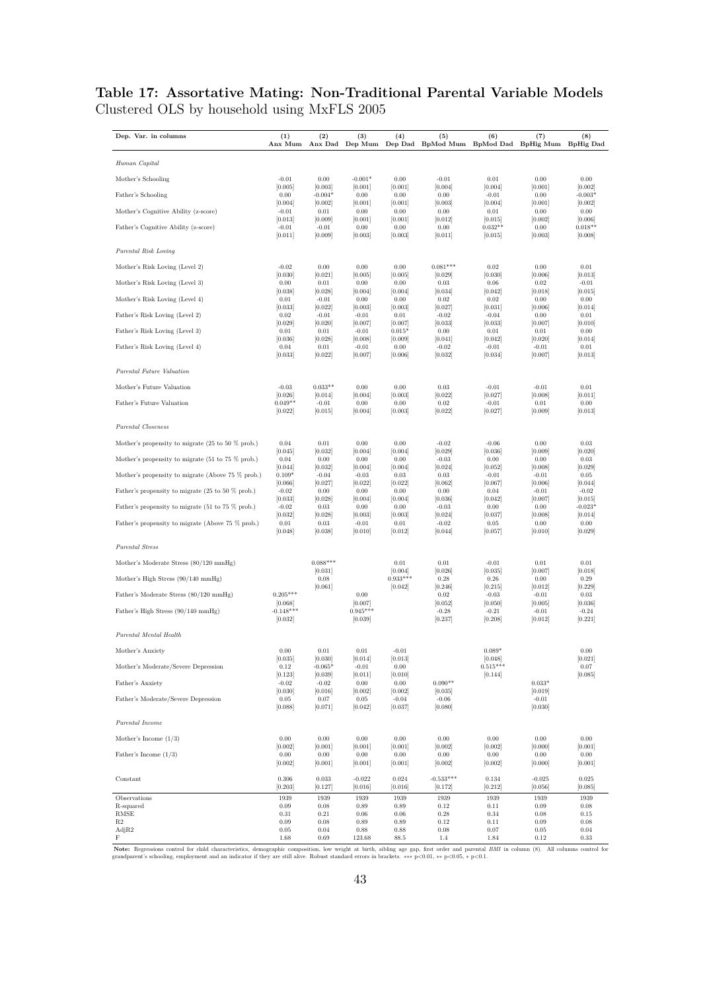## **Table 17: Assortative Mating: Non-Traditional Parental Variable Models** Clustered OLS by household using MxFLS 2005

| Dep. Var. in columns                                                  | (1)<br>Anx Mum                | (2)                           | (3)                           | (4)                            | (5)<br>Anx Dad Dep Mum Dep Dad BpMod Mum BpMod Dad BpHig Mum BpHig Dad | (6)                             | (7)                           | (8)                             |
|-----------------------------------------------------------------------|-------------------------------|-------------------------------|-------------------------------|--------------------------------|------------------------------------------------------------------------|---------------------------------|-------------------------------|---------------------------------|
| Human Capital                                                         |                               |                               |                               |                                |                                                                        |                                 |                               |                                 |
| Mother's Schooling                                                    | $-0.01$                       | 0.00                          | $-0.001*$                     | 0.00                           | $-0.01$                                                                | 0.01                            | 0.00                          | 0.00                            |
| Father's Schooling                                                    | [0.005]<br>0.00               | [0.003]<br>$-0.004*$          | [0.001]<br>0.00               | [0.001]<br>0.00                | [0.004]<br>0.00                                                        | [0.004]<br>$-0.01$              | [0.001]<br>0.00               | [0.002]<br>$-0.003*$            |
| Mother's Cognitive Ability (z-score)                                  | [0.004]<br>$-0.01$            | [0.002]<br>0.01               | [0.001]<br>0.00               | [0.001]<br>0.00                | [0.003]<br>0.00                                                        | [0.004]<br>0.01                 | [0.001]<br>0.00               | [0.002]<br>0.00                 |
| Father's Cognitive Ability (z-score)                                  | [0.013]<br>$-0.01$<br>[0.011] | [0.009]<br>$-0.01$<br>[0.009] | [0.001]<br>0.00<br>[0.003]    | [0.001]<br>$0.00\,$<br>[0.003] | [0.012]<br>0.00<br>[0.011]                                             | [0.015]<br>$0.032**$<br>[0.015] | [0.002]<br>0.00<br>[0.003]    | [0.006]<br>$0.018**$<br>[0.008] |
| Parental Risk Loving                                                  |                               |                               |                               |                                |                                                                        |                                 |                               |                                 |
| Mother's Risk Loving (Level 2)                                        | $-0.02$                       | 0.00                          | 0.00                          | 0.00                           | $0.081***$                                                             | 0.02                            | 0.00                          | 0.01                            |
| Mother's Risk Loving (Level 3)                                        | [0.030]<br>0.00               | [0.021]<br>0.01               | [0.005]<br>0.00               | [0.005]<br>0.00                | [0.029]<br>0.03                                                        | [0.030]<br>0.06                 | [0.006]<br>0.02               | [0.013]<br>$-0.01$              |
| Mother's Risk Loving (Level 4)                                        | [0.038]<br>0.01               | [0.028]<br>$-0.01$            | [0.004]<br>0.00               | [0.004]<br>0.00                | [0.034]<br>0.02                                                        | [0.042]<br>0.02                 | [0.018]<br>0.00               | [0.015]<br>0.00                 |
| Father's Risk Loving (Level 2)                                        | [0.033]<br>0.02               | [0.022]<br>$-0.01$            | [0.003]<br>$-0.01$            | [0.003]<br>0.01                | [0.027]<br>$-0.02$                                                     | [0.031]<br>$-0.04$              | [0.006]<br>0.00               | [0.014]<br>0.01                 |
|                                                                       | [0.029]                       | [0.020]                       | [0.007]                       | [0.007]                        | [0.033]                                                                | [0.033]                         | [0.007]                       | [0.010]                         |
| Father's Risk Loving (Level 3)                                        | 0.01<br>[0.036]               | 0.01<br>[0.028]               | $-0.01$<br>[0.008]            | $0.015*$<br>[0.009]            | 0.00<br>[0.041]                                                        | 0.01<br>[0.042]                 | 0.01<br>[0.020]               | 0.00<br>[0.014]                 |
| Father's Risk Loving (Level 4)                                        | 0.04<br>[0.033]               | 0.01<br>[0.022]               | $-0.01$<br>[0.007]            | 0.00<br>[0.006]                | $-0.02$<br>[0.032]                                                     | $-0.01$<br>[0.034]              | $-0.01$<br>[0.007]            | 0.01<br>[0.013]                 |
| Parental Future Valuation                                             |                               |                               |                               |                                |                                                                        |                                 |                               |                                 |
| Mother's Future Valuation                                             | $-0.03$                       | $0.033**$                     | 0.00                          | 0.00                           | 0.03                                                                   | $-0.01$                         | $-0.01$                       | 0.01                            |
| Father's Future Valuation                                             | [0.026]<br>$0.049**$          | [0.014]<br>$-0.01$            | [0.004]<br>0.00               | [0.003]<br>0.00                | [0.022]<br>0.02                                                        | [0.027]<br>$-0.01$              | [0.008]<br>0.01               | [0.011]<br>0.00                 |
|                                                                       | [0.022]                       | [0.015]                       | [0.004]                       | [0.003]                        | 0.022                                                                  | [0.027]                         | [0.009]                       | [0.013]                         |
| Parental Closeness                                                    |                               |                               |                               |                                |                                                                        |                                 |                               |                                 |
| Mother's propensity to migrate $(25 \text{ to } 50 \text{ % prob.})$  | 0.04<br>[0.045]               | 0.01<br>[0.032]               | 0.00<br>[0.004]               | 0.00<br>[0.004]                | $-0.02$<br>[0.029]                                                     | $-0.06$<br>[0.036]              | 0.00<br>[0.009]               | 0.03<br>[0.020]                 |
| Mother's propensity to migrate (51 to 75 % prob.)                     | 0.04<br>[0.044]               | 0.00<br>[0.032]               | 0.00<br>[0.004]               | 0.00<br>[0.004]                | $-0.03$<br>[0.024]                                                     | 0.00<br>[0.052]                 | 0.00<br>[0.008]               | 0.03<br>[0.029]                 |
| Mother's propensity to migrate (Above 75 % prob.)                     | $0.109*$                      | $-0.04$                       | $-0.03$                       | 0.03                           | 0.03                                                                   | $-0.01$                         | $-0.01$                       | 0.05                            |
| Father's propensity to migrate (25 to 50 $\%$ prob.)                  | [0.066]<br>$-0.02$            | [0.027]<br>0.00               | [0.022]<br>0.00               | [0.022]<br>0.00                | [0.062]<br>0.00                                                        | [0.067]<br>0.04                 | [0.006]<br>$-0.01$            | [0.044]<br>$-0.02$              |
| Father's propensity to migrate $(51 \text{ to } 75 \% \text{ prob.})$ | [0.033]<br>$-0.02$            | [0.028]<br>0.03               | [0.004]<br>0.00               | [0.004]<br>0.00                | [0.036]<br>$-0.03$                                                     | [0.042]<br>0.00                 | [0.007]<br>0.00               | [0.015]<br>$-0.023*$            |
| Father's propensity to migrate (Above 75 % prob.)                     | [0.032]<br>0.01<br>[0.048]    | [0.028]<br>0.03<br>[0.038]    | [0.003]<br>$-0.01$<br>[0.010] | [0.003]<br>0.01<br>[0.012]     | [0.024]<br>$-0.02$<br>[0.044]                                          | [0.037]<br>0.05<br>[0.057]      | [0.008]<br>0.00<br>[0.010]    | [0.014]<br>0.00<br>[0.029]      |
| Parental Stress                                                       |                               |                               |                               |                                |                                                                        |                                 |                               |                                 |
| Mother's Moderate Stress (80/120 mmHg)                                |                               | $0.088***$                    |                               | 0.01                           | 0.01                                                                   | $-0.01$                         | 0.01                          | 0.01                            |
| Mother's High Stress (90/140 mmHg)                                    |                               | [0.031]<br>0.08               |                               | [0.004]<br>$0.933***$          | [0.026]<br>0.28                                                        | [0.035]<br>0.26                 | [0.007]<br>0.00               | [0.018]<br>0.29                 |
|                                                                       |                               | [0.061]                       |                               | [0.042]                        | [0.246]                                                                | [0.215]                         | [0.012]                       | [0.229]                         |
| Father's Moderate Stress (80/120 mmHg)                                | $0.205***$<br>[0.068]         |                               | 0.00<br>[0.007]               |                                | 0.02<br>[0.052]                                                        | $-0.03$<br>[0.050]              | $-0.01$<br>[0.005]            | 0.03<br>[0.036]                 |
| Father's High Stress (90/140 mmHg)                                    | $-0.148***$<br>[0.032]        |                               | $0.945***$<br>[0.039]         |                                | $-0.28$<br>[0.237]                                                     | $-0.21$<br>[0.208]              | $-0.01$<br>[0.012]            | $-0.24$<br>[0.221]              |
| Parental Mental Health                                                |                               |                               |                               |                                |                                                                        |                                 |                               |                                 |
| Mother's Anxiety                                                      | 0.00                          | 0.01<br>[0.030]               | 0.01                          | $-0.01$                        |                                                                        | $0.089*$                        |                               | 0.00                            |
| Mother's Moderate/Severe Depression                                   | [0.035]<br>0.12               | $-0.065*$                     | [0.014]<br>$-0.01$            | [0.013]<br>$0.00\,$            |                                                                        | [0.048]<br>$0.515***$           |                               | [0.021]<br>$0.07\,$             |
| Father's Anxiety                                                      | [0.123]<br>$-0.02$            | [0.039]<br>$-0.02$            | [0.011]<br>$0.00\,$           | [0.010]<br>$0.00\,$            | $0.090**$                                                              | [0.144]                         | $0.033*$                      | [0.085]                         |
| Father's Moderate/Severe Depression                                   | [0.030]<br>0.05<br>[0.088]    | [0.016]<br>0.07<br>[0.071]    | [0.002]<br>0.05<br>[0.042]    | [0.002]<br>$-0.04$<br>[0.037]  | [0.035]<br>$-0.06$<br>[0.080]                                          |                                 | [0.019]<br>$-0.01$<br>[0.030] |                                 |
| Parental Income                                                       |                               |                               |                               |                                |                                                                        |                                 |                               |                                 |
| Mother's Income $(1/3)$                                               | 0.00                          | 0.00                          | 0.00                          | 0.00                           | 0.00                                                                   | 0.00                            | 0.00                          | 0.00                            |
| Father's Income $(1/3)$                                               | [0.002]<br>0.00               | [0.001]<br>0.00               | [0.001]<br>0.00               | [0.001]<br>0.00                | [0.002]<br>0.00                                                        | [0.002]<br>$0.00\,$             | [0.000]<br>0.00               | [0.001]<br>0.00                 |
|                                                                       | [0.002]                       | [0.001]                       | [0.001]                       | [0.001]                        | [0.002]                                                                | [0.002]                         | [0.000]                       | [0.001]                         |
| Constant                                                              | 0.306<br>[0.203]              | 0.033<br>[0.127]              | $-0.022$<br>[0.016]           | 0.024<br>[0.016]               | $-0.533***$<br>[0.172]                                                 | 0.134<br>[0.212]                | $-0.025$<br>[0.056]           | 0.025<br>[0.085]                |
| Observations                                                          | 1939                          | 1939                          | 1939                          | 1939                           | 1939                                                                   | 1939                            | 1939                          | 1939                            |
| R-squared<br><b>RMSE</b>                                              | 0.09<br>0.31                  | 0.08<br>0.21                  | 0.89<br>0.06                  | 0.89<br>0.06                   | 0.12<br>0.28                                                           | 0.11<br>0.34                    | 0.09<br>0.08                  | 0.08<br>0.15                    |
| R2<br>AdjR2                                                           | 0.09<br>0.05                  | 0.08<br>0.04                  | 0.89<br>0.88                  | 0.89<br>0.88                   | 0.12<br>0.08                                                           | 0.11<br>0.07                    | 0.09<br>0.05                  | 0.08<br>0.04                    |
| F                                                                     | 1.68                          | 0.69                          | 123.68                        | 88.5                           | 1.4                                                                    | 1.84                            | 0.12                          | 0.33                            |

Note: Regressions control for child characteristics, demographic composition, low weight at birth, sibling age gap, first order and parental *BMI* in column (8). All columns control for grandparent's schooling, employment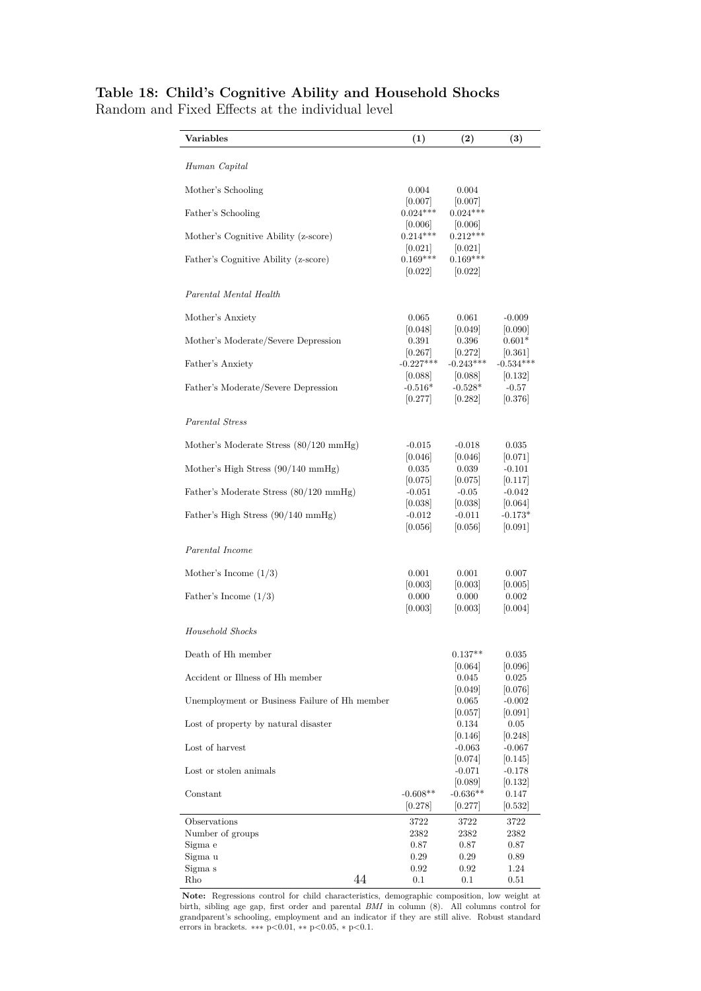| Table 18: Child's Cognitive Ability and Household Shocks |  |  |  |  |
|----------------------------------------------------------|--|--|--|--|
|----------------------------------------------------------|--|--|--|--|

Random and Fixed Effects at the individual level

| $\rm Variables$                               |    | (1)                            | (2)                             | $\left(3\right)$                |
|-----------------------------------------------|----|--------------------------------|---------------------------------|---------------------------------|
| Human Capital                                 |    |                                |                                 |                                 |
| Mother's Schooling                            |    | 0.004                          | 0.004                           |                                 |
| Father's Schooling                            |    | [0.007]<br>$0.024***$          | [0.007]<br>$0.024***$           |                                 |
| Mother's Cognitive Ability (z-score)          |    | 0.006 <br>$0.214***$<br> 0.021 | 0.006 <br>$0.212***$<br> 0.021  |                                 |
| Father's Cognitive Ability (z-score)          |    | $0.169***$<br> 0.022           | $0.169***$<br> 0.022            |                                 |
| Parental Mental Health                        |    |                                |                                 |                                 |
| Mother's Anxiety                              |    | 0.065                          | 0.061                           | $-0.009$                        |
| Mother's Moderate/Severe Depression           |    | 0.048 <br>0.391                | 0.049 <br>0.396                 | 0.090 <br>$0.601*$              |
| Father's Anxiety                              |    | 0.267 <br>$-0.227***$          | [0.272]<br>$-0.243***$          | 0.361 <br>$-0.534***$           |
| Father's Moderate/Severe Depression           |    | 0.088 <br>$-0.516*$<br>[0.277] | [0.088]<br>$-0.528*$<br>[0.282] | [0.132]<br>$-0.57$<br>[0.376]   |
| Parental Stress                               |    |                                |                                 |                                 |
| Mother's Moderate Stress (80/120 mmHg)        |    | $-0.015$                       | $-0.018$                        | 0.035                           |
| Mother's High Stress (90/140 mmHg)            |    | 0.046 <br>0.035                | 0.046 <br>0.039                 | 0.071 <br>$-0.101$              |
| Father's Moderate Stress (80/120 mmHg)        |    | 0.075 <br>$-0.051$             | 0.075 <br>$-0.05$               | 0.117 <br>$-0.042$              |
| Father's High Stress (90/140 mmHg)            |    | [0.038]<br>$-0.012$<br>[0.056] | [0.038]<br>$-0.011$<br>[0.056]  | [0.064]<br>$-0.173*$<br>[0.091] |
| Parental Income                               |    |                                |                                 |                                 |
| Mother's Income $(1/3)$                       |    | 0.001                          | 0.001                           | 0.007                           |
| Father's Income $(1/3)$                       |    | 0.003 <br>0.000<br>[0.003]     | 0.003 <br>0.000<br> 0.003       | 0.005 <br>0.002<br> 0.004       |
| Household Shocks                              |    |                                |                                 |                                 |
| Death of Hh member                            |    |                                | $0.137^{\ast\ast}$              | 0.035                           |
| Accident or Illness of Hh member              |    |                                | 0.064 <br>0.045                 | 0.096 <br>0.025                 |
| Unemployment or Business Failure of Hh member |    |                                | 0.049 <br>0.065                 | 0.076 <br>$-0.002$              |
| Lost of property by natural disaster          |    |                                | 0.057 <br>0.134                 | 0.091 <br>0.05                  |
| Lost of harvest                               |    |                                | [0.146]<br>$-0.063$             | [0.248]<br>$-0.067$             |
| Lost or stolen animals                        |    |                                | 0.074 <br>$-0.071$              | [0.145]<br>$-0.178$             |
| Constant                                      |    | $-0.608**$                     | 0.089 <br>$-0.636**$            | 0.132 <br>0.147                 |
| Observations                                  |    | 0.278 <br>3722                 | 0.277 <br>3722                  | 0.532 <br>3722                  |
| Number of groups<br>Sigma e                   |    | 2382<br>0.87                   | 2382<br>0.87                    | 2382<br>0.87                    |
| Sigma u                                       |    | 0.29                           | 0.29                            | 0.89                            |
| Sigma s<br>Rho                                | 44 | 0.92<br>0.1                    | 0.92<br>0.1                     | 1.24<br>0.51                    |

**Note:** Regressions control for child characteristics, demographic composition, low weight at birth, sibling age gap, first order and parental *BMI* in column (8). All columns control for grandparent's schooling, employment and an indicator if they are still alive. Robust standard errors in brackets. ∗∗∗ p*<*0.01, ∗∗ p*<*0.05, ∗ p*<*0.1.